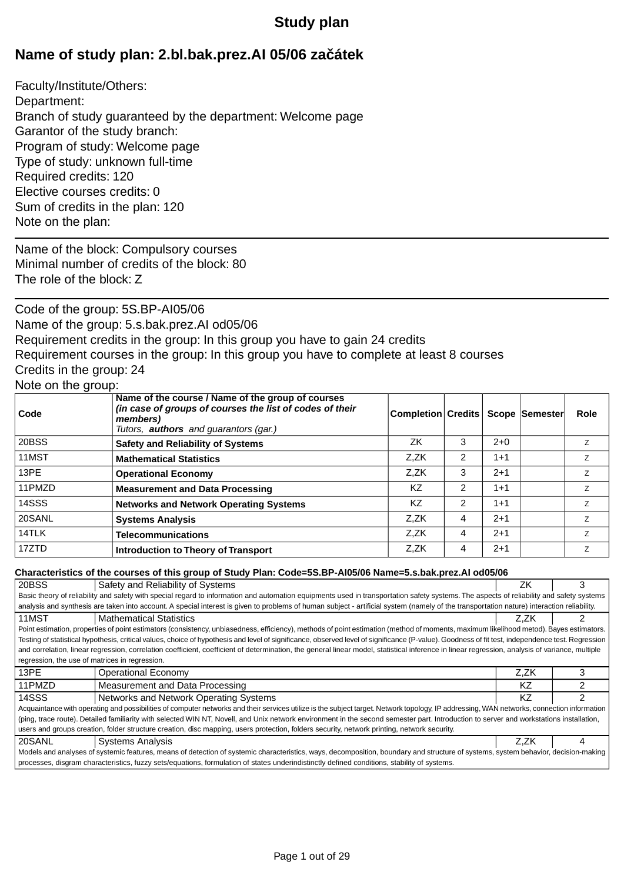# **Study plan**

# **Name of study plan: 2.bl.bak.prez.AI 05/06 za átek**

Faculty/Institute/Others: Department: Branch of study guaranteed by the department: Welcome page Garantor of the study branch: Program of study: Welcome page Type of study: unknown full-time Required credits: 120 Elective courses credits: 0 Sum of credits in the plan: 120 Note on the plan:

Name of the block: Compulsory courses Minimal number of credits of the block: 80 The role of the block: Z

Code of the group: 5S.BP-AI05/06 Name of the group: 5.s.bak.prez.AI od05/06 Requirement credits in the group: In this group you have to gain 24 credits Requirement courses in the group: In this group you have to complete at least 8 courses Credits in the group: 24 Note on the group:

| Code   | Name of the course / Name of the group of courses<br>(in case of groups of courses the list of codes of their<br>members)<br>Tutors, <b>authors</b> and guarantors (gar.) | <b>Completion Credits</b> |                |         | <b>Scope Semester</b> | <b>Role</b>    |
|--------|---------------------------------------------------------------------------------------------------------------------------------------------------------------------------|---------------------------|----------------|---------|-----------------------|----------------|
| 20BSS  | <b>Safety and Reliability of Systems</b>                                                                                                                                  | ZK                        | 3              | $2+0$   |                       | Ζ              |
| 11MST  | <b>Mathematical Statistics</b>                                                                                                                                            | Z.ZK                      | 2              | $1 + 1$ |                       | Ζ              |
| 13PE   | <b>Operational Economy</b>                                                                                                                                                | Z.ZK                      | 3              | $2+1$   |                       | Z.             |
| 11PMZD | <b>Measurement and Data Processing</b>                                                                                                                                    | ΚZ                        | $\overline{2}$ | $1 + 1$ |                       | Z              |
| 14SSS  | <b>Networks and Network Operating Systems</b>                                                                                                                             | KZ                        | $\overline{2}$ | $1 + 1$ |                       | Z              |
| 20SANL | <b>Systems Analysis</b>                                                                                                                                                   | Z.ZK                      | 4              | $2+1$   |                       | $\overline{z}$ |
| 14TLK  | <b>Telecommunications</b>                                                                                                                                                 | Z.ZK                      | 4              | $2 + 1$ |                       | 7              |
| 17ZTD  | <b>Introduction to Theory of Transport</b>                                                                                                                                | Z.ZK                      | 4              | $2+1$   |                       | 7              |

### **Characteristics of the courses of this group of Study Plan: Code=5S.BP-AI05/06 Name=5.s.bak.prez.AI od05/06**

| 20BSS                                                                                                                                                                                   | Safety and Reliability of Systems                                                                                                                                                                 | ΖK   | 3 |  |  |
|-----------------------------------------------------------------------------------------------------------------------------------------------------------------------------------------|---------------------------------------------------------------------------------------------------------------------------------------------------------------------------------------------------|------|---|--|--|
|                                                                                                                                                                                         | Basic theory of reliability and safety with special regard to information and automation equipments used in transportation safety systems. The aspects of reliability and safety systems          |      |   |  |  |
|                                                                                                                                                                                         | analysis and synthesis are taken into account. A special interest is given to problems of human subject - artificial system (namely of the transportation nature) interaction reliability.        |      |   |  |  |
| 11MST                                                                                                                                                                                   | <b>Mathematical Statistics</b>                                                                                                                                                                    | Z.ZK |   |  |  |
|                                                                                                                                                                                         | Point estimation, properties of point estimators (consistency, unbiasedness, efficiency), methods of point estimation (method of moments, maximum likelihood metod). Bayes estimators.            |      |   |  |  |
|                                                                                                                                                                                         | Testing of statistical hypothesis, critical values, choice of hypothesis and level of significance, observed level of significance (P-value). Goodness of fit test, independence test. Regression |      |   |  |  |
|                                                                                                                                                                                         | and correlation, linear regression, correlation coefficient, coefficient of determination, the general linear model, statistical inference in linear regression, analysis of variance, multiple   |      |   |  |  |
| regression, the use of matrices in regression.                                                                                                                                          |                                                                                                                                                                                                   |      |   |  |  |
| 13PE                                                                                                                                                                                    | Operational Economy                                                                                                                                                                               | Z.ZK |   |  |  |
| 11PMZD                                                                                                                                                                                  | Measurement and Data Processing                                                                                                                                                                   | ΚZ   | 2 |  |  |
| 14SSS                                                                                                                                                                                   | Networks and Network Operating Systems                                                                                                                                                            | ΚZ   |   |  |  |
|                                                                                                                                                                                         | Acquaintance with operating and possibilities of computer networks and their services utilize is the subject target. Network topology, IP addressing, WAN networks, connection information        |      |   |  |  |
| (ping, trace route). Detailed familiarity with selected WIN NT, Novell, and Unix network environment in the second semester part. Introduction to server and workstations installation, |                                                                                                                                                                                                   |      |   |  |  |
| users and groups creation, folder structure creation, disc mapping, users protection, folders security, network printing, network security.                                             |                                                                                                                                                                                                   |      |   |  |  |
| 20SANL                                                                                                                                                                                  | <b>Systems Analysis</b>                                                                                                                                                                           | Z.ZK | 4 |  |  |
| Models and analyses of systemic features, means of detection of systemic characteristics, ways, decomposition, boundary and structure of systems, system behavior, decision-making      |                                                                                                                                                                                                   |      |   |  |  |
| processes, disgram characteristics, fuzzy sets/equations, formulation of states underindistinctly defined conditions, stability of systems.                                             |                                                                                                                                                                                                   |      |   |  |  |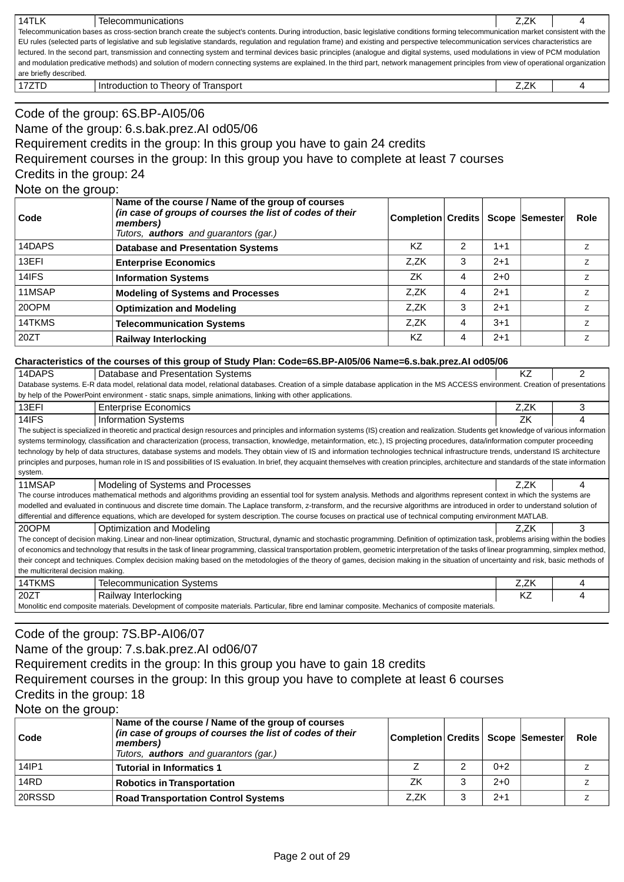| 14TLK                                                                                                                                                                                 | Telecommunications                                                                                                                                                                  | Z.ZK |  |  |  |  |  |
|---------------------------------------------------------------------------------------------------------------------------------------------------------------------------------------|-------------------------------------------------------------------------------------------------------------------------------------------------------------------------------------|------|--|--|--|--|--|
| Telecommunication bases as cross-section branch create the subject's contents. During introduction, basic legislative conditions forming telecommunication market consistent with the |                                                                                                                                                                                     |      |  |  |  |  |  |
|                                                                                                                                                                                       | EU rules (selected parts of legislative and sub legislative standards, regulation and regulation frame) and existing and perspective telecommunication services characteristics are |      |  |  |  |  |  |
|                                                                                                                                                                                       | lectured. In the second part, transmission and connecting system and terminal devices basic principles (analogue and digital systems, used modulations in view of PCM modulation    |      |  |  |  |  |  |
| and modulation predicative methods) and solution of modern connecting systems are explained. In the third part, network management principles from view of operational organization   |                                                                                                                                                                                     |      |  |  |  |  |  |
| are briefly described.                                                                                                                                                                |                                                                                                                                                                                     |      |  |  |  |  |  |
| 17ZTD                                                                                                                                                                                 | Introduction to Theory of Transport                                                                                                                                                 | Z.ZK |  |  |  |  |  |

# Code of the group: 6S.BP-AI05/06 Name of the group: 6.s.bak.prez.AI od05/06 Requirement credits in the group: In this group you have to gain 24 credits Requirement courses in the group: In this group you have to complete at least 7 courses Credits in the group: 24 Note on the group:

| ∣ Code | Name of the course / Name of the group of courses<br>(in case of groups of courses the list of codes of their<br>members)<br>Tutors, <b>authors</b> and guarantors (gar.) | Completion Credits   Scope  Semester |   |         | Role           |
|--------|---------------------------------------------------------------------------------------------------------------------------------------------------------------------------|--------------------------------------|---|---------|----------------|
| 14DAPS | <b>Database and Presentation Systems</b>                                                                                                                                  | ΚZ                                   |   | $1 + 1$ |                |
| 13EFI  | <b>Enterprise Economics</b>                                                                                                                                               | Z.ZK                                 | 3 | $2+1$   | Ζ              |
| 14IFS  | <b>Information Systems</b>                                                                                                                                                | ZK                                   | 4 | $2+0$   |                |
| 11MSAP | <b>Modeling of Systems and Processes</b>                                                                                                                                  | Z.ZK                                 | 4 | $2+1$   | $\overline{z}$ |
| 20OPM  | <b>Optimization and Modeling</b>                                                                                                                                          | Z.ZK                                 | 3 | $2+1$   | $\overline{z}$ |
| 14TKMS | <b>Telecommunication Systems</b>                                                                                                                                          | Z.ZK                                 | 4 | $3 + 1$ |                |
| 20ZT   | Railway Interlocking                                                                                                                                                      | ΚZ                                   | 4 | $2+1$   |                |

### **Characteristics of the courses of this group of Study Plan: Code=6S.BP-AI05/06 Name=6.s.bak.prez.AI od05/06**

| 14DAPS                                                                                                                                                                                     | Database and Presentation Systems                                                                                                                                                              | KZ   | 2 |  |  |  |  |  |
|--------------------------------------------------------------------------------------------------------------------------------------------------------------------------------------------|------------------------------------------------------------------------------------------------------------------------------------------------------------------------------------------------|------|---|--|--|--|--|--|
| Database systems. E-R data model, relational data model, relational databases. Creation of a simple database application in the MS ACCESS environment. Creation of presentations           |                                                                                                                                                                                                |      |   |  |  |  |  |  |
|                                                                                                                                                                                            | by help of the PowerPoint environment - static snaps, simple animations, linking with other applications.                                                                                      |      |   |  |  |  |  |  |
| 13EFI                                                                                                                                                                                      | <b>Enterprise Economics</b>                                                                                                                                                                    | Z.ZK | 3 |  |  |  |  |  |
| 14IFS                                                                                                                                                                                      | <b>Information Systems</b>                                                                                                                                                                     | ZK   |   |  |  |  |  |  |
|                                                                                                                                                                                            | The subject is specialized in theoretic and practical design resources and principles and information systems (IS) creation and realization. Students get knowledge of various information     |      |   |  |  |  |  |  |
|                                                                                                                                                                                            | systems terminology, classification and characterization (process, transaction, knowledge, metainformation, etc.), IS projecting procedures, data/information computer proceeding              |      |   |  |  |  |  |  |
|                                                                                                                                                                                            | technology by help of data structures, database systems and models. They obtain view of IS and information technologies technical infrastructure trends, understand IS architecture            |      |   |  |  |  |  |  |
|                                                                                                                                                                                            | principles and purposes, human role in IS and possibilities of IS evaluation. In brief, they acquaint themselves with creation principles, architecture and standards of the state information |      |   |  |  |  |  |  |
| system.                                                                                                                                                                                    |                                                                                                                                                                                                |      |   |  |  |  |  |  |
| 11MSAP                                                                                                                                                                                     | Modeling of Systems and Processes                                                                                                                                                              | Z.ZK | 4 |  |  |  |  |  |
|                                                                                                                                                                                            | The course introduces mathematical methods and algorithms providing an essential tool for system analysis. Methods and algorithms represent context in which the systems are                   |      |   |  |  |  |  |  |
|                                                                                                                                                                                            | modelled and evaluated in continuous and discrete time domain. The Laplace transform, z-transform, and the recursive algorithms are introduced in order to understand solution of              |      |   |  |  |  |  |  |
|                                                                                                                                                                                            | differential and difference equations, which are developed for system description. The course focuses on practical use of technical computing environment MATLAB.                              |      |   |  |  |  |  |  |
| 20OPM                                                                                                                                                                                      | Optimization and Modeling                                                                                                                                                                      | Z.ZK | 3 |  |  |  |  |  |
|                                                                                                                                                                                            | The concept of decision making. Linear and non-linear optimization, Structural, dynamic and stochastic programming. Definition of optimization task, problems arising within the bodies        |      |   |  |  |  |  |  |
| of economics and technology that results in the task of linear programming, classical transportation problem, geometric interpretation of the tasks of linear programming, simplex method, |                                                                                                                                                                                                |      |   |  |  |  |  |  |
| their concept and techniques. Complex decision making based on the metodologies of the theory of games, decision making in the situation of uncertainty and risk, basic methods of         |                                                                                                                                                                                                |      |   |  |  |  |  |  |
| the multicriteral decision making.                                                                                                                                                         |                                                                                                                                                                                                |      |   |  |  |  |  |  |
| 14TKMS                                                                                                                                                                                     | <b>Telecommunication Systems</b>                                                                                                                                                               | Z,ZK |   |  |  |  |  |  |
| 20ZT                                                                                                                                                                                       | Railway Interlocking                                                                                                                                                                           | K7   |   |  |  |  |  |  |
| Monolitic end composite materials. Development of composite materials. Particular, fibre end laminar composite. Mechanics of composite materials.                                          |                                                                                                                                                                                                |      |   |  |  |  |  |  |

# Code of the group: 7S.BP-AI06/07

Name of the group: 7.s.bak.prez.AI od06/07

Requirement credits in the group: In this group you have to gain 18 credits

Requirement courses in the group: In this group you have to complete at least 6 courses Credits in the group: 18

Note on the group:

| Code   | Name of the course / Name of the group of courses<br>(in case of groups of courses the list of codes of their<br>members)<br>Tutors, <b>authors</b> and guarantors (gar.) | Completion Credits   Scope  Semester |       | <b>Role</b> |
|--------|---------------------------------------------------------------------------------------------------------------------------------------------------------------------------|--------------------------------------|-------|-------------|
| 14IP1  | <b>Tutorial in Informatics 1</b>                                                                                                                                          |                                      | $0+2$ |             |
| 14RD   | <b>Robotics in Transportation</b>                                                                                                                                         | 7K                                   | $2+0$ |             |
| 20RSSD | <b>Road Transportation Control Systems</b>                                                                                                                                | Z.ZK                                 | $2+1$ |             |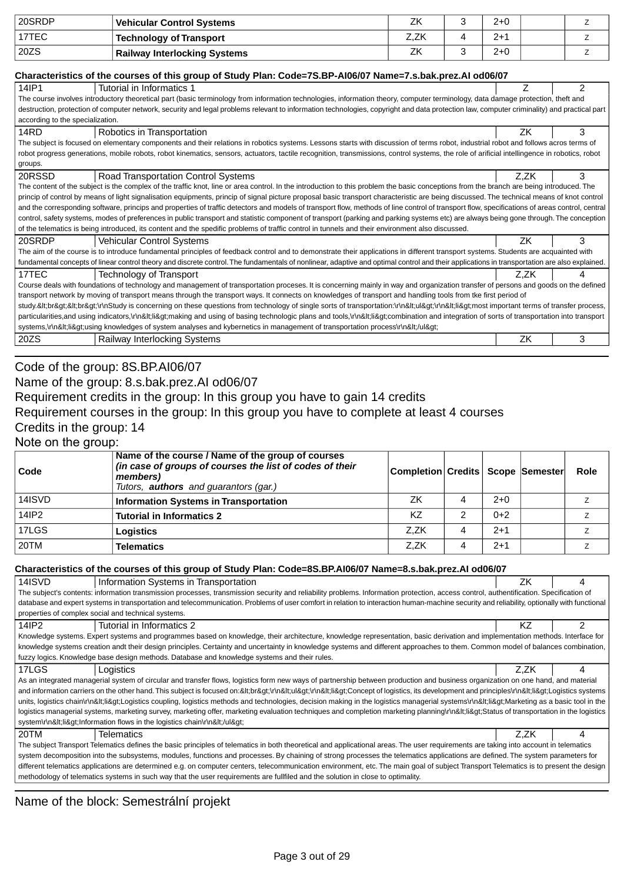| 20SRDP | <b>Vehicular Control Systems</b>    | ΖK   | 2+0     |  |
|--------|-------------------------------------|------|---------|--|
| 17TEC  | <b>Technology of Transport</b>      | Z.ZK | $2 + 1$ |  |
| 20ZS   | <b>Railway Interlocking Systems</b> | ΖK   | $2+0$   |  |

#### **Characteristics of the courses of this group of Study Plan: Code=7S.BP-AI06/07 Name=7.s.bak.prez.AI od06/07**

| Characteristics of the courses of this group of Study Fiam. Coue=73.BF-Alborof Name=7.S.Dak.prez.Al Ouvorof                                                                                    |      |   |  |  |  |  |
|------------------------------------------------------------------------------------------------------------------------------------------------------------------------------------------------|------|---|--|--|--|--|
| 14IP1<br>Tutorial in Informatics 1                                                                                                                                                             |      |   |  |  |  |  |
| The course involves introductory theoretical part (basic terminology from information technologies, information theory, computer terminology, data damage protection, theft and                |      |   |  |  |  |  |
| destruction, protection of computer network, security and legal problems relevant to information technologies, copyright and data protection law, computer criminality) and practical part     |      |   |  |  |  |  |
| according to the specialization.                                                                                                                                                               |      |   |  |  |  |  |
| 14RD<br>Robotics in Transportation                                                                                                                                                             | ΖK   | 3 |  |  |  |  |
| The subject is focused on elementary components and their relations in robotics systems. Lessons starts with discussion of terms robot, industrial robot and follows acros terms of            |      |   |  |  |  |  |
| robot progress generations, mobile robots, robot kinematics, sensors, actuators, tactile recognition, transmissions, control systems, the role of arificial intellingence in robotics, robot   |      |   |  |  |  |  |
| groups.                                                                                                                                                                                        |      |   |  |  |  |  |
| <b>Road Transportation Control Systems</b><br>20RSSD                                                                                                                                           | Z.ZK | 3 |  |  |  |  |
| The content of the subject is the complex of the traffic knot, line or area control. In the introduction to this problem the basic conceptions from the branch are being introduced. The       |      |   |  |  |  |  |
| princip of control by means of light signalisation equipments, princip of signal picture proposal basic transport characteristic are being discussed. The technical means of knot control      |      |   |  |  |  |  |
| and the corresponding software, princips and properties of traffic detectors and models of transport flow, methods of line control of transport flow, specifications of areas control, central |      |   |  |  |  |  |
| control, safety systems, modes of preferences in public transport and statistic component of transport (parking and parking systems etc) are always being gone through. The conception         |      |   |  |  |  |  |
| of the telematics is being introduced, its content and the spedific problems of traffic control in tunnels and their environment also discussed.                                               |      |   |  |  |  |  |
| 20SRDP<br><b>Vehicular Control Systems</b>                                                                                                                                                     | ΖK   | 3 |  |  |  |  |
| The aim of the course is to introduce fundamental principles of feedback control and to demonstrate their applications in different transport systems. Students are acquainted with            |      |   |  |  |  |  |
| fundamental concepts of linear control theory and discrete control. The fundamentals of nonlinear, adaptive and optimal control and their applications in transportation are also explained.   |      |   |  |  |  |  |
| 17TEC<br><b>Technology of Transport</b>                                                                                                                                                        | Z.ZK | 4 |  |  |  |  |
| Course deals with foundations of technology and management of transportation proceses. It is concerning mainly in way and organization transfer of persons and goods on the defined            |      |   |  |  |  |  |
| transport network by moving of transport means through the transport ways. It connects on knowledges of transport and handling tools from tke first period of                                  |      |   |  |  |  |  |
| study.<br><br>\r\nStudy is concerning on these questions from technology of single sorts of transportation:\r\n <ul>\r\n<li>most important terms of transfer process,</li></ul>                |      |   |  |  |  |  |
| particularities,and using indicators,\r\n <li>making and using of basing technologic plans and tools,\r\n<li>combination and integration of sorts of transportation into transport</li></li>   |      |   |  |  |  |  |
| systems,\r\n <li>using knowledges of system analyses and kybernetics in management of transportation process\r\n</li>                                                                          |      |   |  |  |  |  |
| 20ZS<br>Railway Interlocking Systems                                                                                                                                                           | ZK   | 3 |  |  |  |  |

# Code of the group: 8S.BP.AI06/07

## Name of the group: 8.s.bak.prez.AI od06/07

Requirement credits in the group: In this group you have to gain 14 credits

## Requirement courses in the group: In this group you have to complete at least 4 courses

### Credits in the group: 14

Note on the group:

| Code   | Name of the course / Name of the group of courses<br>(in case of groups of courses the list of codes of their<br>members)<br>Tutors, <b>authors</b> and guarantors (gar.) | Completion Credits   Scope  Semester |   |       | Role |
|--------|---------------------------------------------------------------------------------------------------------------------------------------------------------------------------|--------------------------------------|---|-------|------|
| 14ISVD | Information Systems in Transportation                                                                                                                                     | ΖK                                   |   | $2+0$ |      |
| 14IP2  | <b>Tutorial in Informatics 2</b>                                                                                                                                          | K7                                   |   | $0+2$ |      |
| 17LGS  | Logistics                                                                                                                                                                 | Z.ZK                                 | 4 | $2+1$ |      |
| 20TM   | Telematics                                                                                                                                                                | Z.ZK                                 | 4 | $2+1$ |      |

### **Characteristics of the courses of this group of Study Plan: Code=8S.BP.AI06/07 Name=8.s.bak.prez.AI od06/07**

| 14ISVD                                                                                                                                                                                    | Information Systems in Transportation                                                                                                                                                        | ΖK   | 4 |  |  |  |
|-------------------------------------------------------------------------------------------------------------------------------------------------------------------------------------------|----------------------------------------------------------------------------------------------------------------------------------------------------------------------------------------------|------|---|--|--|--|
|                                                                                                                                                                                           | The subject's contents: information transmission processes, transmission security and reliability problems. Information protection, access control, authentification. Specification of       |      |   |  |  |  |
|                                                                                                                                                                                           | database and expert systems in transportation and telecommunication. Problems of user comfort in relation to interaction human-machine security and reliability, optionally with functional  |      |   |  |  |  |
|                                                                                                                                                                                           | properties of complex social and technical systems.                                                                                                                                          |      |   |  |  |  |
| 14IP2                                                                                                                                                                                     | Tutorial in Informatics 2                                                                                                                                                                    | KZ.  |   |  |  |  |
|                                                                                                                                                                                           | Knowledge systems. Expert systems and programmes based on knowledge, their architecture, knowledge representation, basic derivation and implementation methods. Interface for                |      |   |  |  |  |
|                                                                                                                                                                                           | knowledge systems creation andt their design principles. Certainty and uncertainty in knowledge systems and different approaches to them. Common model of balances combination,              |      |   |  |  |  |
|                                                                                                                                                                                           | fuzzy logics. Knowledge base design methods. Database and knowledge systems and their rules.                                                                                                 |      |   |  |  |  |
| 17LGS                                                                                                                                                                                     | Logistics                                                                                                                                                                                    | Z.ZK | 4 |  |  |  |
|                                                                                                                                                                                           | As an integrated managerial system of circular and transfer flows, logistics form new ways of partnership between production and business organization on one hand, and material             |      |   |  |  |  |
|                                                                                                                                                                                           | and information carriers on the other hand. This subject is focused on:<br>\r\n <ul>\r\n<li>Concept of logistics, its development and principles\r\n<li>Logistics systems</li></li></ul>     |      |   |  |  |  |
|                                                                                                                                                                                           | units, logistics chain\r\n <li>Logistics coupling, logistics methods and technologies, decision making in the logistics managerial systems\r\n<li>Marketing as a basic tool in the</li></li> |      |   |  |  |  |
| logistics managerial systems, marketing survey, marketing offer, marketing evaluation techniques and completion marketing planning\r\n <li>Status of transportation in the logistics</li> |                                                                                                                                                                                              |      |   |  |  |  |
|                                                                                                                                                                                           | system\r\n <li>lnformation flows in the logistics chain\r\n</li>                                                                                                                             |      |   |  |  |  |
| 20TM                                                                                                                                                                                      | Telematics                                                                                                                                                                                   | Z.ZK | 4 |  |  |  |
| The subject Transport Telematics defines the basic principles of telematics in both theoretical and applicational areas. The user requirements are taking into account in telematics      |                                                                                                                                                                                              |      |   |  |  |  |
| system decomposition into the subsystems, modules, functions and processes. By chaining of strong processes the telematics applications are defined. The system parameters for            |                                                                                                                                                                                              |      |   |  |  |  |
| different telematics applications are determined e.g. on computer centers, telecommunication environment, etc. The main goal of subject Transport Telematics is to present the design     |                                                                                                                                                                                              |      |   |  |  |  |
| methodology of telematics systems in such way that the user requirements are fullfiled and the solution in close to optimality.                                                           |                                                                                                                                                                                              |      |   |  |  |  |

Name of the block: Semestrální projekt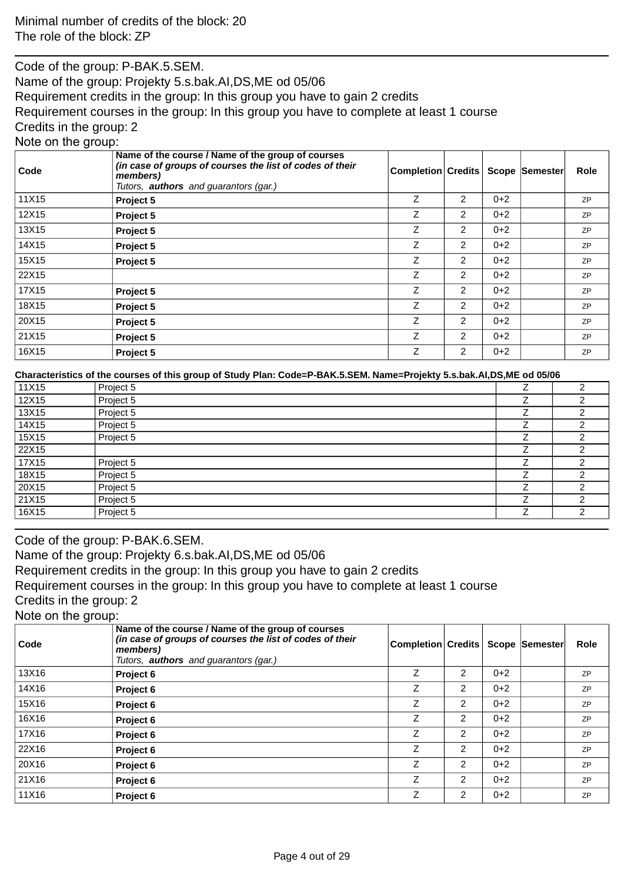Code of the group: P-BAK.5.SEM. Name of the group: Projekty 5.s.bak.AI,DS,ME od 05/06 Requirement credits in the group: In this group you have to gain 2 credits Requirement courses in the group: In this group you have to complete at least 1 course Credits in the group: 2 Note on the group:

| ັ<br>Code | Name of the course / Name of the group of courses<br>(in case of groups of courses the list of codes of their<br>members)<br>Tutors, <b>authors</b> and guarantors (gar.) | <b>Completion Credits</b> |                |         | Scope Semester | <b>Role</b> |
|-----------|---------------------------------------------------------------------------------------------------------------------------------------------------------------------------|---------------------------|----------------|---------|----------------|-------------|
| 11X15     | Project 5                                                                                                                                                                 | Z                         | $\overline{2}$ | $0+2$   |                | <b>ZP</b>   |
| 12X15     | Project 5                                                                                                                                                                 | Z                         | 2              | $0 + 2$ |                | ZP          |
| 13X15     | Project 5                                                                                                                                                                 | Z                         | $\overline{2}$ | $0 + 2$ |                | ZP          |
| 14X15     | Project 5                                                                                                                                                                 | Z                         | $\overline{2}$ | $0 + 2$ |                | <b>ZP</b>   |
| 15X15     | Project 5                                                                                                                                                                 | Ζ                         | $\overline{2}$ | $0+2$   |                | <b>ZP</b>   |
| 22X15     |                                                                                                                                                                           | Z                         | $\overline{2}$ | $0+2$   |                | <b>ZP</b>   |
| 17X15     | Project 5                                                                                                                                                                 | Z                         | $\overline{2}$ | $0 + 2$ |                | ZP          |
| 18X15     | Project 5                                                                                                                                                                 | Z                         | $\overline{2}$ | $0 + 2$ |                | <b>ZP</b>   |
| 20X15     | Project 5                                                                                                                                                                 | Z                         | $\overline{2}$ | $0 + 2$ |                | <b>ZP</b>   |
| 21X15     | Project 5                                                                                                                                                                 | Z                         | $\overline{2}$ | $0 + 2$ |                | ZP          |
| 16X15     | Project 5                                                                                                                                                                 | Z                         | $\overline{2}$ | $0 + 2$ |                | ZP          |

**Characteristics of the courses of this group of Study Plan: Code=P-BAK.5.SEM. Name=Projekty 5.s.bak.AI,DS,ME od 05/06**

| 11X15 | Project 5 | Z | ◠ |
|-------|-----------|---|---|
| 12X15 | Project 5 | ⇁ | ⌒ |
| 13X15 | Project 5 | 7 | ⌒ |
| 14X15 | Project 5 | ⇁ |   |
| 15X15 | Project 5 | ⇁ |   |
| 22X15 |           | 7 | ⌒ |
| 17X15 | Project 5 | ⇁ | ⌒ |
| 18X15 | Project 5 | 7 | ົ |
| 20X15 | Project 5 | 7 | ⌒ |
| 21X15 | Project 5 | ⇁ | ⌒ |
| 16X15 | Project 5 | 7 | ◠ |

Code of the group: P-BAK.6.SEM. Name of the group: Projekty 6.s.bak.AI,DS,ME od 05/06 Requirement credits in the group: In this group you have to gain 2 credits Requirement courses in the group: In this group you have to complete at least 1 course Credits in the group: 2 Note on the group:

| Code  | Name of the course / Name of the group of courses<br>(in case of groups of courses the list of codes of their<br>members)<br>Tutors, <b>authors</b> and quarantors (gar.) | <b>Completion Credits</b> |                |         | <b>Scope Semester</b> | <b>Role</b> |
|-------|---------------------------------------------------------------------------------------------------------------------------------------------------------------------------|---------------------------|----------------|---------|-----------------------|-------------|
| 13X16 | Project 6                                                                                                                                                                 | Z                         | 2              | $0+2$   |                       | <b>ZP</b>   |
| 14X16 | Project 6                                                                                                                                                                 | Z                         | 2              | $0+2$   |                       | <b>ZP</b>   |
| 15X16 | Project 6                                                                                                                                                                 | Z                         | $\overline{2}$ | $0+2$   |                       | <b>ZP</b>   |
| 16X16 | Project 6                                                                                                                                                                 | Z                         | $\overline{2}$ | $0 + 2$ |                       | <b>ZP</b>   |
| 17X16 | Project 6                                                                                                                                                                 | Ζ                         | $\overline{2}$ | $0+2$   |                       | <b>ZP</b>   |
| 22X16 | Project 6                                                                                                                                                                 | Z                         | 2              | $0 + 2$ |                       | <b>ZP</b>   |
| 20X16 | Project 6                                                                                                                                                                 | Z                         | $\overline{2}$ | $0 + 2$ |                       | <b>ZP</b>   |
| 21X16 | Project 6                                                                                                                                                                 | Z                         | $\overline{2}$ | $0 + 2$ |                       | <b>ZP</b>   |
| 11X16 | Project 6                                                                                                                                                                 | Ζ                         | $\overline{2}$ | $0 + 2$ |                       | <b>ZP</b>   |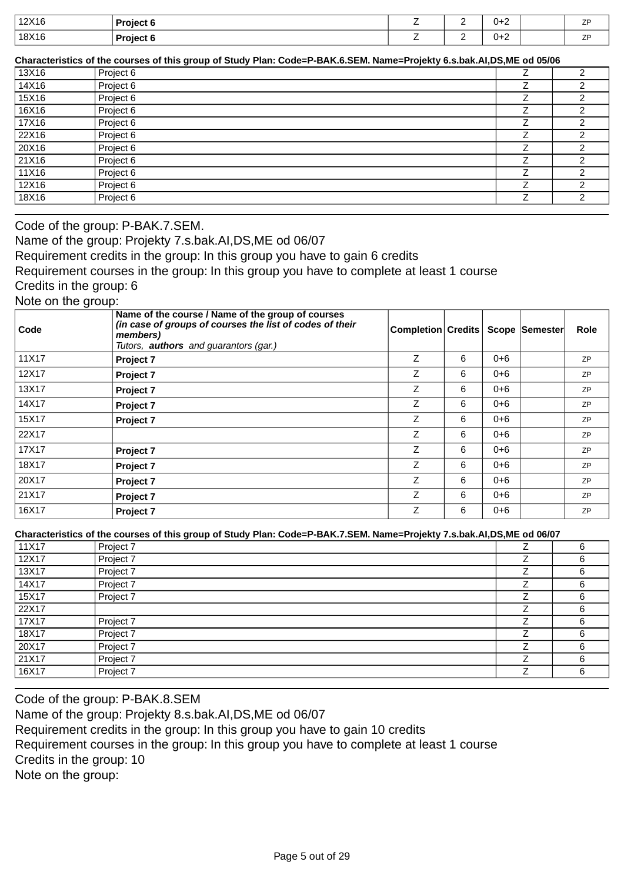| 12X16 | <b>Project f</b> | $\sim$<br>- | - | ∪+<br>. .<br>$\sim$ $\sim$ $\sim$ $\sim$ $\sim$ $\sim$ $\sim$ | $\overline{z}$<br>-        |
|-------|------------------|-------------|---|---------------------------------------------------------------|----------------------------|
| 18X16 | <b>Project 6</b> | -           | - | U+Z                                                           | $\overline{ }$<br><u>_</u> |

**Characteristics of the courses of this group of Study Plan: Code=P-BAK.6.SEM. Name=Projekty 6.s.bak.AI,DS,ME od 05/06**

| 13X16 | Project 6 | ⌒      |
|-------|-----------|--------|
| 14X16 | Project 6 |        |
| 15X16 | Project 6 |        |
| 16X16 | Project 6 |        |
| 17X16 | Project 6 |        |
| 22X16 | Project 6 |        |
| 20X16 | Project 6 |        |
| 21X16 | Project 6 | ົ<br>╭ |
| 11X16 | Project 6 | ⌒      |
| 12X16 | Project 6 |        |
| 18X16 | Project 6 |        |

Code of the group: P-BAK.7.SEM.

Name of the group: Projekty 7.s.bak.AI,DS,ME od 06/07

Requirement credits in the group: In this group you have to gain 6 credits

Requirement courses in the group: In this group you have to complete at least 1 course

Credits in the group: 6

Note on the group:

| Code  | Name of the course / Name of the group of courses<br>(in case of groups of courses the list of codes of their<br>members)<br>Tutors, <b>authors</b> and guarantors (gar.) | <b>Completion Credits</b> |   |         | Scope Semester | <b>Role</b> |
|-------|---------------------------------------------------------------------------------------------------------------------------------------------------------------------------|---------------------------|---|---------|----------------|-------------|
| 11X17 | Project 7                                                                                                                                                                 | Z                         | 6 | $0 + 6$ |                | ZP          |
| 12X17 | Project 7                                                                                                                                                                 | Z                         | 6 | $0 + 6$ |                | <b>ZP</b>   |
| 13X17 | Project 7                                                                                                                                                                 | Ζ                         | 6 | $0 + 6$ |                | <b>ZP</b>   |
| 14X17 | Project 7                                                                                                                                                                 | Ζ                         | 6 | $0 + 6$ |                | ZP          |
| 15X17 | Project 7                                                                                                                                                                 | Z                         | 6 | $0 + 6$ |                | ZP          |
| 22X17 |                                                                                                                                                                           | Z                         | 6 | $0 + 6$ |                | <b>ZP</b>   |
| 17X17 | Project 7                                                                                                                                                                 | Ζ                         | 6 | $0 + 6$ |                | ZP          |
| 18X17 | Project 7                                                                                                                                                                 | Z                         | 6 | $0 + 6$ |                | ZP          |
| 20X17 | Project 7                                                                                                                                                                 | Z                         | 6 | $0 + 6$ |                | <b>ZP</b>   |
| 21X17 | Project 7                                                                                                                                                                 | Ζ                         | 6 | 0+6     |                | <b>ZP</b>   |
| 16X17 | Project 7                                                                                                                                                                 | Z                         | 6 | $0 + 6$ |                | ZP          |

**Characteristics of the courses of this group of Study Plan: Code=P-BAK.7.SEM. Name=Projekty 7.s.bak.AI,DS,ME od 06/07**

| 11X17 | Project 7 | ⇁ | 6 |
|-------|-----------|---|---|
| 12X17 | Project 7 |   | 6 |
| 13X17 | Project 7 |   | 6 |
| 14X17 | Project 7 | ⇁ | 6 |
| 15X17 | Project 7 | ⇁ | 6 |
| 22X17 |           | ⇁ | 6 |
| 17X17 | Project 7 |   | 6 |
| 18X17 | Project 7 | ⇁ | 6 |
| 20X17 | Project 7 | ⇁ | 6 |
| 21X17 | Project 7 | ⇁ | 6 |
| 16X17 | Project 7 | ⇁ | 6 |

Code of the group: P-BAK.8.SEM Name of the group: Projekty 8.s.bak.AI,DS,ME od 06/07 Requirement credits in the group: In this group you have to gain 10 credits Requirement courses in the group: In this group you have to complete at least 1 course Credits in the group: 10 Note on the group: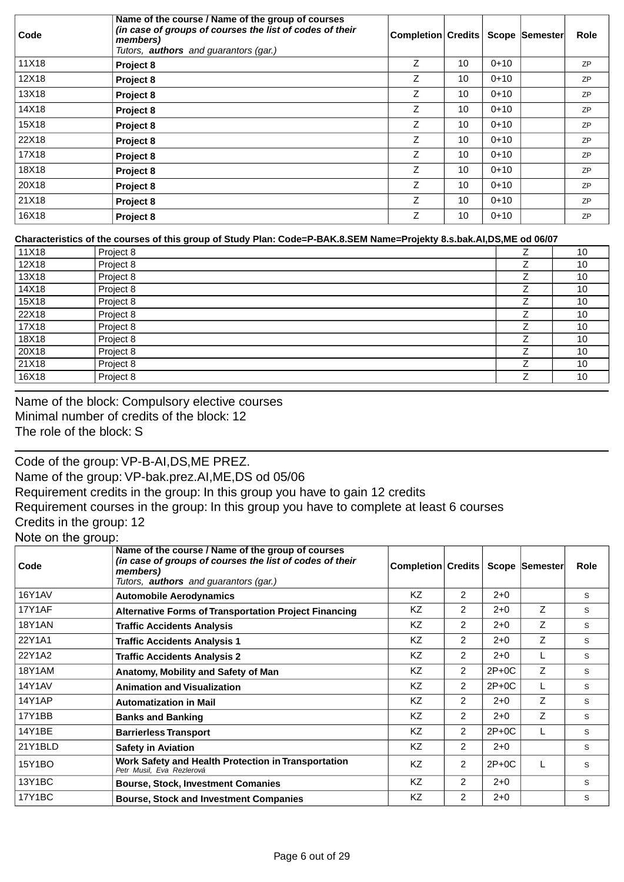| Code  | Name of the course / Name of the group of courses<br>(in case of groups of courses the list of codes of their<br>members)<br>Tutors, <b>authors</b> and guarantors (gar.) | <b>Completion Credits</b> |    |          | <b>Scope Semester</b> | <b>Role</b> |
|-------|---------------------------------------------------------------------------------------------------------------------------------------------------------------------------|---------------------------|----|----------|-----------------------|-------------|
| 11X18 | Project 8                                                                                                                                                                 | Z                         | 10 | $0 + 10$ |                       | <b>ZP</b>   |
| 12X18 | Project 8                                                                                                                                                                 | Z                         | 10 | $0 + 10$ |                       | <b>ZP</b>   |
| 13X18 | Project 8                                                                                                                                                                 | Z                         | 10 | $0 + 10$ |                       | <b>ZP</b>   |
| 14X18 | Project 8                                                                                                                                                                 | Z                         | 10 | $0 + 10$ |                       | <b>ZP</b>   |
| 15X18 | Project 8                                                                                                                                                                 | Z                         | 10 | $0 + 10$ |                       | <b>ZP</b>   |
| 22X18 | Project 8                                                                                                                                                                 | Z                         | 10 | $0 + 10$ |                       | <b>ZP</b>   |
| 17X18 | Project 8                                                                                                                                                                 | Z                         | 10 | $0 + 10$ |                       | <b>ZP</b>   |
| 18X18 | Project 8                                                                                                                                                                 | Z                         | 10 | $0 + 10$ |                       | <b>ZP</b>   |
| 20X18 | Project 8                                                                                                                                                                 | Z                         | 10 | $0+10$   |                       | <b>ZP</b>   |
| 21X18 | Project 8                                                                                                                                                                 | Z                         | 10 | $0 + 10$ |                       | <b>ZP</b>   |
| 16X18 | Project 8                                                                                                                                                                 | Z                         | 10 | $0 + 10$ |                       | <b>ZP</b>   |

### **Characteristics of the courses of this group of Study Plan: Code=P-BAK.8.SEM Name=Projekty 8.s.bak.AI,DS,ME od 06/07**

| 11X18 | Project 8 | ⇁ | 10 |
|-------|-----------|---|----|
| 12X18 | Project 8 |   | 10 |
| 13X18 | Project 8 |   | 10 |
| 14X18 | Project 8 |   | 10 |
| 15X18 | Project 8 |   | 10 |
| 22X18 | Project 8 |   | 10 |
| 17X18 | Project 8 |   | 10 |
| 18X18 | Project 8 |   | 10 |
| 20X18 | Project 8 |   | 10 |
| 21X18 | Project 8 | ⇁ | 10 |
| 16X18 | Project 8 |   | 10 |

Name of the block: Compulsory elective courses Minimal number of credits of the block: 12 The role of the block: S

Code of the group: VP-B-AI,DS,ME PREZ. Name of the group: VP-bak.prez.AI,ME,DS od 05/06 Requirement credits in the group: In this group you have to gain 12 credits Requirement courses in the group: In this group you have to complete at least 6 courses Credits in the group: 12

Note on the group:

| Code          | Name of the course / Name of the group of courses<br>(in case of groups of courses the list of codes of their<br>members)<br>Tutors, <b>authors</b> and guarantors (gar.) | Completion Credits   Scope Semester |                |         |   | Role |
|---------------|---------------------------------------------------------------------------------------------------------------------------------------------------------------------------|-------------------------------------|----------------|---------|---|------|
| 16Y1AV        | <b>Automobile Aerodynamics</b>                                                                                                                                            | KZ                                  | $\overline{2}$ | $2 + 0$ |   | S    |
| 17Y1AF        | <b>Alternative Forms of Transportation Project Financing</b>                                                                                                              | KZ                                  | 2              | $2 + 0$ | Ζ | S    |
| <b>18Y1AN</b> | <b>Traffic Accidents Analysis</b>                                                                                                                                         | KZ                                  | 2              | $2 + 0$ | Ζ | S    |
| 22Y1A1        | <b>Traffic Accidents Analysis 1</b>                                                                                                                                       | KZ                                  | $\overline{2}$ | $2+0$   | Ζ | S    |
| 22Y1A2        | <b>Traffic Accidents Analysis 2</b>                                                                                                                                       | KZ                                  | 2              | $2+0$   |   | S    |
| 18Y1AM        | Anatomy, Mobility and Safety of Man                                                                                                                                       | KZ                                  | $\overline{2}$ | $2P+0C$ | Z | S    |
| 14Y1AV        | <b>Animation and Visualization</b>                                                                                                                                        | KZ                                  | 2              | $2P+0C$ |   | S    |
| 14Y1AP        | <b>Automatization in Mail</b>                                                                                                                                             | KZ                                  | $\mathcal{P}$  | $2+0$   | Z | S    |
| 17Y1BB        | <b>Banks and Banking</b>                                                                                                                                                  | KZ                                  | 2              | $2+0$   | Z | S    |
| 14Y1BE        | <b>Barrierless Transport</b>                                                                                                                                              | KZ                                  | $\overline{2}$ | $2P+0C$ |   | S    |
| 21Y1BLD       | <b>Safety in Aviation</b>                                                                                                                                                 | KZ.                                 | $\overline{2}$ | $2+0$   |   | S    |
| 15Y1BO        | Work Safety and Health Protection in Transportation<br>Petr Musil, Eva Rezlerová                                                                                          | <b>KZ</b>                           | $\overline{2}$ | $2P+0C$ |   | S    |
| 13Y1BC        | <b>Bourse, Stock, Investment Comanies</b>                                                                                                                                 | KZ                                  | 2              | $2+0$   |   | S    |
| 17Y1BC        | <b>Bourse, Stock and Investment Companies</b>                                                                                                                             | <b>KZ</b>                           | 2              | $2+0$   |   | S    |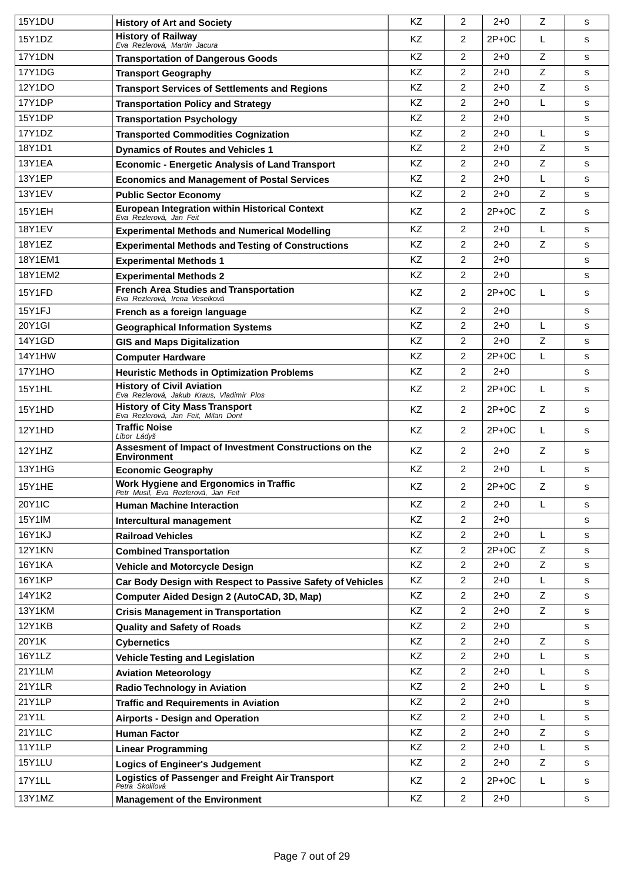| <b>15Y1DU</b> | <b>History of Art and Society</b>                                                | <b>KZ</b> | 2                | $2+0$   | Z           | S |
|---------------|----------------------------------------------------------------------------------|-----------|------------------|---------|-------------|---|
| 15Y1DZ        | <b>History of Railway</b><br>Eva Rezlerová, Martin Jacura                        | <b>KZ</b> | $\overline{2}$   | $2P+0C$ | L           | S |
| 17Y1DN        | <b>Transportation of Dangerous Goods</b>                                         | KZ        | $\overline{2}$   | $2 + 0$ | Z           | S |
| 17Y1DG        | <b>Transport Geography</b>                                                       | KZ        | $\overline{2}$   | $2 + 0$ | Z           | S |
| 12Y1DO        | <b>Transport Services of Settlements and Regions</b>                             | KZ        | $\overline{2}$   | $2 + 0$ | Z           | S |
| 17Y1DP        | <b>Transportation Policy and Strategy</b>                                        | KZ        | $\overline{2}$   | $2+0$   | L           | S |
| 15Y1DP        | <b>Transportation Psychology</b>                                                 | KZ        | $\overline{2}$   | $2 + 0$ |             | S |
| 17Y1DZ        | <b>Transported Commodities Cognization</b>                                       | KZ        | $\overline{2}$   | $2 + 0$ | L           | S |
| 18Y1D1        | <b>Dynamics of Routes and Vehicles 1</b>                                         | KZ        | 2                | $2+0$   | Z           | S |
| <b>13Y1EA</b> | <b>Economic - Energetic Analysis of Land Transport</b>                           | <b>KZ</b> | 2                | $2 + 0$ | Z           | S |
| 13Y1EP        | <b>Economics and Management of Postal Services</b>                               | KZ        | $\overline{2}$   | $2+0$   | L           | S |
| <b>13Y1EV</b> | <b>Public Sector Economy</b>                                                     | KZ        | $\overline{2}$   | $2 + 0$ | Z           | S |
| 15Y1EH        | <b>European Integration within Historical Context</b><br>Eva Rezlerová, Jan Feit | KZ        | $\overline{2}$   | $2P+0C$ | Z           | S |
| <b>18Y1EV</b> | <b>Experimental Methods and Numerical Modelling</b>                              | <b>KZ</b> | 2                | $2 + 0$ | L           | S |
| 18Y1EZ        | <b>Experimental Methods and Testing of Constructions</b>                         | KZ        | $\overline{2}$   | $2 + 0$ | Z           | S |
| 18Y1EM1       | <b>Experimental Methods 1</b>                                                    | <b>KZ</b> | $\overline{2}$   | $2+0$   |             | S |
| 18Y1EM2       | <b>Experimental Methods 2</b>                                                    | KZ        | $\overline{2}$   | $2 + 0$ |             | S |
| 15Y1FD        | <b>French Area Studies and Transportation</b><br>Eva Rezlerová, Irena Veselková  | KZ        | $\overline{2}$   | $2P+0C$ | L           | S |
| 15Y1FJ        | French as a foreign language                                                     | <b>KZ</b> | 2                | $2 + 0$ |             | S |
| 20Y1GI        | <b>Geographical Information Systems</b>                                          | KZ        | $\overline{2}$   | $2 + 0$ | L           | S |
| 14Y1GD        | <b>GIS and Maps Digitalization</b>                                               | <b>KZ</b> | 2                | $2+0$   | Z           | S |
| 14Y1HW        | <b>Computer Hardware</b>                                                         | <b>KZ</b> | $\overline{c}$   | $2P+0C$ | L           | S |
| <b>17Y1HO</b> | <b>Heuristic Methods in Optimization Problems</b>                                | KZ        | $\overline{2}$   | $2 + 0$ |             | S |
| <b>15Y1HL</b> | <b>History of Civil Aviation</b><br>Eva Rezlerová, Jakub Kraus, Vladimír Plos    | KZ        | 2                | $2P+0C$ | L           | S |
| 15Y1HD        | <b>History of City Mass Transport</b><br>Eva Rezlerová, Jan Feit, Milan Dont     | KZ        | $\overline{2}$   | $2P+OC$ | Z           | S |
| 12Y1HD        | <b>Traffic Noise</b><br>Libor Ládyš                                              | KZ        | $\overline{2}$   | $2P+0C$ | L           | S |
| 12Y1HZ        | Assesment of Impact of Investment Constructions on the<br><b>Environment</b>     | KZ        | 2                | $2+0$   | Z           | S |
| 13Y1HG        | <b>Economic Geography</b>                                                        | KZ        | $\overline{2}$   | $2+0$   | L           | S |
| 15Y1HE        | Work Hygiene and Ergonomics in Traffic<br>Petr Musil, Eva Rezlerová, Jan Feit    | KZ        | $\boldsymbol{2}$ | $2P+OC$ | $\mathsf Z$ | S |
| 20Y1IC        | <b>Human Machine Interaction</b>                                                 | KZ        | $\overline{2}$   | $2 + 0$ | L           | S |
| 15Y1IM        | Intercultural management                                                         | KZ        | $\overline{2}$   | $2 + 0$ |             | S |
| 16Y1KJ        | <b>Railroad Vehicles</b>                                                         | KZ        | 2                | $2 + 0$ | L           | S |
| <b>12Y1KN</b> | <b>Combined Transportation</b>                                                   | KZ        | $\overline{2}$   | 2P+0C   | Z           | S |
| <b>16Y1KA</b> | <b>Vehicle and Motorcycle Design</b>                                             | KZ        | 2                | $2 + 0$ | Z           | S |
| <b>16Y1KP</b> | Car Body Design with Respect to Passive Safety of Vehicles                       | KZ        | $\overline{2}$   | $2 + 0$ | L           | S |
| 14Y1K2        | Computer Aided Design 2 (AutoCAD, 3D, Map)                                       | KZ        | $\overline{2}$   | $2 + 0$ | Z           | S |
| 13Y1KM        | <b>Crisis Management in Transportation</b>                                       | KZ        | 2                | $2 + 0$ | Z           | S |
| <b>12Y1KB</b> | <b>Quality and Safety of Roads</b>                                               | KZ        | $\overline{2}$   | $2 + 0$ |             | S |
| 20Y1K         | <b>Cybernetics</b>                                                               | KZ        | $\overline{2}$   | $2 + 0$ | Z           | S |
| 16Y1LZ        | <b>Vehicle Testing and Legislation</b>                                           | KZ        | $\overline{2}$   | $2 + 0$ | L           | S |
| 21Y1LM        | <b>Aviation Meteorology</b>                                                      | KZ        | $\overline{2}$   | $2 + 0$ | L           | S |
| 21Y1LR        | <b>Radio Technology in Aviation</b>                                              | KZ        | $\boldsymbol{2}$ | $2 + 0$ | L           | S |
| 21Y1LP        | <b>Traffic and Requirements in Aviation</b>                                      | KZ        | $\overline{2}$   | $2 + 0$ |             | S |
| 21Y1L         | <b>Airports - Design and Operation</b>                                           | KZ        | $\overline{2}$   | $2 + 0$ | L           | S |
| 21Y1LC        | <b>Human Factor</b>                                                              | KZ        | $\overline{2}$   | $2 + 0$ | Z           | S |
| <b>11Y1LP</b> | <b>Linear Programming</b>                                                        | KZ        | $\overline{2}$   | $2 + 0$ | L           | S |
| <b>15Y1LU</b> | <b>Logics of Engineer's Judgement</b>                                            | KZ        | $\overline{2}$   | 2+0     | Z           | S |
| 17Y1LL        | Logistics of Passenger and Freight Air Transport<br>Petra Skolilová              | KZ        | $\overline{2}$   | $2P+0C$ | L           | S |
| 13Y1MZ        | <b>Management of the Environment</b>                                             | KZ        | $\overline{2}$   | $2 + 0$ |             | S |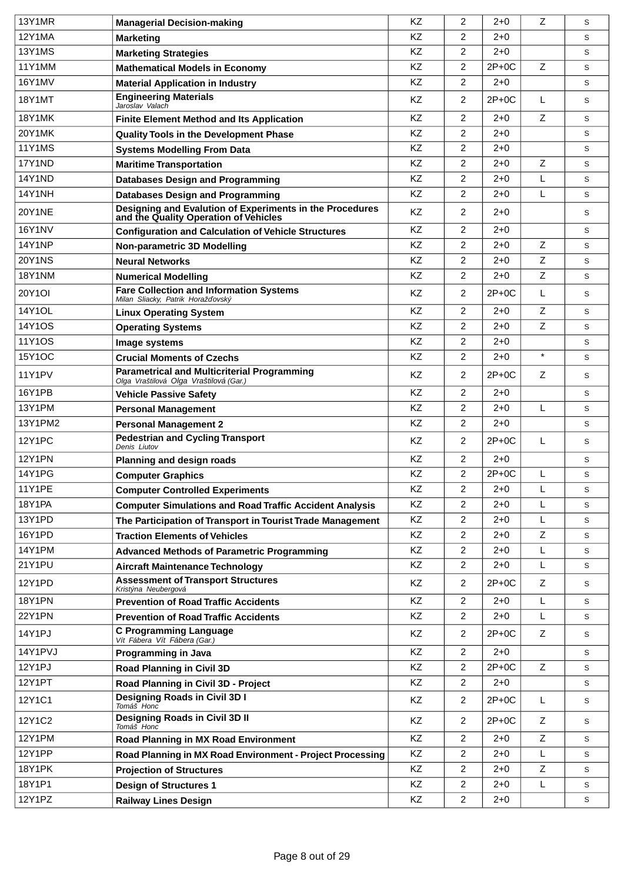| <b>13Y1MR</b> | <b>Managerial Decision-making</b>                                                                 | KZ        | $\overline{2}$ | $2 + 0$ | Z           | S           |
|---------------|---------------------------------------------------------------------------------------------------|-----------|----------------|---------|-------------|-------------|
| 12Y1MA        | <b>Marketing</b>                                                                                  | KZ        | $\overline{2}$ | $2+0$   |             | S           |
| <b>13Y1MS</b> | <b>Marketing Strategies</b>                                                                       | KZ        | $\overline{2}$ | $2 + 0$ |             | S           |
| 11Y1MM        | <b>Mathematical Models in Economy</b>                                                             | KZ        | $\overline{2}$ | $2P+0C$ | Z           | S           |
| 16Y1MV        | <b>Material Application in Industry</b>                                                           | KZ        | $\overline{2}$ | $2 + 0$ |             | S           |
| 18Y1MT        | <b>Engineering Materials</b><br>Jaroslav Valach                                                   | KZ        | 2              | 2P+0C   | L           | S           |
| <b>18Y1MK</b> | <b>Finite Element Method and Its Application</b>                                                  | KZ        | $\overline{2}$ | $2+0$   | Z           | S           |
| 20Y1MK        | <b>Quality Tools in the Development Phase</b>                                                     | KZ        | $\overline{2}$ | $2 + 0$ |             | S           |
| <b>11Y1MS</b> | <b>Systems Modelling From Data</b>                                                                | KZ        | $\overline{2}$ | $2 + 0$ |             | S           |
| 17Y1ND        | <b>Maritime Transportation</b>                                                                    | KZ        | $\overline{2}$ | $2 + 0$ | Z           | S           |
| <b>14Y1ND</b> | <b>Databases Design and Programming</b>                                                           | KZ        | $\overline{2}$ | $2+0$   | L           | S           |
| <b>14Y1NH</b> | <b>Databases Design and Programming</b>                                                           | KZ        | $\overline{2}$ | $2+0$   | L           | S           |
| <b>20Y1NE</b> | Designing and Evalution of Experiments in the Procedures<br>and the Quality Operation of Vehicles | KZ        | $\overline{2}$ | $2 + 0$ |             | S           |
| <b>16Y1NV</b> | <b>Configuration and Calculation of Vehicle Structures</b>                                        | <b>KZ</b> | 2              | $2 + 0$ |             | S           |
| <b>14Y1NP</b> | Non-parametric 3D Modelling                                                                       | KZ        | $\overline{2}$ | $2 + 0$ | Z           | S           |
| <b>20Y1NS</b> | <b>Neural Networks</b>                                                                            | <b>KZ</b> | $\overline{2}$ | $2+0$   | Z           | S           |
| <b>18Y1NM</b> | <b>Numerical Modelling</b>                                                                        | KZ        | $\overline{2}$ | $2 + 0$ | $\mathsf Z$ | S           |
| 20Y1OI        | <b>Fare Collection and Information Systems</b><br>Milan Sliacky, Patrik Horaž ovský               | KZ        | $\overline{2}$ | $2P+0C$ | L           | S           |
| 14Y1OL        | <b>Linux Operating System</b>                                                                     | KZ        | 2              | $2+0$   | Z           | S           |
| 14Y1OS        | <b>Operating Systems</b>                                                                          | KZ        | $\overline{2}$ | $2+0$   | Z           | S           |
| 11Y1OS        | Image systems                                                                                     | KZ        | $\overline{2}$ | $2 + 0$ |             | S           |
| 15Y1OC        | <b>Crucial Moments of Czechs</b>                                                                  | KZ        | $\overline{2}$ | $2 + 0$ | $\star$     | S           |
| <b>11Y1PV</b> | <b>Parametrical and Multicriterial Programming</b><br>Olga Vraštilová Olga Vraštilová (Gar.)      | KZ        | $\overline{2}$ | $2P+OC$ | Z           | S           |
| 16Y1PB        | <b>Vehicle Passive Safety</b>                                                                     | <b>KZ</b> | $\overline{2}$ | $2+0$   |             | S           |
| 13Y1PM        | <b>Personal Management</b>                                                                        | KZ        | $\overline{c}$ | $2 + 0$ | L           | S           |
| 13Y1PM2       | <b>Personal Management 2</b>                                                                      | KZ        | $\overline{2}$ | $2 + 0$ |             | S           |
| <b>12Y1PC</b> | <b>Pedestrian and Cycling Transport</b><br>Denis Liutov                                           | KZ        | $\overline{2}$ | $2P+0C$ | L           | S           |
| <b>12Y1PN</b> | Planning and design roads                                                                         | KZ        | $\overline{2}$ | $2 + 0$ |             | S           |
| <b>14Y1PG</b> | <b>Computer Graphics</b>                                                                          | <b>KZ</b> | $\overline{2}$ | $2P+0C$ | L           | S           |
| <b>11Y1PE</b> | <b>Computer Controlled Experiments</b>                                                            | KZ        | 2              | $2 + 0$ | L           | $\mathbb S$ |
| 18Y1PA        | <b>Computer Simulations and Road Traffic Accident Analysis</b>                                    | KZ        | $\overline{2}$ | $2 + 0$ | L           | S           |
| 13Y1PD        | The Participation of Transport in Tourist Trade Management                                        | KZ        | $\overline{2}$ | $2 + 0$ | L           | S           |
| 16Y1PD        | <b>Traction Elements of Vehicles</b>                                                              | KZ        | $\overline{2}$ | $2 + 0$ | Z           | S           |
| 14Y1PM        | <b>Advanced Methods of Parametric Programming</b>                                                 | KZ        | $\overline{2}$ | $2 + 0$ | L           | S           |
| 21Y1PU        | <b>Aircraft Maintenance Technology</b>                                                            | KZ        | $\overline{2}$ | $2 + 0$ | L           | S           |
| 12Y1PD        | <b>Assessment of Transport Structures</b><br>Kristýna Neubergová                                  | ΚZ        | $\overline{2}$ | $2P+0C$ | Z           | S           |
| <b>18Y1PN</b> | <b>Prevention of Road Traffic Accidents</b>                                                       | KZ        | $\overline{2}$ | $2 + 0$ | L           | S           |
| 22Y1PN        | <b>Prevention of Road Traffic Accidents</b>                                                       | KZ        | 2              | $2 + 0$ | L           | S           |
| 14Y1PJ        | <b>C Programming Language</b><br>Vít Fábera Vít Fábera (Gar.)                                     | KZ        | $\overline{2}$ | 2P+0C   | Z           | S           |
| 14Y1PVJ       | Programming in Java                                                                               | KZ        | 2              | $2 + 0$ |             | S           |
| 12Y1PJ        | <b>Road Planning in Civil 3D</b>                                                                  | KZ        | $\overline{2}$ | $2P+0C$ | Z           | S           |
| <b>12Y1PT</b> | Road Planning in Civil 3D - Project                                                               | KZ        | $\overline{2}$ | $2 + 0$ |             | S           |
| 12Y1C1        | Designing Roads in Civil 3D I<br>Tomáš Honc                                                       | KZ        | 2              | $2P+0C$ | L           | S           |
| 12Y1C2        | Designing Roads in Civil 3D II<br>Tomáš Honc                                                      | KZ        | $\overline{2}$ | $2P+OC$ | Z           | S           |
| <b>12Y1PM</b> | <b>Road Planning in MX Road Environment</b>                                                       | KZ        | $\overline{2}$ | $2+0$   | Z           | S           |
| <b>12Y1PP</b> | Road Planning in MX Road Environment - Project Processing                                         | KZ        | $\overline{2}$ | $2 + 0$ | L           | S           |
| <b>18Y1PK</b> | <b>Projection of Structures</b>                                                                   | KZ        | $\overline{2}$ | $2 + 0$ | $\mathsf Z$ | S           |
| 18Y1P1        | <b>Design of Structures 1</b>                                                                     | KZ        | 2              | $2 + 0$ | L           | S           |
| 12Y1PZ        | <b>Railway Lines Design</b>                                                                       | KZ        | $\overline{2}$ | $2 + 0$ |             | S           |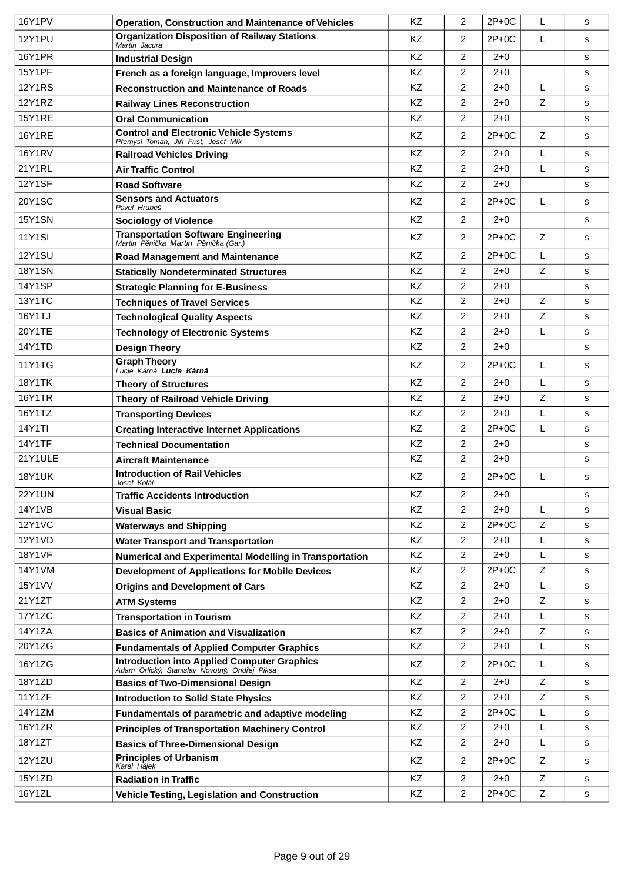| 16Y1PV        | <b>Operation, Construction and Maintenance of Vehicles</b>                                   | <b>KZ</b> | 2              | $2P+OC$ | L | S |
|---------------|----------------------------------------------------------------------------------------------|-----------|----------------|---------|---|---|
| <b>12Y1PU</b> | <b>Organization Disposition of Railway Stations</b><br>Martin Jacura                         | <b>KZ</b> | 2              | $2P+0C$ | L | S |
| <b>16Y1PR</b> | <b>Industrial Design</b>                                                                     | KZ        | 2              | $2 + 0$ |   | S |
| <b>15Y1PF</b> | French as a foreign language, Improvers level                                                | KZ        | 2              | $2 + 0$ |   | S |
| <b>12Y1RS</b> | <b>Reconstruction and Maintenance of Roads</b>                                               | <b>KZ</b> | $\overline{2}$ | $2 + 0$ | L | S |
| <b>12Y1RZ</b> | <b>Railway Lines Reconstruction</b>                                                          | KZ        | $\overline{2}$ | 2+0     | Z | S |
| <b>15Y1RE</b> | <b>Oral Communication</b>                                                                    | <b>KZ</b> | $\overline{2}$ | $2 + 0$ |   | S |
| <b>16Y1RE</b> | <b>Control and Electronic Vehicle Systems</b><br>P emysl Toman, Ji í First, Josef Mík        | KZ        | $\overline{2}$ | $2P+OC$ | Z | S |
| <b>16Y1RV</b> | <b>Railroad Vehicles Driving</b>                                                             | <b>KZ</b> | $\overline{2}$ | $2 + 0$ | L | S |
| 21Y1RL        | <b>Air Traffic Control</b>                                                                   | KZ        | $\overline{2}$ | $2 + 0$ | L | S |
| <b>12Y1SF</b> | <b>Road Software</b>                                                                         | KZ        | $\overline{2}$ | $2 + 0$ |   | S |
| 20Y1SC        | <b>Sensors and Actuators</b><br>Pavel Hrubeš                                                 | KZ        | $\overline{2}$ | $2P+OC$ | L | S |
| <b>15Y1SN</b> | <b>Sociology of Violence</b>                                                                 | <b>KZ</b> | $\overline{2}$ | $2 + 0$ |   | S |
| <b>11Y1SI</b> | Transportation Software Engineering<br>Martin P ni ka Martin P ni ka (Gar.)                  | KZ        | $\overline{2}$ | $2P+0C$ | Ζ | S |
| <b>12Y1SU</b> | <b>Road Management and Maintenance</b>                                                       | <b>KZ</b> | $\overline{2}$ | $2P+0C$ | L | S |
| <b>18Y1SN</b> | <b>Statically Nondeterminated Structures</b>                                                 | KZ        | $\overline{2}$ | $2 + 0$ | Z | S |
| <b>14Y1SP</b> | <b>Strategic Planning for E-Business</b>                                                     | KZ        | 2              | $2 + 0$ |   | S |
| 13Y1TC        | <b>Techniques of Travel Services</b>                                                         | <b>KZ</b> | $\overline{2}$ | $2 + 0$ | Z | S |
| 16Y1TJ        | <b>Technological Quality Aspects</b>                                                         | KZ        | $\overline{2}$ | $2 + 0$ | Z | S |
| 20Y1TE        | <b>Technology of Electronic Systems</b>                                                      | KZ        | 2              | $2 + 0$ | L | S |
| 14Y1TD        | <b>Design Theory</b>                                                                         | KZ        | $\overline{2}$ | $2 + 0$ |   | S |
| <b>11Y1TG</b> | <b>Graph Theory</b><br>Lucie Kárná Lucie Kárná                                               | KZ        | 2              | $2P+0C$ | L | S |
| <b>18Y1TK</b> | <b>Theory of Structures</b>                                                                  | KZ        | $\overline{2}$ | $2 + 0$ | L | S |
| <b>16Y1TR</b> | <b>Theory of Railroad Vehicle Driving</b>                                                    | KZ        | $\overline{2}$ | $2 + 0$ | Z | S |
| 16Y1TZ        | <b>Transporting Devices</b>                                                                  | KZ        | 2              | $2 + 0$ | L | S |
| <b>14Y1TI</b> | <b>Creating Interactive Internet Applications</b>                                            | KZ        | $\overline{2}$ | $2P+0C$ | L | S |
| <b>14Y1TF</b> | <b>Technical Documentation</b>                                                               | KZ        | 2              | $2 + 0$ |   | S |
| 21Y1ULE       | Aircraft Maintenance                                                                         | KZ        | 2              | $2 + 0$ |   | S |
| <b>18Y1UK</b> | <b>Introduction of Rail Vehicles</b><br>Josef Kolá                                           | KZ        | $\overline{2}$ | $2P+0C$ | L | S |
| <b>22Y1UN</b> | <b>Traffic Accidents Introduction</b>                                                        | KZ        | 2              | $2 + 0$ |   | S |
| 14Y1VB        | <b>Visual Basic</b>                                                                          | KZ        | 2              | $2+0$   | L | S |
| <b>12Y1VC</b> | <b>Waterways and Shipping</b>                                                                | KZ        | $\overline{2}$ | $2P+0C$ | Z | S |
| 12Y1VD        | <b>Water Transport and Transportation</b>                                                    | KZ        | $\overline{2}$ | $2 + 0$ | L | S |
| <b>18Y1VF</b> | Numerical and Experimental Modelling in Transportation                                       | KZ        | $\overline{2}$ | $2+0$   | L | S |
| 14Y1VM        | <b>Development of Applications for Mobile Devices</b>                                        | KZ        | $\overline{2}$ | $2P+OC$ | Ζ | S |
| 15Y1VV        | <b>Origins and Development of Cars</b>                                                       | KZ        | $\overline{2}$ | $2 + 0$ | L | S |
| 21Y1ZT        | <b>ATM Systems</b>                                                                           | KZ        | $\overline{2}$ | $2 + 0$ | Ζ | S |
| 17Y1ZC        | <b>Transportation in Tourism</b>                                                             | KZ        | $\overline{2}$ | $2 + 0$ | L | S |
| 14Y1ZA        | <b>Basics of Animation and Visualization</b>                                                 | KZ        | $\overline{2}$ | $2 + 0$ | Z | S |
| 20Y1ZG        | <b>Fundamentals of Applied Computer Graphics</b>                                             | KZ        | $\overline{2}$ | $2 + 0$ | L | S |
| 16Y1ZG        | Introduction into Applied Computer Graphics<br>Adam Orlický, Stanislav Novotný, Ond ej Piksa | KZ        | $\overline{2}$ | $2P+0C$ | L | S |
| 18Y1ZD        | <b>Basics of Two-Dimensional Design</b>                                                      | KZ        | $\overline{2}$ | $2 + 0$ | Z | S |
| 11Y1ZF        | <b>Introduction to Solid State Physics</b>                                                   | KZ        | $\overline{2}$ | $2 + 0$ | Z | S |
| 14Y1ZM        | Fundamentals of parametric and adaptive modeling                                             | KZ        | $\overline{2}$ | $2P+OC$ | L | S |
| 16Y1ZR        | <b>Principles of Transportation Machinery Control</b>                                        | KZ        | $\overline{2}$ | $2 + 0$ | L | S |
| 18Y1ZT        | <b>Basics of Three-Dimensional Design</b>                                                    | KZ        | $\overline{2}$ | $2 + 0$ | L | S |
| 12Y1ZU        | <b>Principles of Urbanism</b><br>Karel Hájek                                                 | KZ        | $\overline{2}$ | $2P+0C$ | Z | S |
| 15Y1ZD        | <b>Radiation in Traffic</b>                                                                  | KZ        | $\overline{2}$ | $2 + 0$ | Ζ | S |
| 16Y1ZL        | Vehicle Testing, Legislation and Construction                                                | KZ        | $\overline{2}$ | $2P+0C$ | Z | S |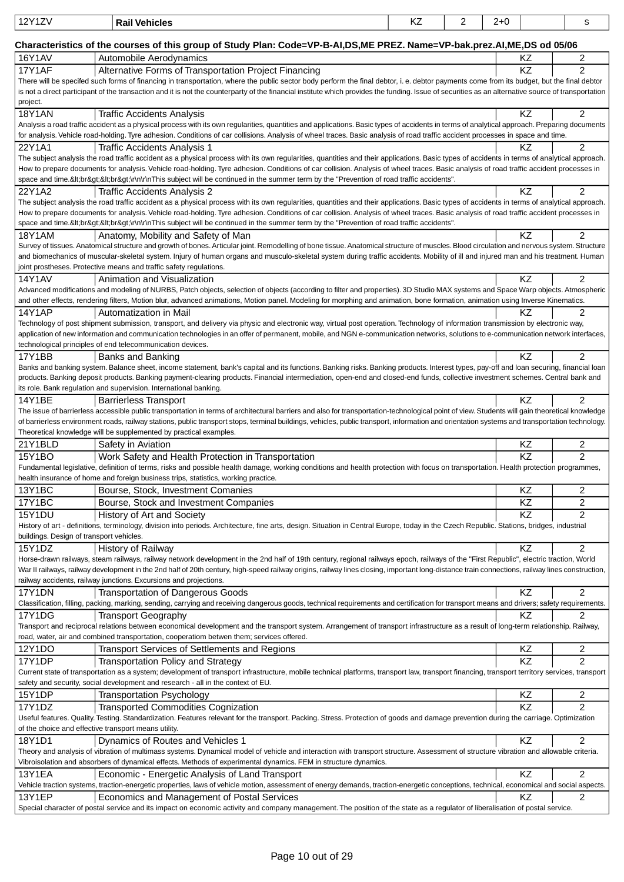| 12Y1ZV                                   | <b>Rail Vehicles</b>                                                                                                                                                                                                                                                                                                                                                       | KZ. | 2 | $2+0$ |                 | S                   |
|------------------------------------------|----------------------------------------------------------------------------------------------------------------------------------------------------------------------------------------------------------------------------------------------------------------------------------------------------------------------------------------------------------------------------|-----|---|-------|-----------------|---------------------|
|                                          | Characteristics of the courses of this group of Study Plan: Code=VP-B-AI,DS,ME PREZ. Name=VP-bak.prez.AI,ME,DS od 05/06                                                                                                                                                                                                                                                    |     |   |       |                 |                     |
| 16Y1AV                                   | Automobile Aerodynamics                                                                                                                                                                                                                                                                                                                                                    |     |   |       | KZ.             | $\overline{c}$      |
| 17Y1AF                                   | Alternative Forms of Transportation Project Financing                                                                                                                                                                                                                                                                                                                      |     |   |       | KZ              | $\overline{2}$      |
|                                          | There will be specifed such forms of financing in transportation, where the public sector body perform the final debtor, i. e. debtor payments come from its budget, but the final debtor                                                                                                                                                                                  |     |   |       |                 |                     |
|                                          | is not a direct participant of the transaction and it is not the counterparty of the financial institute which provides the funding. Issue of securities as an alternative source of transportation                                                                                                                                                                        |     |   |       |                 |                     |
| project.                                 |                                                                                                                                                                                                                                                                                                                                                                            |     |   |       |                 |                     |
| <b>18Y1AN</b>                            | <b>Traffic Accidents Analysis</b><br>Analysis a road traffic accident as a physical process with its own regularities, quantities and applications. Basic types of accidents in terms of analytical approach. Preparing documents                                                                                                                                          |     |   |       | KZ              | 2                   |
|                                          | for analysis. Vehicle road-holding. Tyre adhesion. Conditions of car collisions. Analysis of wheel traces. Basic analysis of road traffic accident processes in space and time.                                                                                                                                                                                            |     |   |       |                 |                     |
| 22Y1A1                                   | Traffic Accidents Analysis 1                                                                                                                                                                                                                                                                                                                                               |     |   |       | ΚZ              | $\overline{2}$      |
|                                          | The subject analysis the road traffic accident as a physical process with its own regularities, quantities and their applications. Basic types of accidents in terms of analytical approach.                                                                                                                                                                               |     |   |       |                 |                     |
|                                          | How to prepare documents for analysis. Vehicle road-holding. Tyre adhesion. Conditions of car collision. Analysis of wheel traces. Basic analysis of road traffic accident processes in<br>space and time.<br><br>\r\n\r\nThis subject will be continued in the summer term by the "Prevention of road traffic accidents".                                                 |     |   |       |                 |                     |
| 22Y1A2                                   | Traffic Accidents Analysis 2                                                                                                                                                                                                                                                                                                                                               |     |   |       | <b>KZ</b>       | $\overline{2}$      |
|                                          | The subject analysis the road traffic accident as a physical process with its own regularities, quantities and their applications. Basic types of accidents in terms of analytical approach.                                                                                                                                                                               |     |   |       |                 |                     |
|                                          | How to prepare documents for analysis. Vehicle road-holding. Tyre adhesion. Conditions of car collision. Analysis of wheel traces. Basic analysis of road traffic accident processes in                                                                                                                                                                                    |     |   |       |                 |                     |
|                                          | space and time.<br><br>\r\n\r\nThis subject will be continued in the summer term by the "Prevention of road traffic accidents".                                                                                                                                                                                                                                            |     |   |       |                 |                     |
| <b>18Y1AM</b>                            | Anatomy, Mobility and Safety of Man<br>Survey of tissues. Anatomical structure and growth of bones. Articular joint. Remodelling of bone tissue. Anatomical structure of muscles. Blood circulation and nervous system. Structure                                                                                                                                          |     |   |       | KZ              | $\overline{2}$      |
|                                          | and biomechanics of muscular-skeletal system. Injury of human organs and musculo-skeletal system during traffic accidents. Mobility of ill and injured man and his treatment. Human                                                                                                                                                                                        |     |   |       |                 |                     |
|                                          | joint prostheses. Protective means and traffic safety regulations.                                                                                                                                                                                                                                                                                                         |     |   |       |                 |                     |
| 14Y1AV                                   | Animation and Visualization                                                                                                                                                                                                                                                                                                                                                |     |   |       | <b>KZ</b>       | $\overline{2}$      |
|                                          | Advanced modifications and modeling of NURBS, Patch objects, selection of objects (according to filter and properties). 3D Studio MAX systems and Space Warp objects. Atmospheric<br>and other effects, rendering filters, Motion blur, advanced animations, Motion panel. Modeling for morphing and animation, bone formation, animation using Inverse Kinematics.        |     |   |       |                 |                     |
| <b>14Y1AP</b>                            | Automatization in Mail                                                                                                                                                                                                                                                                                                                                                     |     |   |       | ΚZ              | $\overline{c}$      |
|                                          | Technology of post shipment submission, transport, and delivery via physic and electronic way, virtual post operation. Technology of information transmission by electronic way,                                                                                                                                                                                           |     |   |       |                 |                     |
|                                          | application of new information and communication technologies in an offer of permanent, mobile, and NGN e-communication networks, solutions to e-communication network interfaces,                                                                                                                                                                                         |     |   |       |                 |                     |
|                                          | technological principles of end telecommunication devices.                                                                                                                                                                                                                                                                                                                 |     |   |       |                 |                     |
| 17Y1BB                                   | Banks and Banking                                                                                                                                                                                                                                                                                                                                                          |     |   |       | <b>KZ</b>       | $\overline{2}$      |
|                                          | Banks and banking system. Balance sheet, income statement, bank's capital and its functions. Banking risks. Banking products. Interest types, pay-off and loan securing, financial loan<br>products. Banking deposit products. Banking payment-clearing products. Financial intermediation, open-end and closed-end funds, collective investment schemes. Central bank and |     |   |       |                 |                     |
|                                          | its role. Bank regulation and supervision. International banking.                                                                                                                                                                                                                                                                                                          |     |   |       |                 |                     |
| 14Y1BE                                   | <b>Barrierless Transport</b>                                                                                                                                                                                                                                                                                                                                               |     |   |       | KZ.             | 2                   |
|                                          | The issue of barrierless accessible public transportation in terms of architectural barriers and also for transportation-technological point of view. Students will gain theoretical knowledge                                                                                                                                                                             |     |   |       |                 |                     |
|                                          | of barrierless environment roads, railway stations, public transport stops, terminal buildings, vehicles, public transport, information and orientation systems and transportation technology.<br>Theoretical knowledge will be supplemented by practical examples.                                                                                                        |     |   |       |                 |                     |
| 21Y1BLD                                  | Safety in Aviation                                                                                                                                                                                                                                                                                                                                                         |     |   |       | KZ              | 2                   |
| 15Y1BO                                   | Work Safety and Health Protection in Transportation                                                                                                                                                                                                                                                                                                                        |     |   |       | KZ              | $\overline{2}$      |
|                                          | Fundamental legislative, definition of terms, risks and possible health damage, working conditions and health protection with focus on transportation. Health protection programmes,                                                                                                                                                                                       |     |   |       |                 |                     |
|                                          | health insurance of home and foreign business trips, statistics, working practice.                                                                                                                                                                                                                                                                                         |     |   |       |                 |                     |
| 13Y1BC                                   | Bourse, Stock, Investment Comanies                                                                                                                                                                                                                                                                                                                                         |     |   |       | KZ              | 2                   |
| 17Y1BC<br>15Y1DU                         | Bourse, Stock and Investment Companies                                                                                                                                                                                                                                                                                                                                     |     |   |       | KZ<br><b>KZ</b> | $\overline{2}$      |
|                                          | History of Art and Society<br>History of art - definitions, terminology, division into periods. Architecture, fine arts, design. Situation in Central Europe, today in the Czech Republic. Stations, bridges, industrial                                                                                                                                                   |     |   |       |                 | 2                   |
| buildings. Design of transport vehicles. |                                                                                                                                                                                                                                                                                                                                                                            |     |   |       |                 |                     |
| 15Y1DZ                                   | History of Railway                                                                                                                                                                                                                                                                                                                                                         |     |   |       | KZ.             | 2                   |
|                                          | Horse-drawn railways, steam railways, railway network development in the 2nd half of 19th century, regional railways epoch, railways of the "First Republic", electric traction, World                                                                                                                                                                                     |     |   |       |                 |                     |
|                                          | War II railways, railway development in the 2nd half of 20th century, high-speed railway origins, railway lines closing, important long-distance train connections, railway lines construction,<br>railway accidents, railway junctions. Excursions and projections.                                                                                                       |     |   |       |                 |                     |
| 17Y1DN                                   | <b>Transportation of Dangerous Goods</b>                                                                                                                                                                                                                                                                                                                                   |     |   |       | ΚZ              | $\overline{2}$      |
|                                          | Classification, filling, packing, marking, sending, carrying and receiving dangerous goods, technical requirements and certification for transport means and drivers; safety requirements.                                                                                                                                                                                 |     |   |       |                 |                     |
| 17Y1DG                                   | <b>Transport Geography</b>                                                                                                                                                                                                                                                                                                                                                 |     |   |       | <b>KZ</b>       | $\overline{2}$      |
|                                          | Transport and reciprocal relations between economical development and the transport system. Arrangement of transport infrastructure as a result of long-term relationship. Railway,                                                                                                                                                                                        |     |   |       |                 |                     |
|                                          | road, water, air and combined transportation, cooperatiom betwen them; services offered.                                                                                                                                                                                                                                                                                   |     |   |       |                 |                     |
| 12Y1DO<br>17Y1DP                         | Transport Services of Settlements and Regions<br><b>Transportation Policy and Strategy</b>                                                                                                                                                                                                                                                                                 |     |   |       | KZ<br>KZ        | 2<br>$\overline{2}$ |
|                                          | Current state of transportation as a system; development of transport infrastructure, mobile technical platforms, transport law, transport financing, transport territory services, transport                                                                                                                                                                              |     |   |       |                 |                     |
|                                          | safety and security, social development and research - all in the context of EU.                                                                                                                                                                                                                                                                                           |     |   |       |                 |                     |
| 15Y1DP                                   | <b>Transportation Psychology</b>                                                                                                                                                                                                                                                                                                                                           |     |   |       | KZ              | 2                   |
| 17Y1DZ                                   | <b>Transported Commodities Cognization</b>                                                                                                                                                                                                                                                                                                                                 |     |   |       | ΚZ              | $\overline{2}$      |
|                                          | Useful features. Quality. Testing. Standardization. Features relevant for the transport. Packing. Stress. Protection of goods and damage prevention during the carriage. Optimization                                                                                                                                                                                      |     |   |       |                 |                     |
| 18Y1D1                                   | of the choice and effective transport means utility.<br>Dynamics of Routes and Vehicles 1                                                                                                                                                                                                                                                                                  |     |   |       | <b>KZ</b>       | $\overline{2}$      |
|                                          | Theory and analysis of vibration of multimass systems. Dynamical model of vehicle and interaction with transport structure. Assessment of structure vibration and allowable criteria.                                                                                                                                                                                      |     |   |       |                 |                     |
|                                          | Vibroisolation and absorbers of dynamical effects. Methods of experimental dynamics. FEM in structure dynamics.                                                                                                                                                                                                                                                            |     |   |       |                 |                     |
| <b>13Y1EA</b>                            | Economic - Energetic Analysis of Land Transport                                                                                                                                                                                                                                                                                                                            |     |   |       | <b>KZ</b>       | $\overline{2}$      |
|                                          | Vehicle traction systems, traction-energetic properties, laws of vehicle motion, assessment of energy demands, traction-energetic conceptions, technical, economical and social aspects.                                                                                                                                                                                   |     |   |       |                 |                     |
| <b>13Y1EP</b>                            | Economics and Management of Postal Services<br>Special character of postal service and its impact on economic activity and company management. The position of the state as a regulator of liberalisation of postal service.                                                                                                                                               |     |   |       | ΚZ              | 2                   |
|                                          |                                                                                                                                                                                                                                                                                                                                                                            |     |   |       |                 |                     |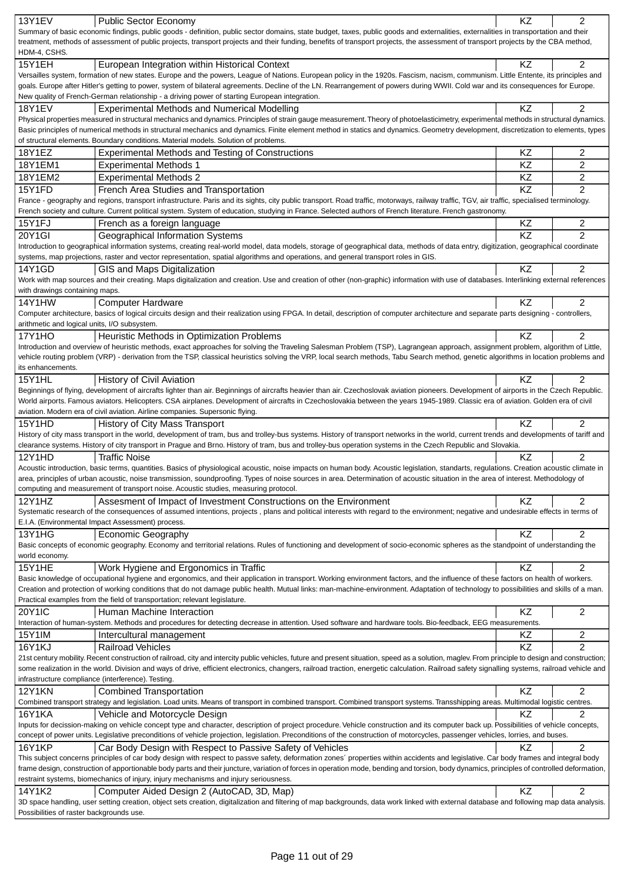| 13Y1EV                                       | <b>Public Sector Economy</b>                                                                                                                                                                                                                                                                                                                                           | KZ        | $\overline{2}$ |
|----------------------------------------------|------------------------------------------------------------------------------------------------------------------------------------------------------------------------------------------------------------------------------------------------------------------------------------------------------------------------------------------------------------------------|-----------|----------------|
|                                              | Summary of basic economic findings, public goods - definition, public sector domains, state budget, taxes, public goods and externalities, externalities in transportation and their                                                                                                                                                                                   |           |                |
|                                              | treatment, methods of assessment of public projects, transport projects and their funding, benefits of transport projects, the assessment of transport projects by the CBA method,                                                                                                                                                                                     |           |                |
| HDM-4, CSHS.                                 |                                                                                                                                                                                                                                                                                                                                                                        |           |                |
| 15Y1EH                                       | European Integration within Historical Context                                                                                                                                                                                                                                                                                                                         | <b>KZ</b> | $\overline{2}$ |
|                                              | Versailles system, formation of new states. Europe and the powers, League of Nations. European policy in the 1920s. Fascism, nacism, communism. Little Entente, its principles and<br>goals. Europe after Hitler's getting to power, system of bilateral agreements. Decline of the LN. Rearrangement of powers during WWII. Cold war and its consequences for Europe. |           |                |
|                                              | New quality of French-German relationship - a driving power of starting European integration.                                                                                                                                                                                                                                                                          |           |                |
| <b>18Y1EV</b>                                | <b>Experimental Methods and Numerical Modelling</b>                                                                                                                                                                                                                                                                                                                    | KZ.       | $\overline{2}$ |
|                                              | Physical properties measured in structural mechanics and dynamics. Principles of strain gauge measurement. Theory of photoelasticimetry, experimental methods in structural dynamics.                                                                                                                                                                                  |           |                |
|                                              | Basic principles of numerical methods in structural mechanics and dynamics. Finite element method in statics and dynamics. Geometry development, discretization to elements, types                                                                                                                                                                                     |           |                |
|                                              | of structural elements. Boundary conditions. Material models. Solution of problems.                                                                                                                                                                                                                                                                                    |           |                |
| 18Y1EZ                                       | <b>Experimental Methods and Testing of Constructions</b>                                                                                                                                                                                                                                                                                                               | KZ.       | 2              |
| 18Y1EM1                                      | <b>Experimental Methods 1</b>                                                                                                                                                                                                                                                                                                                                          | <b>KZ</b> | 2              |
| 18Y1EM2                                      | <b>Experimental Methods 2</b>                                                                                                                                                                                                                                                                                                                                          | <b>KZ</b> | 2              |
| 15Y1FD                                       | French Area Studies and Transportation                                                                                                                                                                                                                                                                                                                                 | KZ        | $\overline{2}$ |
|                                              | France - geography and regions, transport infrastructure. Paris and its sights, city public transport. Road traffic, motorways, railway traffic, TGV, air traffic, specialised terminology.                                                                                                                                                                            |           |                |
|                                              | French society and culture. Current political system. System of education, studying in France. Selected authors of French literature. French gastronomy.                                                                                                                                                                                                               |           |                |
| 15Y1FJ                                       | French as a foreign language                                                                                                                                                                                                                                                                                                                                           | KZ        | 2              |
| $20Y1$ GI                                    | <b>Geographical Information Systems</b>                                                                                                                                                                                                                                                                                                                                | <b>KZ</b> | $\overline{2}$ |
|                                              | Introduction to geographical information systems, creating real-world model, data models, storage of geographical data, methods of data entry, digitization, geographical coordinate<br>systems, map projections, raster and vector representation, spatial algorithms and operations, and general transport roles in GIS.                                             |           |                |
| 14Y1GD                                       | GIS and Maps Digitalization                                                                                                                                                                                                                                                                                                                                            | <b>KZ</b> | $\overline{2}$ |
|                                              | Work with map sources and their creating. Maps digitalization and creation. Use and creation of other (non-graphic) information with use of databases. Interlinking external references                                                                                                                                                                                |           |                |
| with drawings containing maps.               |                                                                                                                                                                                                                                                                                                                                                                        |           |                |
| 14Y1HW                                       | <b>Computer Hardware</b>                                                                                                                                                                                                                                                                                                                                               | <b>KZ</b> | 2              |
|                                              | Computer architecture, basics of logical circuits design and their realization using FPGA. In detail, description of computer architecture and separate parts designing - controllers,                                                                                                                                                                                 |           |                |
| arithmetic and logical units, I/O subsystem. |                                                                                                                                                                                                                                                                                                                                                                        |           |                |
| 17Y1HO                                       | Heuristic Methods in Optimization Problems                                                                                                                                                                                                                                                                                                                             | KZ        | 2              |
|                                              | Introduction and overview of heuristic methods, exact approaches for solving the Traveling Salesman Problem (TSP), Lagrangean approach, assignment problem, algorithm of Little,                                                                                                                                                                                       |           |                |
|                                              | vehicle routing problem (VRP) - derivation from the TSP, classical heuristics solving the VRP, local search methods, Tabu Search method, genetic algorithms in location problems and                                                                                                                                                                                   |           |                |
| its enhancements.                            |                                                                                                                                                                                                                                                                                                                                                                        |           |                |
| 15Y1HL                                       | History of Civil Aviation<br>Beginnings of flying, development of aircrafts lighter than air. Beginnings of aircrafts heavier than air. Czechoslovak aviation pioneers. Development of airports in the Czech Republic.                                                                                                                                                 | <b>KZ</b> | 2              |
|                                              | World airports. Famous aviators. Helicopters. CSA airplanes. Development of aircrafts in Czechoslovakia between the years 1945-1989. Classic era of aviation. Golden era of civil                                                                                                                                                                                      |           |                |
|                                              | aviation. Modern era of civil aviation. Airline companies. Supersonic flying.                                                                                                                                                                                                                                                                                          |           |                |
| <b>15Y1HD</b>                                | History of City Mass Transport                                                                                                                                                                                                                                                                                                                                         | KZ        | 2              |
|                                              | History of city mass transport in the world, development of tram, bus and trolley-bus systems. History of transport networks in the world, current trends and developments of tariff and                                                                                                                                                                               |           |                |
|                                              | clearance systems. History of city transport in Prague and Brno. History of tram, bus and trolley-bus operation systems in the Czech Republic and Slovakia.                                                                                                                                                                                                            |           |                |
|                                              |                                                                                                                                                                                                                                                                                                                                                                        |           |                |
| 12Y1HD                                       | <b>Traffic Noise</b>                                                                                                                                                                                                                                                                                                                                                   | KZ.       | 2              |
|                                              | Acoustic introduction, basic terms, quantities. Basics of physiological acoustic, noise impacts on human body. Acoustic legislation, standarts, regulations. Creation acoustic climate in                                                                                                                                                                              |           |                |
|                                              | area, principles of urban acoustic, noise transmission, soundproofing. Types of noise sources in area. Determination of acoustic situation in the area of interest. Methodology of                                                                                                                                                                                     |           |                |
|                                              | computing and measurement of transport noise. Acoustic studies, measuring protocol.                                                                                                                                                                                                                                                                                    |           |                |
| 12Y1HZ                                       | Assesment of Impact of Investment Constructions on the Environment                                                                                                                                                                                                                                                                                                     | KZ        | $\overline{2}$ |
|                                              | Systematic research of the consequences of assumed intentions, projects, plans and political interests with regard to the environment; negative and undesirable effects in terms of                                                                                                                                                                                    |           |                |
|                                              | E.I.A. (Environmental Impact Assessment) process.                                                                                                                                                                                                                                                                                                                      |           |                |
| 13Y1HG                                       | <b>Economic Geography</b><br>Basic concepts of economic geography. Economy and territorial relations. Rules of functioning and development of socio-economic spheres as the standpoint of understanding the                                                                                                                                                            | KZ        | $\overline{2}$ |
| world economy.                               |                                                                                                                                                                                                                                                                                                                                                                        |           |                |
| <b>15Y1HE</b>                                | Work Hygiene and Ergonomics in Traffic                                                                                                                                                                                                                                                                                                                                 | KZ.       | $\overline{2}$ |
|                                              | Basic knowledge of occupational hygiene and ergonomics, and their application in transport. Working environment factors, and the influence of these factors on health of workers.                                                                                                                                                                                      |           |                |
|                                              | Creation and protection of working conditions that do not damage public health. Mutual links: man-machine-environment. Adaptation of technology to possibilities and skills of a man.                                                                                                                                                                                  |           |                |
|                                              | Practical examples from the field of transportation; relevant legislature.                                                                                                                                                                                                                                                                                             |           |                |
| <b>20Y1IC</b>                                | Human Machine Interaction                                                                                                                                                                                                                                                                                                                                              | KZ        | $\overline{c}$ |
|                                              | Interaction of human-system. Methods and procedures for detecting decrease in attention. Used software and hardware tools. Bio-feedback, EEG measurements.                                                                                                                                                                                                             |           |                |
| 15Y1IM                                       | Intercultural management                                                                                                                                                                                                                                                                                                                                               | KZ        | 2              |
| 16Y1KJ                                       | <b>Railroad Vehicles</b>                                                                                                                                                                                                                                                                                                                                               | KZ        | 2              |
|                                              | 21st century mobility. Recent construction of railroad, city and intercity public vehicles, future and present situation, speed as a solution, maglev. From principle to design and construction;                                                                                                                                                                      |           |                |
|                                              | some realization in the world. Division and ways of drive, efficient electronics, changers, railroad traction, energetic calculation. Railroad safety signalling systems, railroad vehicle and<br>infrastructure compliance (interference). Testing.                                                                                                                   |           |                |
| <b>12Y1KN</b>                                | <b>Combined Transportation</b>                                                                                                                                                                                                                                                                                                                                         | KZ        | 2              |
|                                              | Combined transport strategy and legislation. Load units. Means of transport in combined transport. Combined transport systems. Transshipping areas. Multimodal logistic centres.                                                                                                                                                                                       |           |                |
| <b>16Y1KA</b>                                | Vehicle and Motorcycle Design                                                                                                                                                                                                                                                                                                                                          | ΚZ        | 2              |
|                                              | Inputs for decission-making on vehicle concept type and character, description of project procedure. Vehicle construction and its computer back up. Possibilities of vehicle concepts,                                                                                                                                                                                 |           |                |
|                                              | concept of power units. Legislative preconditions of vehicle projection, legislation. Preconditions of the construction of motorcycles, passenger vehicles, lorries, and buses.                                                                                                                                                                                        |           |                |
| 16Y1KP                                       | Car Body Design with Respect to Passive Safety of Vehicles                                                                                                                                                                                                                                                                                                             | KZ        | 2              |
|                                              | This subject concerns principles of car body design with respect to passve safety, deformation zones' properties within accidents and legislative. Car body frames and integral body                                                                                                                                                                                   |           |                |
|                                              | frame design, construction of apportionable body parts and their juncture, variation of forces in operation mode, bending and torsion, body dynamics, principles of controlled deformation,                                                                                                                                                                            |           |                |
|                                              | restraint systems, biomechanics of injury, injury mechanisms and injury seriousness.                                                                                                                                                                                                                                                                                   |           |                |
| 14Y1K2                                       | Computer Aided Design 2 (AutoCAD, 3D, Map)<br>3D space handling, user setting creation, object sets creation, digitalization and filtering of map backgrounds, data work linked with external database and following map data analysis.                                                                                                                                | <b>KZ</b> | 2              |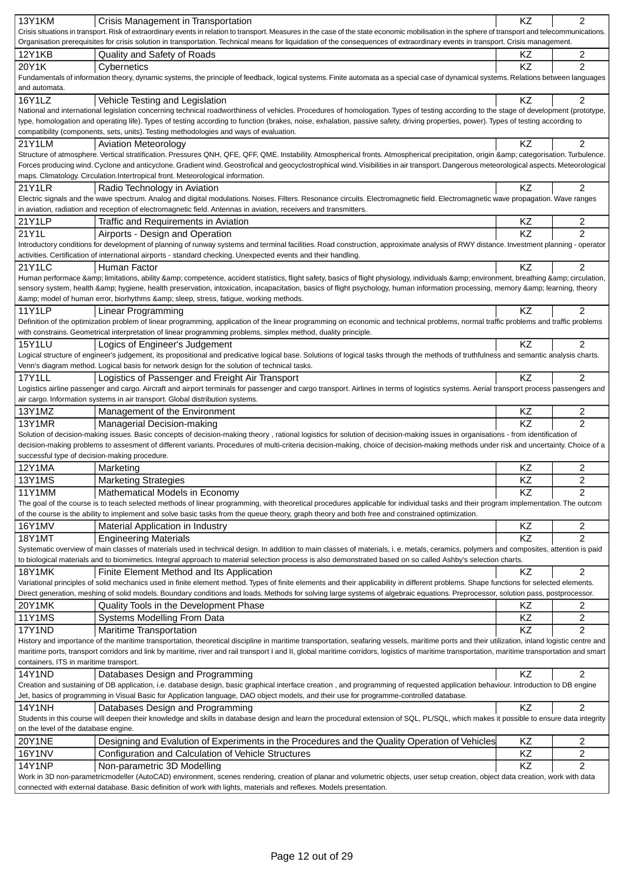| <b>13Y1KM</b>                                 | Crisis Management in Transportation                                                                                                                                                                                                                                                                                                                      | KZ              | $\overline{2}$ |
|-----------------------------------------------|----------------------------------------------------------------------------------------------------------------------------------------------------------------------------------------------------------------------------------------------------------------------------------------------------------------------------------------------------------|-----------------|----------------|
|                                               | Crisis situations in transport. Risk of extraordinary events in relation to transport. Measures in the case of the state economic mobilisation in the sphere of transport and telecommunications.                                                                                                                                                        |                 |                |
|                                               | Organisation prerequisites for crisis solution in transportation. Technical means for liquidation of the consequences of extraordinary events in transport. Crisis management.                                                                                                                                                                           |                 |                |
| <b>12Y1KB</b>                                 | Quality and Safety of Roads                                                                                                                                                                                                                                                                                                                              | ΚZ              | 2              |
| 20Y1K                                         | Cybernetics                                                                                                                                                                                                                                                                                                                                              | KZ              | $\overline{2}$ |
|                                               | Fundamentals of information theory, dynamic systems, the principle of feedback, logical systems. Finite automata as a special case of dynamical systems. Relations between languages                                                                                                                                                                     |                 |                |
| and automata.                                 |                                                                                                                                                                                                                                                                                                                                                          |                 |                |
| 16Y1LZ                                        | Vehicle Testing and Legislation                                                                                                                                                                                                                                                                                                                          | KZ              | $\overline{2}$ |
|                                               | National and international legislation concerning technical roadworthiness of vehicles. Procedures of homologation. Types of testing according to the stage of development (prototype,                                                                                                                                                                   |                 |                |
|                                               | type, homologation and operating life). Types of testing according to function (brakes, noise, exhalation, passive safety, driving properties, power). Types of testing according to                                                                                                                                                                     |                 |                |
|                                               | compatibility (components, sets, units). Testing methodologies and ways of evaluation.                                                                                                                                                                                                                                                                   |                 |                |
| 21Y1LM                                        | <b>Aviation Meteorology</b>                                                                                                                                                                                                                                                                                                                              | KZ              | $\overline{2}$ |
|                                               | Structure of atmosphere. Vertical stratification. Pressures QNH, QFE, QFF, QME. Instability. Atmospherical fronts. Atmospherical precipitation, origin & categorisation. Turbulence.                                                                                                                                                                     |                 |                |
|                                               | Forces producing wind. Cyclone and anticyclone. Gradient wind. Geostrofical and geocyclostrophical wind. Visibilities in air transport. Dangerous meteorological aspects. Meteorological                                                                                                                                                                 |                 |                |
|                                               | maps. Climatology. Circulation. Intertropical front. Meteorological information.                                                                                                                                                                                                                                                                         |                 |                |
| 21Y1LR                                        | Radio Technology in Aviation                                                                                                                                                                                                                                                                                                                             | KZ              | $\overline{2}$ |
|                                               | Electric signals and the wave spectrum. Analog and digital modulations. Noises. Filters. Resonance circuits. Electromagnetic field. Electromagnetic wave propagation. Wave ranges                                                                                                                                                                        |                 |                |
|                                               | in aviation, radiation and reception of electromagnetic field. Antennas in aviation, receivers and transmitters.                                                                                                                                                                                                                                         |                 |                |
| 21Y1LP                                        | Traffic and Requirements in Aviation                                                                                                                                                                                                                                                                                                                     | ΚZ              | 2              |
| 21Y1L                                         | Airports - Design and Operation                                                                                                                                                                                                                                                                                                                          | $\overline{KZ}$ | $\overline{2}$ |
|                                               | Introductory conditions for development of planning of runway systems and terminal facilities. Road construction, approximate analysis of RWY distance. Investment planning - operator                                                                                                                                                                   |                 |                |
|                                               | activities. Certification of international airports - standard checking. Unexpected events and their handling.                                                                                                                                                                                                                                           |                 |                |
| 21Y1LC                                        | Human Factor                                                                                                                                                                                                                                                                                                                                             | KZ              | 2              |
|                                               | Human performace & limitations, ability & competence, accident statistics, flight safety, basics of flight physiology, individuals & environment, breathing & circulation,                                                                                                                                                                               |                 |                |
|                                               | sensory system, health & hygiene, health preservation, intoxication, incapacitation, basics of flight psychology, human information processing, memory & learning, theory                                                                                                                                                                                |                 |                |
|                                               | & model of human error, biorhythms & sleep, stress, fatigue, working methods.                                                                                                                                                                                                                                                                            |                 |                |
| <b>11Y1LP</b>                                 | Linear Programming                                                                                                                                                                                                                                                                                                                                       | KZ              | 2              |
|                                               | Definition of the optimization problem of linear programming, application of the linear programming on economic and technical problems, normal traffic problems and traffic problems                                                                                                                                                                     |                 |                |
|                                               | with constrains. Geometrical interpretation of linear programming problems, simplex method, duality principle.                                                                                                                                                                                                                                           |                 |                |
| <b>15Y1LU</b>                                 | Logics of Engineer's Judgement                                                                                                                                                                                                                                                                                                                           | KZ              | $\overline{2}$ |
|                                               | Logical structure of engineer's judgement, its propositional and predicative logical base. Solutions of logical tasks through the methods of truthfulness and semantic analysis charts.                                                                                                                                                                  |                 |                |
|                                               | Venn's diagram method. Logical basis for network design for the solution of technical tasks.                                                                                                                                                                                                                                                             |                 |                |
| 17Y1LL                                        | Logistics of Passenger and Freight Air Transport                                                                                                                                                                                                                                                                                                         | KZ              | $\overline{2}$ |
|                                               | Logistics airline passenger and cargo. Aircraft and airport terminals for passenger and cargo transport. Airlines in terms of logistics systems. Aerial transport process passengers and                                                                                                                                                                 |                 |                |
|                                               | air cargo. Information systems in air transport. Global distribution systems.                                                                                                                                                                                                                                                                            |                 |                |
| 13Y1MZ                                        | Management of the Environment                                                                                                                                                                                                                                                                                                                            | ΚZ              | 2              |
| <b>13Y1MR</b>                                 | Managerial Decision-making                                                                                                                                                                                                                                                                                                                               | KZ              | $\overline{2}$ |
|                                               | Solution of decision-making issues. Basic concepts of decision-making theory, rational logistics for solution of decision-making issues in organisations - from identification of                                                                                                                                                                        |                 |                |
|                                               | decision-making problems to assesment of different variants. Procedures of multi-criteria decision-making, choice of decision-making methods under risk and uncertainty. Choice of a                                                                                                                                                                     |                 |                |
| successful type of decision-making procedure. |                                                                                                                                                                                                                                                                                                                                                          |                 |                |
| 12Y1MA                                        | Marketing                                                                                                                                                                                                                                                                                                                                                | ΚZ              | 2              |
| <b>13Y1MS</b>                                 | <b>Marketing Strategies</b>                                                                                                                                                                                                                                                                                                                              | KZ              | $\overline{2}$ |
| 11Y1MM                                        | Mathematical Models in Economy                                                                                                                                                                                                                                                                                                                           | KZ              | $\overline{2}$ |
|                                               | The goal of the course is to teach selected methods of linear programming, with theoretical procedures applicable for individual tasks and their program implementation. The outcom                                                                                                                                                                      |                 |                |
|                                               | of the course is the ability to implement and solve basic tasks from the queue theory, graph theory and both free and constrained optimization.                                                                                                                                                                                                          |                 |                |
| 16Y1MV                                        | Material Application in Industry                                                                                                                                                                                                                                                                                                                         | ΚZ              | 2              |
|                                               |                                                                                                                                                                                                                                                                                                                                                          |                 |                |
| <b>18Y1MT</b>                                 | <b>Engineering Materials</b>                                                                                                                                                                                                                                                                                                                             | KZ              | $\overline{2}$ |
|                                               | Systematic overview of main classes of materials used in technical design. In addition to main classes of materials, i. e. metals, ceramics, polymers and composites, attention is paid<br>to biological materials and to biomimetics. Integral approach to material selection process is also demonstrated based on so called Ashby's selection charts. |                 |                |
|                                               |                                                                                                                                                                                                                                                                                                                                                          |                 |                |
| <b>18Y1MK</b>                                 | Finite Element Method and Its Application                                                                                                                                                                                                                                                                                                                | KZ              | $\overline{2}$ |
|                                               | Variational principles of solid mechanics used in finite element method. Types of finite elements and their applicability in different problems. Shape functions for selected elements.                                                                                                                                                                  |                 |                |
|                                               | Direct generation, meshing of solid models. Boundary conditions and loads. Methods for solving large systems of algebraic equations. Preprocessor, solution pass, postprocessor.                                                                                                                                                                         |                 |                |
| 20Y1MK                                        | Quality Tools in the Development Phase                                                                                                                                                                                                                                                                                                                   | ΚZ              | 2              |
| <b>11Y1MS</b>                                 | Systems Modelling From Data                                                                                                                                                                                                                                                                                                                              | ΚZ              | $\overline{c}$ |
| 17Y1ND                                        | <b>Maritime Transportation</b>                                                                                                                                                                                                                                                                                                                           | KZ              | $\overline{2}$ |
|                                               | History and importance of the maritime transportation, theoretical discipline in maritime transportation, seafaring vessels, maritime ports and their utilization, inland logistic centre and                                                                                                                                                            |                 |                |
|                                               | maritime ports, transport corridors and link by maritime, river and rail transport I and II, global maritime corridors, logistics of maritime transportation, maritime transportation and smart                                                                                                                                                          |                 |                |
| containers, ITS in maritime transport.        |                                                                                                                                                                                                                                                                                                                                                          |                 |                |
| 14Y1ND                                        | Databases Design and Programming                                                                                                                                                                                                                                                                                                                         | KZ              | 2              |
|                                               | Creation and sustaining of DB application, i.e. database design, basic graphical interface creation, and programming of requested application behaviour. Introduction to DB engine                                                                                                                                                                       |                 |                |
|                                               | Jet, basics of programming in Visual Basic for Application language, DAO object models, and their use for programme-controlled database.                                                                                                                                                                                                                 |                 |                |
| <b>14Y1NH</b>                                 | Databases Design and Programming                                                                                                                                                                                                                                                                                                                         | KZ              | $\overline{2}$ |
|                                               | Students in this course will deepen their knowledge and skills in database design and learn the procedural extension of SQL, PL/SQL, which makes it possible to ensure data integrity                                                                                                                                                                    |                 |                |
| on the level of the database engine.          |                                                                                                                                                                                                                                                                                                                                                          |                 |                |
| <b>20Y1NE</b>                                 | Designing and Evalution of Experiments in the Procedures and the Quality Operation of Vehicles                                                                                                                                                                                                                                                           | ΚZ              | 2              |
| <b>16Y1NV</b>                                 | Configuration and Calculation of Vehicle Structures                                                                                                                                                                                                                                                                                                      | KZ              | 2              |
| <b>14Y1NP</b>                                 | Non-parametric 3D Modelling                                                                                                                                                                                                                                                                                                                              | KZ              | $\overline{2}$ |
|                                               | Work in 3D non-parametricmodeller (AutoCAD) environment, scenes rendering, creation of planar and volumetric objects, user setup creation, object data creation, work with data                                                                                                                                                                          |                 |                |
|                                               | connected with external database. Basic definition of work with lights, materials and reflexes. Models presentation.                                                                                                                                                                                                                                     |                 |                |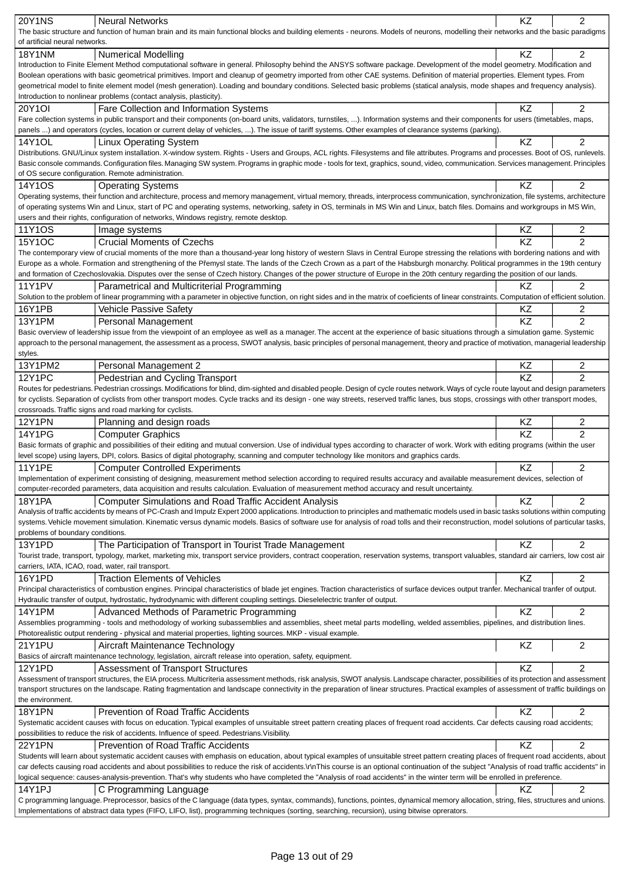| <b>20Y1NS</b>                                      | <b>Neural Networks</b>                                                                                                                                                                                                                                                                                                                | KZ        | $\overline{2}$ |
|----------------------------------------------------|---------------------------------------------------------------------------------------------------------------------------------------------------------------------------------------------------------------------------------------------------------------------------------------------------------------------------------------|-----------|----------------|
|                                                    | The basic structure and function of human brain and its main functional blocks and building elements - neurons. Models of neurons, modelling their networks and the basic paradigms                                                                                                                                                   |           |                |
| of artificial neural networks.                     |                                                                                                                                                                                                                                                                                                                                       |           |                |
| <b>18Y1NM</b>                                      | <b>Numerical Modelling</b>                                                                                                                                                                                                                                                                                                            | <b>KZ</b> | $\overline{2}$ |
|                                                    | Introduction to Finite Element Method computational software in general. Philosophy behind the ANSYS software package. Development of the model geometry. Modification and                                                                                                                                                            |           |                |
|                                                    | Boolean operations with basic geometrical primitives. Import and cleanup of geometry imported from other CAE systems. Definition of material properties. Element types. From                                                                                                                                                          |           |                |
|                                                    | geometrical model to finite element model (mesh generation). Loading and boundary conditions. Selected basic problems (statical analysis, mode shapes and frequency analysis).                                                                                                                                                        |           |                |
|                                                    | Introduction to nonlinear problems (contact analysis, plasticity).                                                                                                                                                                                                                                                                    |           |                |
| 20Y1OI                                             | Fare Collection and Information Systems                                                                                                                                                                                                                                                                                               | KZ        | 2              |
|                                                    | Fare collection systems in public transport and their components (on-board units, validators, turnstiles, ). Information systems and their components for users (timetables, maps,                                                                                                                                                    |           |                |
|                                                    | panels ) and operators (cycles, location or current delay of vehicles, ). The issue of tariff systems. Other examples of clearance systems (parking).                                                                                                                                                                                 |           |                |
| 14Y1OL                                             | <b>Linux Operating System</b>                                                                                                                                                                                                                                                                                                         | KZ        | $\overline{c}$ |
|                                                    | Distributions. GNU/Linux system installation. X-window system. Rights - Users and Groups, ACL rights. Filesystems and file attributes. Programs and processes. Boot of OS, runlevels.                                                                                                                                                 |           |                |
|                                                    | Basic console commands. Configuration files. Managing SW system. Programs in graphic mode - tools for text, graphics, sound, video, communication. Services management. Principles                                                                                                                                                    |           |                |
|                                                    | of OS secure configuration. Remote administration.                                                                                                                                                                                                                                                                                    |           |                |
| 14Y1OS                                             |                                                                                                                                                                                                                                                                                                                                       | KZ        | $\overline{2}$ |
|                                                    | <b>Operating Systems</b><br>Operating systems, their function and architecture, process and memory management, virtual memory, threads, interprocess communication, synchronization, file systems, architecture                                                                                                                       |           |                |
|                                                    | of operating systems Win and Linux, start of PC and operating systems, networking, safety in OS, terminals in MS Win and Linux, batch files. Domains and workgroups in MS Win,                                                                                                                                                        |           |                |
|                                                    |                                                                                                                                                                                                                                                                                                                                       |           |                |
|                                                    | users and their rights, configuration of networks, Windows registry, remote desktop.                                                                                                                                                                                                                                                  |           |                |
| 11Y1OS                                             | Image systems                                                                                                                                                                                                                                                                                                                         | ΚZ        | 2              |
| 15Y1OC                                             | <b>Crucial Moments of Czechs</b>                                                                                                                                                                                                                                                                                                      | KZ        | $\overline{2}$ |
|                                                    | The contemporary view of crucial moments of the more than a thousand-year long history of western Slavs in Central Europe stressing the relations with bordering nations and with                                                                                                                                                     |           |                |
|                                                    | Europe as a whole. Formation and strengthening of the P emysl state. The lands of the Czech Crown as a part of the Habsburgh monarchy. Political programmes in the 19th century                                                                                                                                                       |           |                |
|                                                    | and formation of Czechoslovakia. Disputes over the sense of Czech history. Changes of the power structure of Europe in the 20th century regarding the position of our lands.                                                                                                                                                          |           |                |
| <b>11Y1PV</b>                                      | Parametrical and Multicriterial Programming                                                                                                                                                                                                                                                                                           | ΚZ        | 2              |
|                                                    | Solution to the problem of linear programming with a parameter in objective function, on right sides and in the matrix of coeficients of linear constraints. Computation of efficient solution.                                                                                                                                       |           |                |
| 16Y1PB                                             | <b>Vehicle Passive Safety</b>                                                                                                                                                                                                                                                                                                         | ΚZ        | 2              |
| 13Y1PM                                             | Personal Management                                                                                                                                                                                                                                                                                                                   | <b>KZ</b> | $\overline{2}$ |
|                                                    | Basic overview of leadership issue from the viewpoint of an employee as well as a manager. The accent at the experience of basic situations through a simulation game. Systemic                                                                                                                                                       |           |                |
|                                                    | approach to the personal management, the assessment as a process, SWOT analysis, basic principles of personal management, theory and practice of motivation, managerial leadership                                                                                                                                                    |           |                |
| styles.                                            |                                                                                                                                                                                                                                                                                                                                       |           |                |
| 13Y1PM2                                            | Personal Management 2                                                                                                                                                                                                                                                                                                                 | KZ        | 2              |
| <b>12Y1PC</b>                                      |                                                                                                                                                                                                                                                                                                                                       | KZ        | $\overline{2}$ |
|                                                    | Pedestrian and Cycling Transport<br>Routes for pedestrians. Pedestrian crossings. Modifications for blind, dim-sighted and disabled people. Design of cycle routes network. Ways of cycle route layout and design parameters                                                                                                          |           |                |
|                                                    | for cyclists. Separation of cyclists from other transport modes. Cycle tracks and its design - one way streets, reserved traffic lanes, bus stops, crossings with other transport modes,                                                                                                                                              |           |                |
|                                                    |                                                                                                                                                                                                                                                                                                                                       |           |                |
|                                                    |                                                                                                                                                                                                                                                                                                                                       |           |                |
|                                                    | crossroads. Traffic signs and road marking for cyclists.                                                                                                                                                                                                                                                                              |           |                |
| <b>12Y1PN</b>                                      | Planning and design roads                                                                                                                                                                                                                                                                                                             | KZ        | $\overline{c}$ |
| <b>14Y1PG</b>                                      | <b>Computer Graphics</b>                                                                                                                                                                                                                                                                                                              | KZ        | $\overline{2}$ |
|                                                    | Basic formats of graphic and possibilities of their editing and mutual conversion. Use of individual types according to character of work. Work with editing programs (within the user                                                                                                                                                |           |                |
|                                                    | level scope) using layers, DPI, colors. Basics of digital photography, scanning and computer technology like monitors and graphics cards.                                                                                                                                                                                             |           |                |
| <b>11Y1PE</b>                                      | <b>Computer Controlled Experiments</b>                                                                                                                                                                                                                                                                                                | <b>KZ</b> | $\overline{2}$ |
|                                                    | Implementation of experiment consisting of designing, measurement method selection according to required results accuracy and available measurement devices, selection of                                                                                                                                                             |           |                |
|                                                    | computer-recorded parameters, data acquisition and results calculation. Evaluation of measurement method accuracy and result uncertainty.                                                                                                                                                                                             |           |                |
| 18Y1PA                                             | <b>Computer Simulations and Road Traffic Accident Analysis</b>                                                                                                                                                                                                                                                                        | KZ        | $\overline{2}$ |
|                                                    | Analysis of traffic accidents by means of PC-Crash and Impulz Expert 2000 applications. Introduction to principles and mathematic models used in basic tasks solutions within computing                                                                                                                                               |           |                |
|                                                    | systems. Vehicle movement simulation. Kinematic versus dynamic models. Basics of software use for analysis of road tolls and their reconstruction, model solutions of particular tasks,                                                                                                                                               |           |                |
| problems of boundary conditions.                   |                                                                                                                                                                                                                                                                                                                                       |           |                |
| 13Y1PD                                             | The Participation of Transport in Tourist Trade Management                                                                                                                                                                                                                                                                            | <b>KZ</b> | $\overline{2}$ |
|                                                    |                                                                                                                                                                                                                                                                                                                                       |           |                |
| carriers, IATA, ICAO, road, water, rail transport. | Tourist trade, transport, typology, market, marketing mix, transport service providers, contract cooperation, reservation systems, transport valuables, standard air carriers, low cost air                                                                                                                                           |           |                |
|                                                    |                                                                                                                                                                                                                                                                                                                                       |           |                |
| 16Y1PD                                             | <b>Traction Elements of Vehicles</b>                                                                                                                                                                                                                                                                                                  | KZ        | 2              |
|                                                    | Principal characteristics of combustion engines. Principal characteristics of blade jet engines. Traction characteristics of surface devices output tranfer. Mechanical tranfer of output.                                                                                                                                            |           |                |
|                                                    | Hydraulic transfer of output, hydrostatic, hydrodynamic with different coupling settings. Dieselelectric tranfer of output.                                                                                                                                                                                                           |           |                |
| <b>14Y1PM</b>                                      | Advanced Methods of Parametric Programming                                                                                                                                                                                                                                                                                            | KZ        | 2              |
|                                                    | Assemblies programming - tools and methodology of working subassemblies and assemblies, sheet metal parts modelling, welded assemblies, pipelines, and distribution lines.                                                                                                                                                            |           |                |
|                                                    | Photorealistic output rendering - physical and material properties, lighting sources. MKP - visual example.                                                                                                                                                                                                                           |           |                |
| 21Y1PU                                             | Aircraft Maintenance Technology                                                                                                                                                                                                                                                                                                       | KZ        | $\overline{c}$ |
|                                                    | Basics of aircraft maintenance technology, legislation, aircraft release into operation, safety, equipment.                                                                                                                                                                                                                           |           |                |
| 12Y1PD                                             | Assessment of Transport Structures                                                                                                                                                                                                                                                                                                    | KZ        | $\overline{2}$ |
|                                                    | Assessment of transport structures, the EIA process. Multicriteria assessment methods, risk analysis, SWOT analysis. Landscape character, possibilities of its protection and assessment                                                                                                                                              |           |                |
|                                                    | transport structures on the landscape. Rating fragmentation and landscape connectivity in the preparation of linear structures. Practical examples of assessment of traffic buildings on                                                                                                                                              |           |                |
| the environment.                                   |                                                                                                                                                                                                                                                                                                                                       |           |                |
| <b>18Y1PN</b>                                      | Prevention of Road Traffic Accidents                                                                                                                                                                                                                                                                                                  | KZ        | 2              |
|                                                    | Systematic accident causes with focus on education. Typical examples of unsuitable street pattern creating places of frequent road accidents. Car defects causing road accidents;                                                                                                                                                     |           |                |
|                                                    | possibilities to reduce the risk of accidents. Influence of speed. Pedestrians. Visibility.                                                                                                                                                                                                                                           |           |                |
| <b>22Y1PN</b>                                      | Prevention of Road Traffic Accidents                                                                                                                                                                                                                                                                                                  | KZ.       | $\overline{2}$ |
|                                                    | Students will learn about systematic accident causes with emphasis on education, about typical examples of unsuitable street pattern creating places of frequent road accidents, about                                                                                                                                                |           |                |
|                                                    | car defects causing road accidents and about possibilities to reduce the risk of accidents.\r\nThis course is an optional continuation of the subject "Analysis of road traffic accidents" in                                                                                                                                         |           |                |
|                                                    | logical sequence: causes-analysis-prevention. That's why students who have completed the "Analysis of road accidents" in the winter term will be enrolled in preference.                                                                                                                                                              |           |                |
| 14Y1PJ                                             | C Programming Language                                                                                                                                                                                                                                                                                                                | KZ.       | $\overline{2}$ |
|                                                    | C programming language. Preprocessor, basics of the C language (data types, syntax, commands), functions, pointes, dynamical memory allocation, string, files, structures and unions.<br>Implementations of abstract data types (FIFO, LIFO, list), programming techniques (sorting, searching, recursion), using bitwise oprerators. |           |                |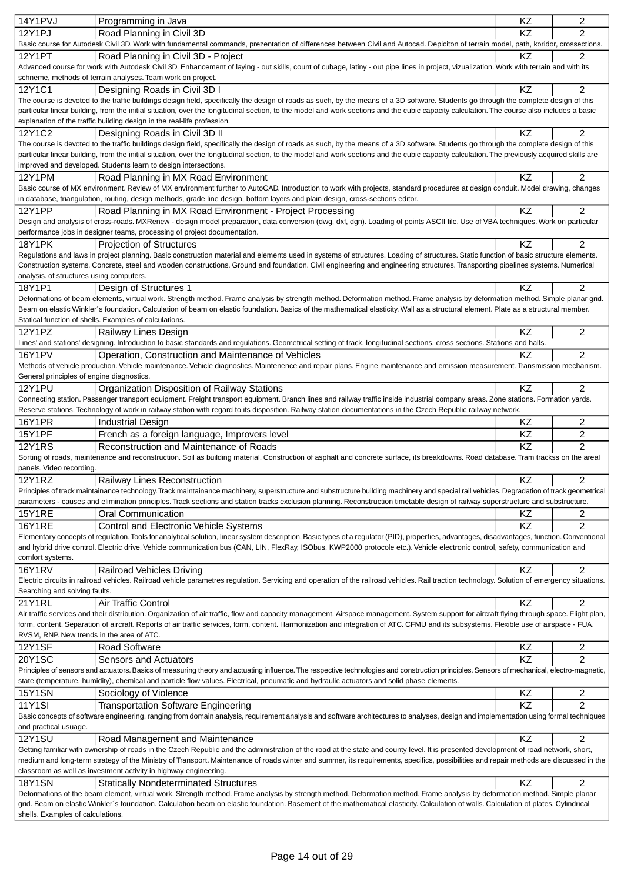| 14Y1PVJ                                   | Programming in Java                                                                                                                                                                                                                                                                                                                     | KZ       | $\overline{c}$      |
|-------------------------------------------|-----------------------------------------------------------------------------------------------------------------------------------------------------------------------------------------------------------------------------------------------------------------------------------------------------------------------------------------|----------|---------------------|
| <b>12Y1PJ</b>                             | Road Planning in Civil 3D                                                                                                                                                                                                                                                                                                               | KZ       | $\overline{c}$      |
|                                           | Basic course for Autodesk Civil 3D. Work with fundamental commands, prezentation of differences between Civil and Autocad. Depiciton of terrain model, path, koridor, crossections.                                                                                                                                                     |          |                     |
| <b>12Y1PT</b>                             | Road Planning in Civil 3D - Project                                                                                                                                                                                                                                                                                                     | ΚZ       | 2                   |
|                                           | Advanced course for work with Autodesk Civil 3D. Enhancement of laying - out skills, count of cubage, latiny - out pipe lines in project, vizualization. Work with terrain and with its                                                                                                                                                 |          |                     |
|                                           | schneme, methods of terrain analyses. Team work on project.                                                                                                                                                                                                                                                                             |          |                     |
| 12Y1C1                                    | Designing Roads in Civil 3D I                                                                                                                                                                                                                                                                                                           | KZ       | $\overline{2}$      |
|                                           | The course is devoted to the traffic buildings design field, specifically the design of roads as such, by the means of a 3D software. Students go through the complete design of this                                                                                                                                                   |          |                     |
|                                           | particular linear building, from the initial situation, over the longitudinal section, to the model and work sections and the cubic capacity calculation. The course also includes a basic                                                                                                                                              |          |                     |
|                                           | explanation of the traffic building design in the real-life profession.                                                                                                                                                                                                                                                                 |          |                     |
| 12Y1C2                                    | Designing Roads in Civil 3D II                                                                                                                                                                                                                                                                                                          | KZ       | 2                   |
|                                           | The course is devoted to the traffic buildings design field, specifically the design of roads as such, by the means of a 3D software. Students go through the complete design of this                                                                                                                                                   |          |                     |
|                                           | particular linear building, from the initial situation, over the longitudinal section, to the model and work sections and the cubic capacity calculation. The previously acquired skills are<br>improved and developed. Students learn to design intersections.                                                                         |          |                     |
| 12Y1PM                                    | Road Planning in MX Road Environment                                                                                                                                                                                                                                                                                                    | KZ       | 2                   |
|                                           | Basic course of MX environment. Review of MX environment further to AutoCAD. Introduction to work with projects, standard procedures at design conduit. Model drawing, changes                                                                                                                                                          |          |                     |
|                                           | in database, triangulation, routing, design methods, grade line design, bottom layers and plain design, cross-sections editor.                                                                                                                                                                                                          |          |                     |
| <b>12Y1PP</b>                             | Road Planning in MX Road Environment - Project Processing                                                                                                                                                                                                                                                                               | ΚZ       | $\overline{2}$      |
|                                           | Design and analysis of cross-roads. MXRenew - design model preparation, data conversion (dwg, dxf, dgn). Loading of points ASCII file. Use of VBA techniques. Work on particular                                                                                                                                                        |          |                     |
|                                           | performance jobs in designer teams, processing of project documentation.                                                                                                                                                                                                                                                                |          |                     |
| <b>18Y1PK</b>                             | <b>Projection of Structures</b>                                                                                                                                                                                                                                                                                                         | KZ       | $\overline{2}$      |
|                                           | Regulations and laws in project planning. Basic construction material and elements used in systems of structures. Loading of structures. Static function of basic structure elements.                                                                                                                                                   |          |                     |
|                                           | Construction systems. Concrete, steel and wooden constructions. Ground and foundation. Civil engineering and engineering structures. Transporting pipelines systems. Numerical                                                                                                                                                          |          |                     |
| analysis. of structures using computers.  |                                                                                                                                                                                                                                                                                                                                         |          |                     |
| 18Y1P1                                    | Design of Structures 1                                                                                                                                                                                                                                                                                                                  | KZ       | $\overline{2}$      |
|                                           | Deformations of beam elements, virtual work. Strength method. Frame analysis by strength method. Deformation method. Frame analysis by deformation method. Simple planar grid.                                                                                                                                                          |          |                     |
|                                           | Beam on elastic Winkler's foundation. Calculation of beam on elastic foundation. Basics of the mathematical elasticity. Wall as a structural element. Plate as a structural member.                                                                                                                                                     |          |                     |
|                                           | Statical function of shells. Examples of calculations.                                                                                                                                                                                                                                                                                  |          |                     |
| 12Y1PZ                                    | Railway Lines Design                                                                                                                                                                                                                                                                                                                    | ΚZ       | $\overline{2}$      |
|                                           | Lines' and stations' designing. Introduction to basic standards and regulations. Geometrical setting of track, longitudinal sections, cross sections. Stations and halts.                                                                                                                                                               |          |                     |
| <b>16Y1PV</b>                             | Operation, Construction and Maintenance of Vehicles                                                                                                                                                                                                                                                                                     | KZ       | $\overline{c}$      |
|                                           | Methods of vehicle production. Vehicle maintenance. Vehicle diagnostics. Maintenence and repair plans. Engine maintenance and emission measurement. Transmission mechanism.                                                                                                                                                             |          |                     |
| General principles of engine diagnostics. |                                                                                                                                                                                                                                                                                                                                         |          |                     |
| <b>12Y1PU</b>                             | Organization Disposition of Railway Stations                                                                                                                                                                                                                                                                                            | KZ       | $\overline{c}$      |
|                                           | Connecting station. Passenger transport equipment. Freight transport equipment. Branch lines and railway traffic inside industrial company areas. Zone stations. Formation yards.                                                                                                                                                       |          |                     |
|                                           | Reserve stations. Technology of work in railway station with regard to its disposition. Railway station documentations in the Czech Republic railway network.                                                                                                                                                                           |          |                     |
| <b>16Y1PR</b>                             | <b>Industrial Design</b>                                                                                                                                                                                                                                                                                                                | KZ       | 2                   |
| <b>15Y1PF</b>                             | French as a foreign language, Improvers level                                                                                                                                                                                                                                                                                           | KZ       | 2                   |
| <b>12Y1RS</b>                             | Reconstruction and Maintenance of Roads                                                                                                                                                                                                                                                                                                 | KZ       | $\overline{2}$      |
| panels. Video recording.                  | Sorting of roads, maintenance and reconstruction. Soil as building material. Construction of asphalt and concrete surface, its breakdowns. Road database. Tram trackss on the areal                                                                                                                                                     |          |                     |
| <b>12Y1RZ</b>                             | <b>Railway Lines Reconstruction</b>                                                                                                                                                                                                                                                                                                     | KZ       | 2                   |
|                                           | Principles of track maintainance technology. Track maintainance machinery, superstructure and substructure building machinery and special rail vehicles. Degradation of track geometrical                                                                                                                                               |          |                     |
|                                           | parameters - causes and elimination principles. Track sections and station tracks exclusion planning. Reconstruction timetable design of railway superstructure and substructure.                                                                                                                                                       |          |                     |
| <b>15Y1RE</b>                             | <b>Oral Communication</b>                                                                                                                                                                                                                                                                                                               | ΚZ       | 2                   |
| <b>16Y1RE</b>                             | Control and Electronic Vehicle Systems                                                                                                                                                                                                                                                                                                  | KZ       | $\overline{c}$      |
|                                           | Elementary concepts of regulation. Tools for analytical solution, linear system description. Basic types of a regulator (PID), properties, advantages, disadvantages, function. Conventional                                                                                                                                            |          |                     |
|                                           | and hybrid drive control. Electric drive. Vehicle communication bus (CAN, LIN, FlexRay, ISObus, KWP2000 protocole etc.). Vehicle electronic control, safety, communication and                                                                                                                                                          |          |                     |
| comfort systems.                          |                                                                                                                                                                                                                                                                                                                                         |          |                     |
| <b>16Y1RV</b>                             | <b>Railroad Vehicles Driving</b>                                                                                                                                                                                                                                                                                                        | KZ       | $\overline{2}$      |
|                                           | Electric circuits in railroad vehicles. Railroad vehicle parametres regulation. Servicing and operation of the railroad vehicles. Rail traction technology. Solution of emergency situations.                                                                                                                                           |          |                     |
| Searching and solving faults.             |                                                                                                                                                                                                                                                                                                                                         |          |                     |
| 21Y1RL                                    | Air Traffic Control                                                                                                                                                                                                                                                                                                                     | KZ.      | $\overline{c}$      |
|                                           | Air traffic services and their distribution. Organization of air traffic, flow and capacity management. Airspace management. System support for aircraft flying through space. Flight plan,                                                                                                                                             |          |                     |
|                                           | form, content. Separation of aircraft. Reports of air traffic services, form, content. Harmonization and integration of ATC. CFMU and its subsystems. Flexible use of airspace - FUA.                                                                                                                                                   |          |                     |
| RVSM, RNP. New trends in the area of ATC. |                                                                                                                                                                                                                                                                                                                                         |          |                     |
| <b>12Y1SF</b>                             | <b>Road Software</b>                                                                                                                                                                                                                                                                                                                    | ΚZ       | 2                   |
| 20Y1SC                                    | Sensors and Actuators                                                                                                                                                                                                                                                                                                                   | KZ       | $\overline{2}$      |
|                                           | Principles of sensors and actuators. Basics of measuring theory and actuating influence. The respective technologies and construction principles. Sensors of mechanical, electro-magnetic,<br>state (temperature, humidity), chemical and particle flow values. Electrical, pneumatic and hydraulic actuators and solid phase elements. |          |                     |
|                                           |                                                                                                                                                                                                                                                                                                                                         |          |                     |
| <b>15Y1SN</b><br><b>11Y1SI</b>            | Sociology of Violence                                                                                                                                                                                                                                                                                                                   | KZ<br>KZ | 2<br>$\overline{2}$ |
|                                           | <b>Transportation Software Engineering</b>                                                                                                                                                                                                                                                                                              |          |                     |
| and practical usuage.                     | Basic concepts of software engineering, ranging from domain analysis, requirement analysis and software architectures to analyses, design and implementation using formal techniques                                                                                                                                                    |          |                     |
| <b>12Y1SU</b>                             | Road Management and Maintenance                                                                                                                                                                                                                                                                                                         | KZ       | $\overline{2}$      |
|                                           | Getting familiar with ownership of roads in the Czech Republic and the administration of the road at the state and county level. It is presented development of road network, short,                                                                                                                                                    |          |                     |
|                                           | medium and long-term strategy of the Ministry of Transport. Maintenance of roads winter and summer, its requirements, specifics, possibilities and repair methods are discussed in the                                                                                                                                                  |          |                     |
|                                           | classroom as well as investment activity in highway engineering.                                                                                                                                                                                                                                                                        |          |                     |
| <b>18Y1SN</b>                             | <b>Statically Nondeterminated Structures</b>                                                                                                                                                                                                                                                                                            | KZ       | $\overline{2}$      |
|                                           | Deformations of the beam element, virtual work. Strength method. Frame analysis by strength method. Deformation method. Frame analysis by deformation method. Simple planar                                                                                                                                                             |          |                     |
|                                           | grid. Beam on elastic Winkler's foundation. Calculation beam on elastic foundation. Basement of the mathematical elasticity. Calculation of walls. Calculation of plates. Cylindrical                                                                                                                                                   |          |                     |
| shells. Examples of calculations.         |                                                                                                                                                                                                                                                                                                                                         |          |                     |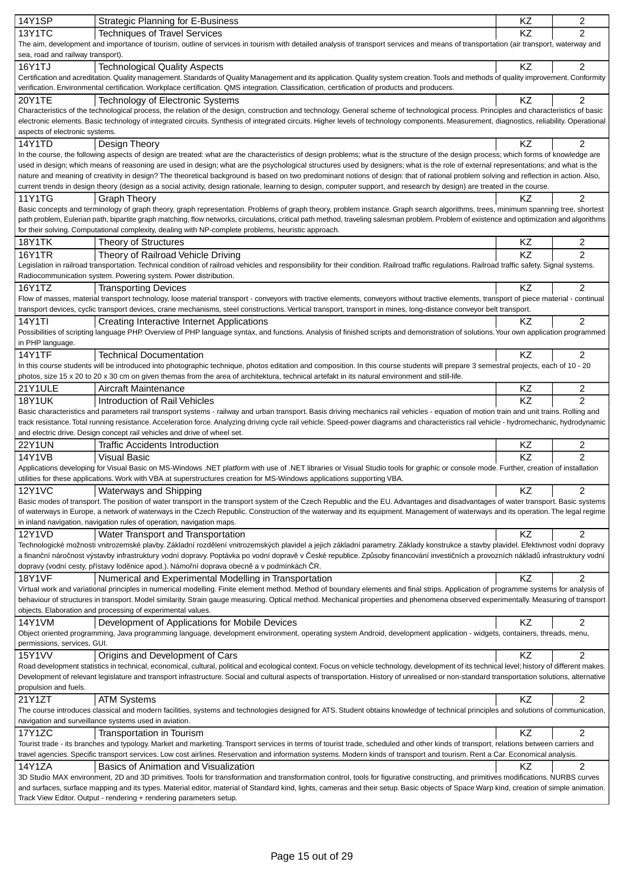| <b>14Y1SP</b>                     | <b>Strategic Planning for E-Business</b>                                                                                                                                                        | KZ              | 2              |
|-----------------------------------|-------------------------------------------------------------------------------------------------------------------------------------------------------------------------------------------------|-----------------|----------------|
| <b>13Y1TC</b>                     | <b>Techniques of Travel Services</b>                                                                                                                                                            | <b>KZ</b>       | $\overline{2}$ |
|                                   | The aim, development and importance of tourism, outline of services in tourism with detailed analysis of transport services and means of transportation (air transport, waterway and            |                 |                |
| sea, road and railway transport). |                                                                                                                                                                                                 |                 |                |
| 16Y1TJ                            | <b>Technological Quality Aspects</b>                                                                                                                                                            | KZ              | $\overline{2}$ |
|                                   | Certification and acreditation. Quality management. Standards of Quality Management and its application. Quality system creation. Tools and methods of quality improvement. Conformity          |                 |                |
|                                   | verification. Environmental certification. Workplace certification. QMS integration. Classification, certification of products and producers.                                                   |                 |                |
| 20Y1TE                            | Technology of Electronic Systems                                                                                                                                                                | KZ              | 2              |
|                                   | Characteristics of the technological process, the relation of the design, construction and technology. General scheme of technological process. Principles and characteristics of basic         |                 |                |
|                                   | electronic elements. Basic technology of integrated circuits. Synthesis of integrated circuits. Higher levels of technology components. Measurement, diagnostics, reliability. Operational      |                 |                |
| aspects of electronic systems.    |                                                                                                                                                                                                 |                 |                |
| <b>14Y1TD</b>                     | Design Theory                                                                                                                                                                                   | KZ              | 2              |
|                                   | In the course, the following aspects of design are treated: what are the characteristics of design problems; what is the structure of the design process; which forms of knowledge are          |                 |                |
|                                   | used in design; which means of reasoning are used in design; what are the psychological structures used by designers; what is the role of external representations; and what is the             |                 |                |
|                                   | nature and meaning of creativity in design? The theoretical background is based on two predominant notions of design: that of rational problem solving and reflection in action. Also,          |                 |                |
|                                   | current trends in design theory (design as a social activity, design rationale, learning to design, computer support, and research by design) are treated in the course.                        |                 |                |
| 11Y1TG                            | <b>Graph Theory</b>                                                                                                                                                                             | KZ              | $\overline{c}$ |
|                                   | Basic concepts and terminology of graph theory, graph representation. Problems of graph theory, problem instance. Graph search algorithms, trees, minimum spanning tree, shortest               |                 |                |
|                                   | path problem, Eulerian path, bipartite graph matching, flow networks, circulations, critical path method, traveling salesman problem. Problem of existence and optimization and algorithms      |                 |                |
|                                   | for their solving. Computational complexity, dealing with NP-complete problems, heuristic approach.                                                                                             |                 |                |
|                                   |                                                                                                                                                                                                 | KZ              | 2              |
| <b>18Y1TK</b>                     | Theory of Structures                                                                                                                                                                            |                 |                |
| <b>16Y1TR</b>                     | Theory of Railroad Vehicle Driving                                                                                                                                                              | $\overline{KZ}$ | $\mathfrak{p}$ |
|                                   | Legislation in railroad transportation. Technical condition of railroad vehicles and responsibility for their condition. Railroad traffic regulations. Railroad traffic safety. Signal systems. |                 |                |
|                                   | Radiocommunication system. Powering system. Power distribution.                                                                                                                                 |                 |                |
| 16Y1TZ                            | <b>Transporting Devices</b>                                                                                                                                                                     | KZ              | 2              |
|                                   | Flow of masses, material transport technology, loose material transport - conveyors with tractive elements, conveyors without tractive elements, transport of piece material - continual        |                 |                |
|                                   | transport devices, cyclic transport devices, crane mechanisms, steel constructions. Vertical transport, transport in mines, long-distance conveyor belt transport.                              |                 |                |
| <b>14Y1TI</b>                     | <b>Creating Interactive Internet Applications</b>                                                                                                                                               | ΚZ              | $\overline{2}$ |
|                                   | Possibilities of scripting language PHP. Overview of PHP language syntax, and functions. Analysis of finished scripts and demonstration of solutions. Your own application programmed           |                 |                |
| in PHP language.                  |                                                                                                                                                                                                 |                 |                |
| <b>14Y1TF</b>                     | <b>Technical Documentation</b>                                                                                                                                                                  | <b>KZ</b>       | $\overline{2}$ |
|                                   | In this course students will be introduced into photographic technique, photos editation and composition. In this course students will prepare 3 semestral projects, each of 10 - 20            |                 |                |
|                                   | photos, size 15 x 20 to 20 x 30 cm on given themas from the area of architektura, technical artefakt in its natural environment and still-life.                                                 |                 |                |
| 21Y1ULE                           | Aircraft Maintenance                                                                                                                                                                            | KZ              | 2              |
| <b>18Y1UK</b>                     | Introduction of Rail Vehicles                                                                                                                                                                   | KZ              | $\overline{2}$ |
|                                   | Basic characteristics and parameters rail transport systems - railway and urban transport. Basis driving mechanics rail vehicles - equation of motion train and unit trains. Rolling and        |                 |                |
|                                   | track resistance. Total running resistance. Acceleration force. Analyzing driving cycle rail vehicle. Speed-power diagrams and characteristics rail vehicle - hydromechanic, hydrodynamic       |                 |                |
|                                   | and electric drive. Design concept rail vehicles and drive of wheel set.                                                                                                                        |                 |                |
| <b>22Y1UN</b>                     | <b>Traffic Accidents Introduction</b>                                                                                                                                                           | KZ              | 2              |
| <b>14Y1VB</b>                     |                                                                                                                                                                                                 | KZ              | $\overline{2}$ |
|                                   | <b>Visual Basic</b>                                                                                                                                                                             |                 |                |
|                                   | Applications developing for Visual Basic on MS-Windows .NET platform with use of .NET libraries or Visual Studio tools for graphic or console mode. Further, creation of installation           |                 |                |
|                                   | utilities for these applications. Work with VBA at superstructures creation for MS-Windows applications supporting VBA.                                                                         |                 |                |
| <b>12Y1VC</b>                     | Waterways and Shipping                                                                                                                                                                          | KZ              | 2              |
|                                   | Basic modes of transport. The position of water transport in the transport system of the Czech Republic and the EU. Advantages and disadvantages of water transport. Basic systems              |                 |                |
|                                   | of waterways in Europe, a network of waterways in the Czech Republic. Construction of the waterway and its equipment. Management of waterways and its operation. The legal regime               |                 |                |
|                                   | in inland navigation, navigation rules of operation, navigation maps.                                                                                                                           |                 |                |
| 12Y1VD                            | Water Transport and Transportation                                                                                                                                                              | KZ              | 2              |
|                                   | Technologické možnosti vnitrozemské plavby. Základní rozd lení vnitrozemských plavidel a jejich základní parametry. Základy konstrukce a stavby plavidel. Efektivnost vodní dopravy             |                 |                |
|                                   | a finan ní náro nost výstavby infrastruktury vodní dopravy. Poptávka po vodní doprav v eské republice. Zp soby financování investi ních a provozních náklad infrastruktury vodní                |                 |                |
|                                   | dopravy (vodní cesty, p ístavy lod nice apod.). Námo ní doprava obecn a v podmínkách R.                                                                                                         |                 |                |
| <b>18Y1VF</b>                     | Numerical and Experimental Modelling in Transportation                                                                                                                                          | KZ              | 2              |
|                                   | Virtual work and variational principles in numerical modelling. Finite element method. Method of boundary elements and final strips. Application of programme systems for analysis of           |                 |                |
|                                   | behaviour of structures in transport. Model similarity. Strain gauge measuring. Optical method. Mechanical properties and phenomena observed experimentally. Measuring of transport             |                 |                |
|                                   | objects. Elaboration and processing of experimental values.                                                                                                                                     |                 |                |
| 14Y1VM                            | Development of Applications for Mobile Devices                                                                                                                                                  | KZ              | 2              |
|                                   | Object oriented programming, Java programming language, development environment, operating system Android, development application - widgets, containers, threads, menu,                        |                 |                |
| permissions, services, GUI.       |                                                                                                                                                                                                 |                 |                |
| <b>15Y1VV</b>                     | Origins and Development of Cars                                                                                                                                                                 | KZ              | $\overline{2}$ |
|                                   | Road development statistics in technical, economical, cultural, political and ecological context. Focus on vehicle technology, development of its technical level; history of different makes.  |                 |                |
|                                   | Development of relevant legislature and transport infrastructure. Social and cultural aspects of transportation. History of unrealised or non-standard transportation solutions, alternative    |                 |                |
| propulsion and fuels.             |                                                                                                                                                                                                 |                 |                |
| 21Y1ZT                            | <b>ATM Systems</b>                                                                                                                                                                              | KZ              | 2              |
|                                   | The course introduces classical and modern facilities, systems and technologies designed for ATS. Student obtains knowledge of technical principles and solutions of communication,             |                 |                |
|                                   | navigation and surveillance systems used in aviation.                                                                                                                                           |                 |                |
| 17Y1ZC                            | Transportation in Tourism                                                                                                                                                                       | KZ              | 2              |
|                                   | Tourist trade - its branches and typology. Market and marketing. Transport services in terms of tourist trade, scheduled and other kinds of transport, relations between carriers and           |                 |                |
|                                   | travel agencies. Specific transport services. Low cost airlines. Reservation and information systems. Modern kinds of transport and tourism. Rent a Car. Economical analysis.                   |                 |                |
| 14Y1ZA                            | Basics of Animation and Visualization                                                                                                                                                           | ΚZ              | 2              |
|                                   | 3D Studio MAX environment, 2D and 3D primitives. Tools for transformation and transformation control, tools for figurative constructing, and primitives modifications. NURBS curves             |                 |                |
|                                   | and surfaces, surface mapping and its types. Material editor, material of Standard kind, lights, cameras and their setup. Basic objects of Space Warp kind, creation of simple animation.       |                 |                |
|                                   | Track View Editor. Output - rendering + rendering parameters setup.                                                                                                                             |                 |                |
|                                   |                                                                                                                                                                                                 |                 |                |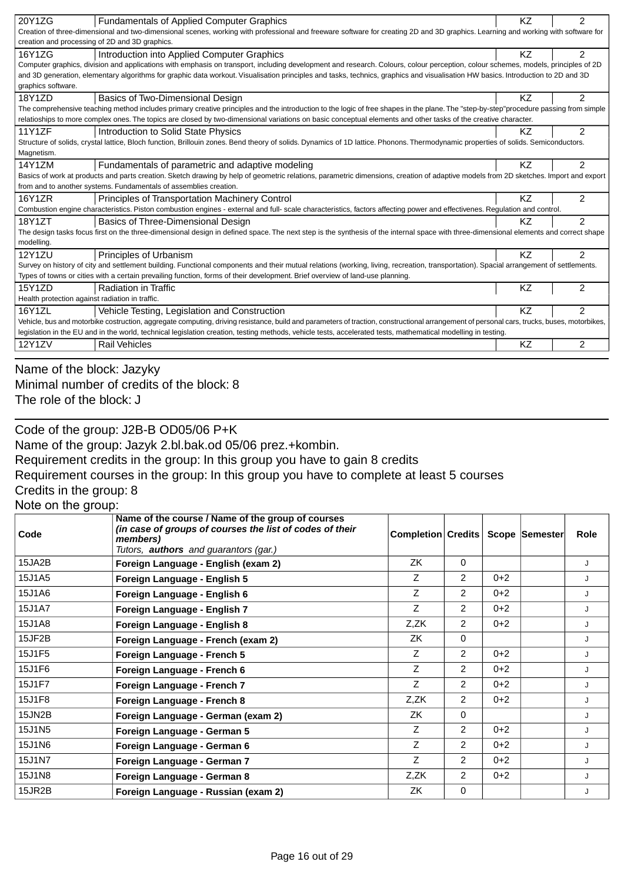| <b>Fundamentals of Applied Computer Graphics</b><br>Creation of three-dimensional and two-dimensional scenes, working with professional and freeware software for creating 2D and 3D graphics. Learning and working with software for<br>creation and processing of 2D and 3D graphics.<br>Introduction into Applied Computer Graphics<br>$\mathfrak{p}$<br>16Y1ZG<br>ΚZ |  |
|--------------------------------------------------------------------------------------------------------------------------------------------------------------------------------------------------------------------------------------------------------------------------------------------------------------------------------------------------------------------------|--|
|                                                                                                                                                                                                                                                                                                                                                                          |  |
|                                                                                                                                                                                                                                                                                                                                                                          |  |
|                                                                                                                                                                                                                                                                                                                                                                          |  |
| Computer graphics, division and applications with emphasis on transport, including development and research. Colours, colour perception, colour schemes, models, principles of 2D                                                                                                                                                                                        |  |
| and 3D generation, elementary algorithms for graphic data workout. Visualisation principles and tasks, technics, graphics and visualisation HW basics. Introduction to 2D and 3D                                                                                                                                                                                         |  |
| graphics software.                                                                                                                                                                                                                                                                                                                                                       |  |
| $\mathfrak{p}$<br>18Y1ZD<br>Basics of Two-Dimensional Design<br>ΚZ                                                                                                                                                                                                                                                                                                       |  |
| The comprehensive teaching method includes primary creative principles and the introduction to the logic of free shapes in the plane. The "step-by-step"procedure passing from simple                                                                                                                                                                                    |  |
| relatioships to more complex ones. The topics are closed by two-dimensional variations on basic conceptual elements and other tasks of the creative character.                                                                                                                                                                                                           |  |
| $\overline{2}$<br>11Y1ZF<br>Introduction to Solid State Physics<br>KZ                                                                                                                                                                                                                                                                                                    |  |
| Structure of solids, crystal lattice, Bloch function, Brillouin zones. Bend theory of solids. Dynamics of 1D lattice. Phonons. Thermodynamic properties of solids. Semiconductors.                                                                                                                                                                                       |  |
| Magnetism.                                                                                                                                                                                                                                                                                                                                                               |  |
| 14Y1ZM<br>Fundamentals of parametric and adaptive modeling<br>2<br>ΚZ                                                                                                                                                                                                                                                                                                    |  |
| Basics of work at products and parts creation. Sketch drawing by help of geometric relations, parametric dimensions, creation of adaptive models from 2D sketches. Import and export                                                                                                                                                                                     |  |
| from and to another systems. Fundamentals of assemblies creation.                                                                                                                                                                                                                                                                                                        |  |
| $\mathfrak{p}$<br>16Y1ZR<br>K7<br>Principles of Transportation Machinery Control                                                                                                                                                                                                                                                                                         |  |
| Combustion engine characteristics. Piston combustion engines - external and full- scale characteristics, factors affecting power and effectivenes. Regulation and control.                                                                                                                                                                                               |  |
| 18Y1ZT<br>$\mathcal{P}$<br>Basics of Three-Dimensional Design<br>K7                                                                                                                                                                                                                                                                                                      |  |
| The design tasks focus first on the three-dimensional design in defined space. The next step is the synthesis of the internal space with three-dimensional elements and correct shape                                                                                                                                                                                    |  |
| modelling.                                                                                                                                                                                                                                                                                                                                                               |  |
| <b>12Y1ZU</b><br>$\mathfrak{p}$<br>KZ<br>Principles of Urbanism                                                                                                                                                                                                                                                                                                          |  |
| Survey on history of city and settlement building. Functional components and their mutual relations (working, living, recreation, transportation). Spacial arrangement of settlements.                                                                                                                                                                                   |  |
| Types of towns or cities with a certain prevailing function, forms of their development. Brief overview of land-use planning.                                                                                                                                                                                                                                            |  |
| KZ<br>$\overline{2}$<br>15Y1ZD<br><b>Radiation in Traffic</b>                                                                                                                                                                                                                                                                                                            |  |
| Health protection against radiation in traffic.                                                                                                                                                                                                                                                                                                                          |  |
| $\mathfrak{p}$<br>16Y1ZL<br>Vehicle Testing, Legislation and Construction<br>KZ                                                                                                                                                                                                                                                                                          |  |
| Vehicle, bus and motorbike costruction, aggregate computing, driving resistance, build and parameters of traction, constructional arrangement of personal cars, trucks, buses, motorbikes,                                                                                                                                                                               |  |
| legislation in the EU and in the world, technical legislation creation, testing methods, vehicle tests, accelerated tests, mathematical modelling in testing.                                                                                                                                                                                                            |  |
| $\overline{2}$<br>12Y1ZV<br><b>Rail Vehicles</b><br>ΚZ                                                                                                                                                                                                                                                                                                                   |  |

Name of the block: Jazyky Minimal number of credits of the block: 8 The role of the block: J

Code of the group: J2B-B OD05/06 P+K Name of the group: Jazyk 2.bl.bak.od 05/06 prez.+kombin. Requirement credits in the group: In this group you have to gain 8 credits Requirement courses in the group: In this group you have to complete at least 5 courses Credits in the group: 8 Note on the group: **Name of the course / Name of the group of courses** *(in case of groups of courses the list of codes of their*

| Code   | (in case of groups of courses the list of codes of their<br>members)<br>Tutors, <b>authors</b> and guarantors (gar.) | Completion Credits   Scope Semester |                |         | <b>Role</b> |
|--------|----------------------------------------------------------------------------------------------------------------------|-------------------------------------|----------------|---------|-------------|
| 15JA2B | Foreign Language - English (exam 2)                                                                                  | ZK                                  | $\Omega$       |         | J           |
| 15J1A5 | Foreign Language - English 5                                                                                         | Ζ                                   | $\overline{2}$ | $0 + 2$ | J           |
| 15J1A6 | Foreign Language - English 6                                                                                         | Z                                   | 2              | $0 + 2$ | J           |
| 15J1A7 | Foreign Language - English 7                                                                                         | Z                                   | $\overline{2}$ | $0 + 2$ | J           |
| 15J1A8 | Foreign Language - English 8                                                                                         | Z,ZK                                | 2              | $0+2$   | J           |
| 15JF2B | Foreign Language - French (exam 2)                                                                                   | ZK                                  | $\Omega$       |         | J           |
| 15J1F5 | Foreign Language - French 5                                                                                          | Z                                   | 2              | $0+2$   | J           |
| 15J1F6 | Foreign Language - French 6                                                                                          | Z                                   | 2              | $0+2$   | J           |
| 15J1F7 | Foreign Language - French 7                                                                                          | Z                                   | $\overline{2}$ | $0+2$   | J           |
| 15J1F8 | Foreign Language - French 8                                                                                          | Z,ZK                                | 2              | $0+2$   | J           |
| 15JN2B | Foreign Language - German (exam 2)                                                                                   | ZK                                  | $\Omega$       |         | J           |
| 15J1N5 | Foreign Language - German 5                                                                                          | Z                                   | $\overline{2}$ | $0+2$   | J           |
| 15J1N6 | Foreign Language - German 6                                                                                          | Z                                   | 2              | $0+2$   | J           |
| 15J1N7 | Foreign Language - German 7                                                                                          | Z                                   | 2              | $0 + 2$ | J           |
| 15J1N8 | Foreign Language - German 8                                                                                          | Z,ZK                                | $\overline{2}$ | $0+2$   | J           |
| 15JR2B | Foreign Language - Russian (exam 2)                                                                                  | ZK                                  | $\mathbf 0$    |         | J           |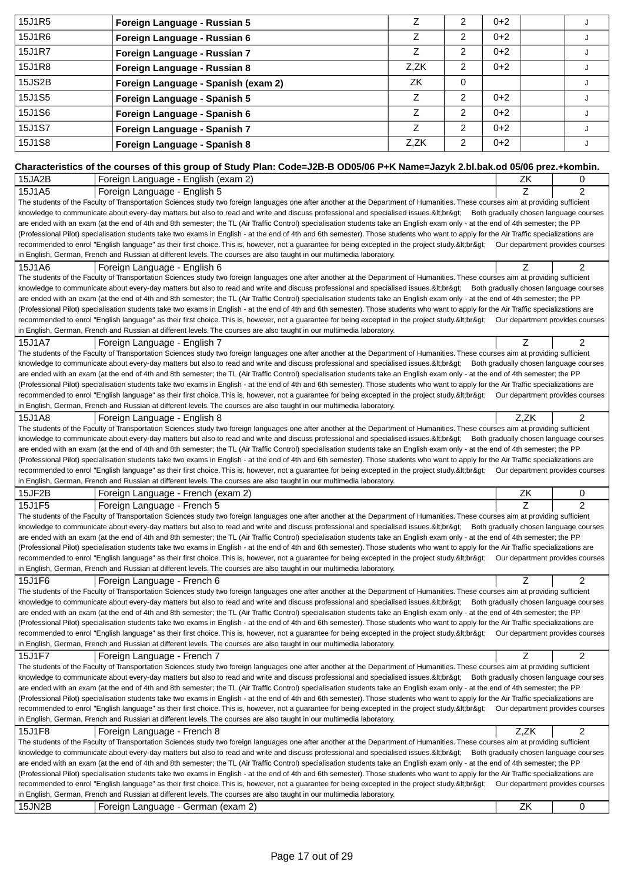| 15J1R5 | Foreign Language - Russian 5                                                                                                                                                                                                                                                                                                                                              | Z            | 2              | $0 + 2$ |      | J              |
|--------|---------------------------------------------------------------------------------------------------------------------------------------------------------------------------------------------------------------------------------------------------------------------------------------------------------------------------------------------------------------------------|--------------|----------------|---------|------|----------------|
| 15J1R6 |                                                                                                                                                                                                                                                                                                                                                                           | Z            | 2              | $0 + 2$ |      |                |
|        | Foreign Language - Russian 6                                                                                                                                                                                                                                                                                                                                              |              |                |         |      | J              |
| 15J1R7 | Foreign Language - Russian 7                                                                                                                                                                                                                                                                                                                                              | Z            | 2              | $0 + 2$ |      | J              |
| 15J1R8 | Foreign Language - Russian 8                                                                                                                                                                                                                                                                                                                                              | Z,ZK         | $\overline{c}$ | $0 + 2$ |      | J              |
| 15JS2B | Foreign Language - Spanish (exam 2)                                                                                                                                                                                                                                                                                                                                       | ZK           | 0              |         |      | J              |
| 15J1S5 | Foreign Language - Spanish 5                                                                                                                                                                                                                                                                                                                                              | Z            | 2              | $0 + 2$ |      | J              |
| 15J1S6 |                                                                                                                                                                                                                                                                                                                                                                           | Z            | 2              | $0 + 2$ |      | J              |
| 15J1S7 | Foreign Language - Spanish 6                                                                                                                                                                                                                                                                                                                                              | $\mathsf{Z}$ |                |         |      |                |
|        | Foreign Language - Spanish 7                                                                                                                                                                                                                                                                                                                                              |              | 2              | $0 + 2$ |      | J              |
| 15J1S8 | Foreign Language - Spanish 8                                                                                                                                                                                                                                                                                                                                              | Z,ZK         | 2              | $0 + 2$ |      | J              |
|        |                                                                                                                                                                                                                                                                                                                                                                           |              |                |         |      |                |
| 15JA2B | Characteristics of the courses of this group of Study Plan: Code=J2B-B OD05/06 P+K Name=Jazyk 2.bl.bak.od 05/06 prez.+kombin.<br>Foreign Language - English (exam 2)                                                                                                                                                                                                      |              |                |         | ZK   | 0              |
| 15J1A5 | Foreign Language - English 5                                                                                                                                                                                                                                                                                                                                              |              |                |         | Z    | $\overline{2}$ |
|        | The students of the Faculty of Transportation Sciences study two foreign languages one after another at the Department of Humanities. These courses aim at providing sufficient                                                                                                                                                                                           |              |                |         |      |                |
|        | knowledge to communicate about every-day matters but also to read and write and discuss professional and specialised issues.<br>Both gradually chosen language courses                                                                                                                                                                                                    |              |                |         |      |                |
|        | are ended with an exam (at the end of 4th and 8th semester; the TL (Air Traffic Control) specialisation students take an English exam only - at the end of 4th semester; the PP                                                                                                                                                                                           |              |                |         |      |                |
|        | (Professional Pilot) specialisation students take two exams in English - at the end of 4th and 6th semester). Those students who want to apply for the Air Traffic specializations are                                                                                                                                                                                    |              |                |         |      |                |
|        | recommended to enrol "English language" as their first choice. This is, however, not a guarantee for being excepted in the project study.<br>Our department provides courses<br>in English, German, French and Russian at different levels. The courses are also taught in our multimedia laboratory.                                                                     |              |                |         |      |                |
| 15J1A6 | Foreign Language - English 6                                                                                                                                                                                                                                                                                                                                              |              |                |         | Z    | 2              |
|        | The students of the Faculty of Transportation Sciences study two foreign languages one after another at the Department of Humanities. These courses aim at providing sufficient                                                                                                                                                                                           |              |                |         |      |                |
|        | knowledge to communicate about every-day matters but also to read and write and discuss professional and specialised issues.<br>Both gradually chosen language courses                                                                                                                                                                                                    |              |                |         |      |                |
|        | are ended with an exam (at the end of 4th and 8th semester; the TL (Air Traffic Control) specialisation students take an English exam only - at the end of 4th semester; the PP                                                                                                                                                                                           |              |                |         |      |                |
|        | (Professional Pilot) specialisation students take two exams in English - at the end of 4th and 6th semester). Those students who want to apply for the Air Traffic specializations are<br>recommended to enrol "English language" as their first choice. This is, however, not a guarantee for being excepted in the project study.<br>Our department provides courses    |              |                |         |      |                |
|        | in English, German, French and Russian at different levels. The courses are also taught in our multimedia laboratory.                                                                                                                                                                                                                                                     |              |                |         |      |                |
| 15J1A7 | Foreign Language - English 7                                                                                                                                                                                                                                                                                                                                              |              |                |         | Z    | 2              |
|        | The students of the Faculty of Transportation Sciences study two foreign languages one after another at the Department of Humanities. These courses aim at providing sufficient                                                                                                                                                                                           |              |                |         |      |                |
|        | knowledge to communicate about every-day matters but also to read and write and discuss professional and specialised issues.<br>Both gradually chosen language courses                                                                                                                                                                                                    |              |                |         |      |                |
|        | are ended with an exam (at the end of 4th and 8th semester; the TL (Air Traffic Control) specialisation students take an English exam only - at the end of 4th semester; the PP<br>(Professional Pilot) specialisation students take two exams in English - at the end of 4th and 6th semester). Those students who want to apply for the Air Traffic specializations are |              |                |         |      |                |
|        | recommended to enrol "English language" as their first choice. This is, however, not a guarantee for being excepted in the project study.<br>Our department provides courses                                                                                                                                                                                              |              |                |         |      |                |
|        | in English, German, French and Russian at different levels. The courses are also taught in our multimedia laboratory.                                                                                                                                                                                                                                                     |              |                |         |      |                |
| 15J1A8 | Foreign Language - English 8                                                                                                                                                                                                                                                                                                                                              |              |                |         | Z,ZK | 2              |
|        | The students of the Faculty of Transportation Sciences study two foreign languages one after another at the Department of Humanities. These courses aim at providing sufficient                                                                                                                                                                                           |              |                |         |      |                |
|        | knowledge to communicate about every-day matters but also to read and write and discuss professional and specialised issues.<br>Both gradually chosen language courses<br>are ended with an exam (at the end of 4th and 8th semester; the TL (Air Traffic Control) specialisation students take an English exam only - at the end of 4th semester; the PP                 |              |                |         |      |                |
|        | (Professional Pilot) specialisation students take two exams in English - at the end of 4th and 6th semester). Those students who want to apply for the Air Traffic specializations are                                                                                                                                                                                    |              |                |         |      |                |
|        | recommended to enrol "English language" as their first choice. This is, however, not a guarantee for being excepted in the project study.<br>Our department provides courses                                                                                                                                                                                              |              |                |         |      |                |
|        | in English, German, French and Russian at different levels. The courses are also taught in our multimedia laboratory.                                                                                                                                                                                                                                                     |              |                |         |      |                |
| 15JF2B | Foreign Language - French (exam 2)                                                                                                                                                                                                                                                                                                                                        |              |                |         | ZK   | 0              |
| 15J1F5 | Foreign Language - French 5                                                                                                                                                                                                                                                                                                                                               |              |                |         | Z    | $\overline{2}$ |
|        | The students of the Faculty of Transportation Sciences study two foreign languages one after another at the Department of Humanities. These courses aim at providing sufficient<br>knowledge to communicate about every-day matters but also to read and write and discuss professional and specialised issues.<br>Both gradually chosen language courses                 |              |                |         |      |                |
|        | are ended with an exam (at the end of 4th and 8th semester; the TL (Air Traffic Control) specialisation students take an English exam only - at the end of 4th semester; the PP                                                                                                                                                                                           |              |                |         |      |                |
|        | (Professional Pilot) specialisation students take two exams in English - at the end of 4th and 6th semester). Those students who want to apply for the Air Traffic specializations are                                                                                                                                                                                    |              |                |         |      |                |
|        | recommended to enrol "English language" as their first choice. This is, however, not a guarantee for being excepted in the project study.<br>Our department provides courses                                                                                                                                                                                              |              |                |         |      |                |
|        | in English, German, French and Russian at different levels. The courses are also taught in our multimedia laboratory.                                                                                                                                                                                                                                                     |              |                |         |      | 2              |
|        |                                                                                                                                                                                                                                                                                                                                                                           |              |                |         |      |                |
| 15J1F6 | Foreign Language - French 6<br>The students of the Faculty of Transportation Sciences study two foreign languages one after another at the Department of Humanities. These courses aim at providing sufficient                                                                                                                                                            |              |                |         | Z    |                |
|        | knowledge to communicate about every-day matters but also to read and write and discuss professional and specialised issues.<br>Both gradually chosen language courses                                                                                                                                                                                                    |              |                |         |      |                |
|        | are ended with an exam (at the end of 4th and 8th semester; the TL (Air Traffic Control) specialisation students take an English exam only - at the end of 4th semester; the PP                                                                                                                                                                                           |              |                |         |      |                |
|        | (Professional Pilot) specialisation students take two exams in English - at the end of 4th and 6th semester). Those students who want to apply for the Air Traffic specializations are                                                                                                                                                                                    |              |                |         |      |                |
|        | recommended to enrol "English language" as their first choice. This is, however, not a guarantee for being excepted in the project study.<br>Our department provides courses                                                                                                                                                                                              |              |                |         |      |                |
|        | in English, German, French and Russian at different levels. The courses are also taught in our multimedia laboratory.                                                                                                                                                                                                                                                     |              |                |         |      |                |
| 15J1F7 | Foreign Language - French 7<br>The students of the Faculty of Transportation Sciences study two foreign languages one after another at the Department of Humanities. These courses aim at providing sufficient                                                                                                                                                            |              |                |         | Z    | 2              |
|        | knowledge to communicate about every-day matters but also to read and write and discuss professional and specialised issues.<br>Both gradually chosen language courses                                                                                                                                                                                                    |              |                |         |      |                |
|        | are ended with an exam (at the end of 4th and 8th semester; the TL (Air Traffic Control) specialisation students take an English exam only - at the end of 4th semester; the PP                                                                                                                                                                                           |              |                |         |      |                |
|        | (Professional Pilot) specialisation students take two exams in English - at the end of 4th and 6th semester). Those students who want to apply for the Air Traffic specializations are                                                                                                                                                                                    |              |                |         |      |                |
|        | recommended to enrol "English language" as their first choice. This is, however, not a guarantee for being excepted in the project study.<br>Our department provides courses<br>in English, German, French and Russian at different levels. The courses are also taught in our multimedia laboratory.                                                                     |              |                |         |      |                |
| 15J1F8 | Foreign Language - French 8                                                                                                                                                                                                                                                                                                                                               |              |                |         | Z,ZK | 2              |
|        | The students of the Faculty of Transportation Sciences study two foreign languages one after another at the Department of Humanities. These courses aim at providing sufficient                                                                                                                                                                                           |              |                |         |      |                |
|        | knowledge to communicate about every-day matters but also to read and write and discuss professional and specialised issues.<br>Both gradually chosen language courses                                                                                                                                                                                                    |              |                |         |      |                |
|        | are ended with an exam (at the end of 4th and 8th semester; the TL (Air Traffic Control) specialisation students take an English exam only - at the end of 4th semester; the PP                                                                                                                                                                                           |              |                |         |      |                |
|        | (Professional Pilot) specialisation students take two exams in English - at the end of 4th and 6th semester). Those students who want to apply for the Air Traffic specializations are<br>recommended to enrol "English language" as their first choice. This is, however, not a guarantee for being excepted in the project study.<br>Our department provides courses    |              |                |         |      |                |
|        | in English, German, French and Russian at different levels. The courses are also taught in our multimedia laboratory.                                                                                                                                                                                                                                                     |              |                |         |      |                |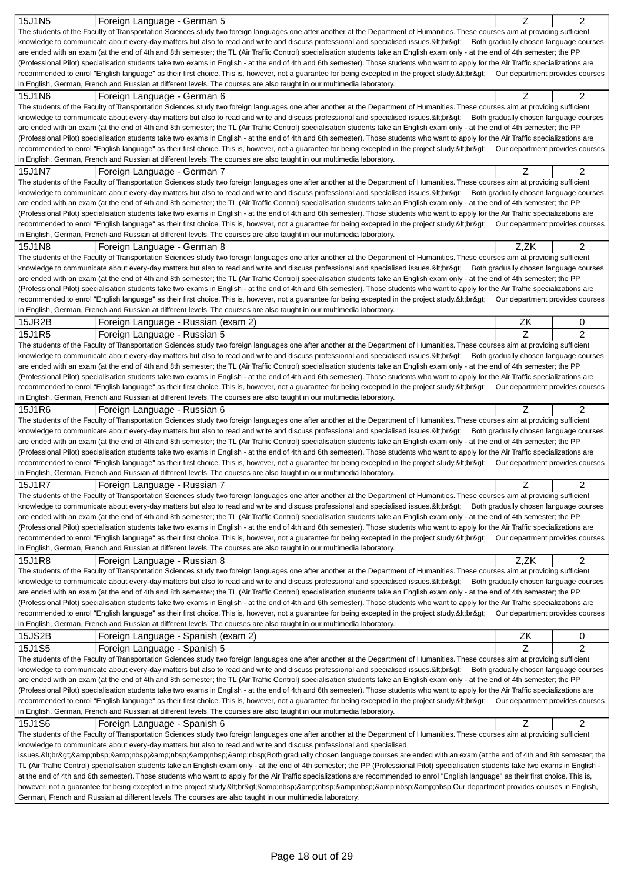| 15J1N5<br>Foreign Language - German 5                                                                                                                                                                                                                                                                                                                                     |      | 2              |
|---------------------------------------------------------------------------------------------------------------------------------------------------------------------------------------------------------------------------------------------------------------------------------------------------------------------------------------------------------------------------|------|----------------|
| The students of the Faculty of Transportation Sciences study two foreign languages one after another at the Department of Humanities. These courses aim at providing sufficient                                                                                                                                                                                           |      |                |
| knowledge to communicate about every-day matters but also to read and write and discuss professional and specialised issues.<br>Both gradually chosen language courses                                                                                                                                                                                                    |      |                |
| are ended with an exam (at the end of 4th and 8th semester; the TL (Air Traffic Control) specialisation students take an English exam only - at the end of 4th semester; the PP<br>(Professional Pilot) specialisation students take two exams in English - at the end of 4th and 6th semester). Those students who want to apply for the Air Traffic specializations are |      |                |
| recommended to enrol "English language" as their first choice. This is, however, not a guarantee for being excepted in the project study.<br>Our department provides courses                                                                                                                                                                                              |      |                |
| in English, German, French and Russian at different levels. The courses are also taught in our multimedia laboratory.                                                                                                                                                                                                                                                     |      |                |
| 15J1N6<br>Foreign Language - German 6                                                                                                                                                                                                                                                                                                                                     | Z    | $\overline{2}$ |
| The students of the Faculty of Transportation Sciences study two foreign languages one after another at the Department of Humanities. These courses aim at providing sufficient                                                                                                                                                                                           |      |                |
| knowledge to communicate about every-day matters but also to read and write and discuss professional and specialised issues.<br>Both gradually chosen language courses                                                                                                                                                                                                    |      |                |
| are ended with an exam (at the end of 4th and 8th semester; the TL (Air Traffic Control) specialisation students take an English exam only - at the end of 4th semester; the PP                                                                                                                                                                                           |      |                |
| (Professional Pilot) specialisation students take two exams in English - at the end of 4th and 6th semester). Those students who want to apply for the Air Traffic specializations are                                                                                                                                                                                    |      |                |
| recommended to enrol "English language" as their first choice. This is, however, not a guarantee for being excepted in the project study.<br>Our department provides courses                                                                                                                                                                                              |      |                |
| in English, German, French and Russian at different levels. The courses are also taught in our multimedia laboratory.                                                                                                                                                                                                                                                     |      |                |
| 15J1N7<br>Foreign Language - German 7                                                                                                                                                                                                                                                                                                                                     | Z    | 2              |
| The students of the Faculty of Transportation Sciences study two foreign languages one after another at the Department of Humanities. These courses aim at providing sufficient                                                                                                                                                                                           |      |                |
| knowledge to communicate about every-day matters but also to read and write and discuss professional and specialised issues.<br>Both gradually chosen language courses                                                                                                                                                                                                    |      |                |
| are ended with an exam (at the end of 4th and 8th semester; the TL (Air Traffic Control) specialisation students take an English exam only - at the end of 4th semester; the PP                                                                                                                                                                                           |      |                |
| (Professional Pilot) specialisation students take two exams in English - at the end of 4th and 6th semester). Those students who want to apply for the Air Traffic specializations are                                                                                                                                                                                    |      |                |
| recommended to enrol "English language" as their first choice. This is, however, not a guarantee for being excepted in the project study.<br>Our department provides courses                                                                                                                                                                                              |      |                |
| in English, German, French and Russian at different levels. The courses are also taught in our multimedia laboratory.                                                                                                                                                                                                                                                     |      |                |
| 15J1N8<br>Foreign Language - German 8                                                                                                                                                                                                                                                                                                                                     | Z,ZK | 2              |
| The students of the Faculty of Transportation Sciences study two foreign languages one after another at the Department of Humanities. These courses aim at providing sufficient<br>knowledge to communicate about every-day matters but also to read and write and discuss professional and specialised issues.<br>Both gradually chosen language courses                 |      |                |
| are ended with an exam (at the end of 4th and 8th semester; the TL (Air Traffic Control) specialisation students take an English exam only - at the end of 4th semester; the PP                                                                                                                                                                                           |      |                |
| (Professional Pilot) specialisation students take two exams in English - at the end of 4th and 6th semester). Those students who want to apply for the Air Traffic specializations are                                                                                                                                                                                    |      |                |
| recommended to enrol "English language" as their first choice. This is, however, not a guarantee for being excepted in the project study.<br>Our department provides courses                                                                                                                                                                                              |      |                |
| in English, German, French and Russian at different levels. The courses are also taught in our multimedia laboratory.                                                                                                                                                                                                                                                     |      |                |
| 15JR2B<br>Foreign Language - Russian (exam 2)                                                                                                                                                                                                                                                                                                                             | ΖK   | 0              |
| 15J1R5<br>Foreign Language - Russian 5                                                                                                                                                                                                                                                                                                                                    | Z    | 2              |
| The students of the Faculty of Transportation Sciences study two foreign languages one after another at the Department of Humanities. These courses aim at providing sufficient                                                                                                                                                                                           |      |                |
| knowledge to communicate about every-day matters but also to read and write and discuss professional and specialised issues.<br>Both gradually chosen language courses                                                                                                                                                                                                    |      |                |
| are ended with an exam (at the end of 4th and 8th semester; the TL (Air Traffic Control) specialisation students take an English exam only - at the end of 4th semester; the PP                                                                                                                                                                                           |      |                |
| (Professional Pilot) specialisation students take two exams in English - at the end of 4th and 6th semester). Those students who want to apply for the Air Traffic specializations are                                                                                                                                                                                    |      |                |
| recommended to enrol "English language" as their first choice. This is, however, not a guarantee for being excepted in the project study.<br>Our department provides courses                                                                                                                                                                                              |      |                |
| in English, German, French and Russian at different levels. The courses are also taught in our multimedia laboratory.                                                                                                                                                                                                                                                     |      |                |
|                                                                                                                                                                                                                                                                                                                                                                           |      |                |
| 15J1R6<br>Foreign Language - Russian 6                                                                                                                                                                                                                                                                                                                                    | Z    | 2              |
| The students of the Faculty of Transportation Sciences study two foreign languages one after another at the Department of Humanities. These courses aim at providing sufficient                                                                                                                                                                                           |      |                |
| knowledge to communicate about every-day matters but also to read and write and discuss professional and specialised issues.<br>Both gradually chosen language courses                                                                                                                                                                                                    |      |                |
| are ended with an exam (at the end of 4th and 8th semester; the TL (Air Traffic Control) specialisation students take an English exam only - at the end of 4th semester; the PP                                                                                                                                                                                           |      |                |
| (Professional Pilot) specialisation students take two exams in English - at the end of 4th and 6th semester). Those students who want to apply for the Air Traffic specializations are                                                                                                                                                                                    |      |                |
| recommended to enrol "English language" as their first choice. This is, however, not a guarantee for being excepted in the project study.<br>Our department provides courses                                                                                                                                                                                              |      |                |
| in English, German, French and Russian at different levels. The courses are also taught in our multimedia laboratory.                                                                                                                                                                                                                                                     |      |                |
| 15J1R7<br>Foreign Language - Russian 7                                                                                                                                                                                                                                                                                                                                    | Ζ    | 2              |
| The students of the Faculty of Transportation Sciences study two foreign languages one after another at the Department of Humanities. These courses aim at providing sufficient                                                                                                                                                                                           |      |                |
| knowledge to communicate about every-day matters but also to read and write and discuss professional and specialised issues.<br>Both gradually chosen language courses<br>are ended with an exam (at the end of 4th and 8th semester; the TL (Air Traffic Control) specialisation students take an English exam only - at the end of 4th semester; the PP                 |      |                |
| (Professional Pilot) specialisation students take two exams in English - at the end of 4th and 6th semester). Those students who want to apply for the Air Traffic specializations are                                                                                                                                                                                    |      |                |
| recommended to enrol "English language" as their first choice. This is, however, not a guarantee for being excepted in the project study.<br>Our department provides courses                                                                                                                                                                                              |      |                |
| in English, German, French and Russian at different levels. The courses are also taught in our multimedia laboratory.                                                                                                                                                                                                                                                     |      |                |
| 15J1R8<br>Foreign Language - Russian 8                                                                                                                                                                                                                                                                                                                                    | Z.ZK | 2              |
| The students of the Faculty of Transportation Sciences study two foreign languages one after another at the Department of Humanities. These courses aim at providing sufficient                                                                                                                                                                                           |      |                |
| knowledge to communicate about every-day matters but also to read and write and discuss professional and specialised issues.<br>Both gradually chosen language courses                                                                                                                                                                                                    |      |                |
| are ended with an exam (at the end of 4th and 8th semester; the TL (Air Traffic Control) specialisation students take an English exam only - at the end of 4th semester; the PP                                                                                                                                                                                           |      |                |
| (Professional Pilot) specialisation students take two exams in English - at the end of 4th and 6th semester). Those students who want to apply for the Air Traffic specializations are                                                                                                                                                                                    |      |                |
| recommended to enrol "English language" as their first choice. This is, however, not a guarantee for being excepted in the project study.<br>Our department provides courses                                                                                                                                                                                              |      |                |
| in English, German, French and Russian at different levels. The courses are also taught in our multimedia laboratory.                                                                                                                                                                                                                                                     |      |                |
| 15JS2B<br>Foreign Language - Spanish (exam 2)                                                                                                                                                                                                                                                                                                                             | ΖK   | 0              |
| Foreign Language - Spanish 5<br>15J1S5                                                                                                                                                                                                                                                                                                                                    | Z    | 2              |
| The students of the Faculty of Transportation Sciences study two foreign languages one after another at the Department of Humanities. These courses aim at providing sufficient                                                                                                                                                                                           |      |                |
| knowledge to communicate about every-day matters but also to read and write and discuss professional and specialised issues.<br>Both gradually chosen language courses                                                                                                                                                                                                    |      |                |
| are ended with an exam (at the end of 4th and 8th semester; the TL (Air Traffic Control) specialisation students take an English exam only - at the end of 4th semester; the PP                                                                                                                                                                                           |      |                |
| (Professional Pilot) specialisation students take two exams in English - at the end of 4th and 6th semester). Those students who want to apply for the Air Traffic specializations are<br>recommended to enrol "English language" as their first choice. This is, however, not a guarantee for being excepted in the project study.<br>Our department provides courses    |      |                |
| in English, German, French and Russian at different levels. The courses are also taught in our multimedia laboratory.                                                                                                                                                                                                                                                     |      |                |
| 15J1S6<br>Foreign Language - Spanish 6                                                                                                                                                                                                                                                                                                                                    | Z    | 2              |
| The students of the Faculty of Transportation Sciences study two foreign languages one after another at the Department of Humanities. These courses aim at providing sufficient                                                                                                                                                                                           |      |                |
| knowledge to communicate about every-day matters but also to read and write and discuss professional and specialised                                                                                                                                                                                                                                                      |      |                |
| issues.<br>Both gradually chosen language courses are ended with an exam (at the end of 4th and 8th semester; the                                                                                                                                                                                                                                                         |      |                |
| TL (Air Traffic Control) specialisation students take an English exam only - at the end of 4th semester; the PP (Professional Pilot) specialisation students take two exams in English -                                                                                                                                                                                  |      |                |
| at the end of 4th and 6th semester). Those students who want to apply for the Air Traffic specializations are recommended to enrol "English language" as their first choice. This is,                                                                                                                                                                                     |      |                |
| however, not a guarantee for being excepted in the project study.<br>Our department provides courses in English,<br>German, French and Russian at different levels. The courses are also taught in our multimedia laboratory.                                                                                                                                             |      |                |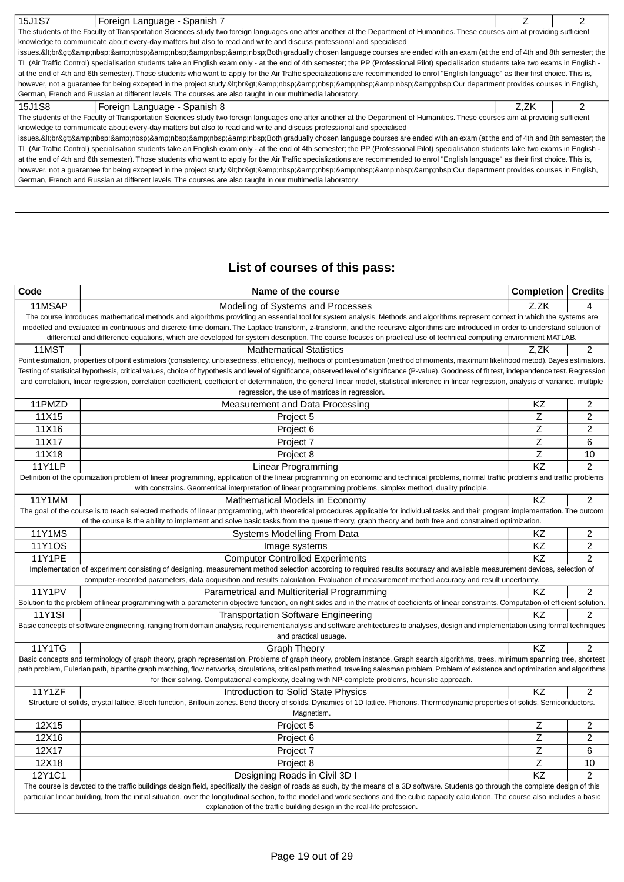| 15J1S7<br>Foreign Language - Spanish 7<br>The students of the Faculty of Transportation Sciences study two foreign languages one after another at the Department of Humanities. These courses aim at providing sufficient<br>TL (Air Traffic Control) specialisation students take an English exam only - at the end of 4th semester; the PP (Professional Pilot) specialisation students take two exams in English -<br>at the end of 4th and 6th semester). Those students who want to apply for the Air Traffic specializations are recommended to enrol "English language" as their first choice. This is,<br>however, not a guarantee for being excepted in the project study.<br>Qur department provides courses in English,<br>15J1S8<br>Foreign Language - Spanish 8<br>Z.ZK |                                                                                                                      |  |
|--------------------------------------------------------------------------------------------------------------------------------------------------------------------------------------------------------------------------------------------------------------------------------------------------------------------------------------------------------------------------------------------------------------------------------------------------------------------------------------------------------------------------------------------------------------------------------------------------------------------------------------------------------------------------------------------------------------------------------------------------------------------------------------|----------------------------------------------------------------------------------------------------------------------|--|
| issues.<br>Both gradually chosen language courses are ended with an exam (at the end of 4th and 8th semester; the                                                                                                                                                                                                                                                                                                                                                                                                                                                                                                                                                                                                                                                                    |                                                                                                                      |  |
|                                                                                                                                                                                                                                                                                                                                                                                                                                                                                                                                                                                                                                                                                                                                                                                      |                                                                                                                      |  |
|                                                                                                                                                                                                                                                                                                                                                                                                                                                                                                                                                                                                                                                                                                                                                                                      | knowledge to communicate about every-day matters but also to read and write and discuss professional and specialised |  |
|                                                                                                                                                                                                                                                                                                                                                                                                                                                                                                                                                                                                                                                                                                                                                                                      |                                                                                                                      |  |
|                                                                                                                                                                                                                                                                                                                                                                                                                                                                                                                                                                                                                                                                                                                                                                                      |                                                                                                                      |  |
|                                                                                                                                                                                                                                                                                                                                                                                                                                                                                                                                                                                                                                                                                                                                                                                      |                                                                                                                      |  |
|                                                                                                                                                                                                                                                                                                                                                                                                                                                                                                                                                                                                                                                                                                                                                                                      |                                                                                                                      |  |
|                                                                                                                                                                                                                                                                                                                                                                                                                                                                                                                                                                                                                                                                                                                                                                                      | German, French and Russian at different levels. The courses are also taught in our multimedia laboratory.            |  |
|                                                                                                                                                                                                                                                                                                                                                                                                                                                                                                                                                                                                                                                                                                                                                                                      |                                                                                                                      |  |
| The students of the Faculty of Transportation Sciences study two foreign languages one after another at the Department of Humanities. These courses aim at providing sufficient                                                                                                                                                                                                                                                                                                                                                                                                                                                                                                                                                                                                      |                                                                                                                      |  |
|                                                                                                                                                                                                                                                                                                                                                                                                                                                                                                                                                                                                                                                                                                                                                                                      | knowledge to communicate about every-day matters but also to read and write and discuss professional and specialised |  |
| issues.<br>Both gradually chosen language courses are ended with an exam (at the end of 4th and 8th semester; the                                                                                                                                                                                                                                                                                                                                                                                                                                                                                                                                                                                                                                                                    |                                                                                                                      |  |
| TL (Air Traffic Control) specialisation students take an English exam only - at the end of 4th semester; the PP (Professional Pilot) specialisation students take two exams in English -                                                                                                                                                                                                                                                                                                                                                                                                                                                                                                                                                                                             |                                                                                                                      |  |
| at the end of 4th and 6th semester). Those students who want to apply for the Air Traffic specializations are recommended to enrol "English language" as their first choice. This is,                                                                                                                                                                                                                                                                                                                                                                                                                                                                                                                                                                                                |                                                                                                                      |  |
| however, not a guarantee for being excepted in the project study.<br>Our department provides courses in English,                                                                                                                                                                                                                                                                                                                                                                                                                                                                                                                                                                                                                                                                     |                                                                                                                      |  |
|                                                                                                                                                                                                                                                                                                                                                                                                                                                                                                                                                                                                                                                                                                                                                                                      | German, French and Russian at different levels. The courses are also taught in our multimedia laboratory.            |  |

# **List of courses of this pass:**

| Code          | Name of the course                                                                                                                                                                                                                                                                                                                                                              | Completion      | <b>Credits</b> |
|---------------|---------------------------------------------------------------------------------------------------------------------------------------------------------------------------------------------------------------------------------------------------------------------------------------------------------------------------------------------------------------------------------|-----------------|----------------|
| 11MSAP        | Modeling of Systems and Processes                                                                                                                                                                                                                                                                                                                                               | Z,ZK            | 4              |
|               | The course introduces mathematical methods and algorithms providing an essential tool for system analysis. Methods and algorithms represent context in which the systems are                                                                                                                                                                                                    |                 |                |
|               | modelled and evaluated in continuous and discrete time domain. The Laplace transform, z-transform, and the recursive algorithms are introduced in order to understand solution of                                                                                                                                                                                               |                 |                |
|               | differential and difference equations, which are developed for system description. The course focuses on practical use of technical computing environment MATLAB.                                                                                                                                                                                                               |                 |                |
| 11MST         | <b>Mathematical Statistics</b>                                                                                                                                                                                                                                                                                                                                                  | Z.ZK            | $\overline{c}$ |
|               | Point estimation, properties of point estimators (consistency, unbiasedness, efficiency), methods of point estimation (method of moments, maximum likelihood metod). Bayes estimators.                                                                                                                                                                                          |                 |                |
|               | Testing of statistical hypothesis, critical values, choice of hypothesis and level of significance, observed level of significance (P-value). Goodness of fit test, independence test. Regression                                                                                                                                                                               |                 |                |
|               | and correlation, linear regression, correlation coefficient, coefficient of determination, the general linear model, statistical inference in linear regression, analysis of variance, multiple<br>regression, the use of matrices in regression.                                                                                                                               |                 |                |
| 11PMZD        | Measurement and Data Processing                                                                                                                                                                                                                                                                                                                                                 | KZ              | $\overline{2}$ |
| 11X15         | Project 5                                                                                                                                                                                                                                                                                                                                                                       | $\overline{z}$  | $\overline{2}$ |
| 11X16         | Project 6                                                                                                                                                                                                                                                                                                                                                                       | Ζ               | $\overline{2}$ |
| 11X17         | Project 7                                                                                                                                                                                                                                                                                                                                                                       | Z               | 6              |
|               |                                                                                                                                                                                                                                                                                                                                                                                 | Ζ               |                |
| 11X18         | Project 8                                                                                                                                                                                                                                                                                                                                                                       | $\overline{KZ}$ | 10             |
| <b>11Y1LP</b> | Linear Programming                                                                                                                                                                                                                                                                                                                                                              |                 | $\overline{2}$ |
|               | Definition of the optimization problem of linear programming, application of the linear programming on economic and technical problems, normal traffic problems and traffic problems<br>with constrains. Geometrical interpretation of linear programming problems, simplex method, duality principle.                                                                          |                 |                |
| <b>11Y1MM</b> | Mathematical Models in Economy                                                                                                                                                                                                                                                                                                                                                  | <b>KZ</b>       | $\overline{2}$ |
|               | The goal of the course is to teach selected methods of linear programming, with theoretical procedures applicable for individual tasks and their program implementation. The outcom                                                                                                                                                                                             |                 |                |
|               | of the course is the ability to implement and solve basic tasks from the queue theory, graph theory and both free and constrained optimization.                                                                                                                                                                                                                                 |                 |                |
| <b>11Y1MS</b> | Systems Modelling From Data                                                                                                                                                                                                                                                                                                                                                     | ΚZ              | 2              |
| <b>11Y1OS</b> | Image systems                                                                                                                                                                                                                                                                                                                                                                   | $\overline{KZ}$ | $\overline{2}$ |
| <b>11Y1PE</b> | <b>Computer Controlled Experiments</b>                                                                                                                                                                                                                                                                                                                                          | $\overline{KZ}$ | $\overline{2}$ |
|               | Implementation of experiment consisting of designing, measurement method selection according to required results accuracy and available measurement devices, selection of                                                                                                                                                                                                       |                 |                |
|               | computer-recorded parameters, data acquisition and results calculation. Evaluation of measurement method accuracy and result uncertainty.                                                                                                                                                                                                                                       |                 |                |
| <b>11Y1PV</b> | Parametrical and Multicriterial Programming                                                                                                                                                                                                                                                                                                                                     | KZ.             | $\overline{2}$ |
|               | Solution to the problem of linear programming with a parameter in objective function, on right sides and in the matrix of coeficients of linear constraints. Computation of efficient solution.                                                                                                                                                                                 |                 |                |
| <b>11Y1SI</b> | <b>Transportation Software Engineering</b>                                                                                                                                                                                                                                                                                                                                      | <b>KZ</b>       | $\overline{2}$ |
|               | Basic concepts of software engineering, ranging from domain analysis, requirement analysis and software architectures to analyses, design and implementation using formal techniques                                                                                                                                                                                            |                 |                |
|               | and practical usuage.                                                                                                                                                                                                                                                                                                                                                           |                 |                |
| <b>11Y1TG</b> | <b>Graph Theory</b>                                                                                                                                                                                                                                                                                                                                                             | ΚZ              | $\overline{c}$ |
|               | Basic concepts and terminology of graph theory, graph representation. Problems of graph theory, problem instance. Graph search algorithms, trees, minimum spanning tree, shortest<br>path problem, Eulerian path, bipartite graph matching, flow networks, circulations, critical path method, traveling salesman problem. Problem of existence and optimization and algorithms |                 |                |
|               | for their solving. Computational complexity, dealing with NP-complete problems, heuristic approach.                                                                                                                                                                                                                                                                             |                 |                |
| 11Y1ZF        | Introduction to Solid State Physics                                                                                                                                                                                                                                                                                                                                             | KZ              | $\overline{c}$ |
|               | Structure of solids, crystal lattice, Bloch function, Brillouin zones. Bend theory of solids. Dynamics of 1D lattice. Phonons. Thermodynamic properties of solids. Semiconductors.                                                                                                                                                                                              |                 |                |
|               | Magnetism.                                                                                                                                                                                                                                                                                                                                                                      |                 |                |
| 12X15         | Project 5                                                                                                                                                                                                                                                                                                                                                                       | Z               | 2              |
| 12X16         | Project 6                                                                                                                                                                                                                                                                                                                                                                       | Z               | $\overline{2}$ |
| 12X17         | Project 7                                                                                                                                                                                                                                                                                                                                                                       | $\overline{z}$  | 6              |
| 12X18         | Project 8                                                                                                                                                                                                                                                                                                                                                                       | $\overline{z}$  | 10             |
| 12Y1C1        | Designing Roads in Civil 3D I                                                                                                                                                                                                                                                                                                                                                   | KZ              | $\overline{2}$ |
|               | The course is devoted to the traffic buildings design field, specifically the design of roads as such, by the means of a 3D software. Students go through the complete design of this                                                                                                                                                                                           |                 |                |
|               | particular linear building, from the initial situation, over the longitudinal section, to the model and work sections and the cubic capacity calculation. The course also includes a basic                                                                                                                                                                                      |                 |                |
|               | explanation of the traffic building design in the real-life profession.                                                                                                                                                                                                                                                                                                         |                 |                |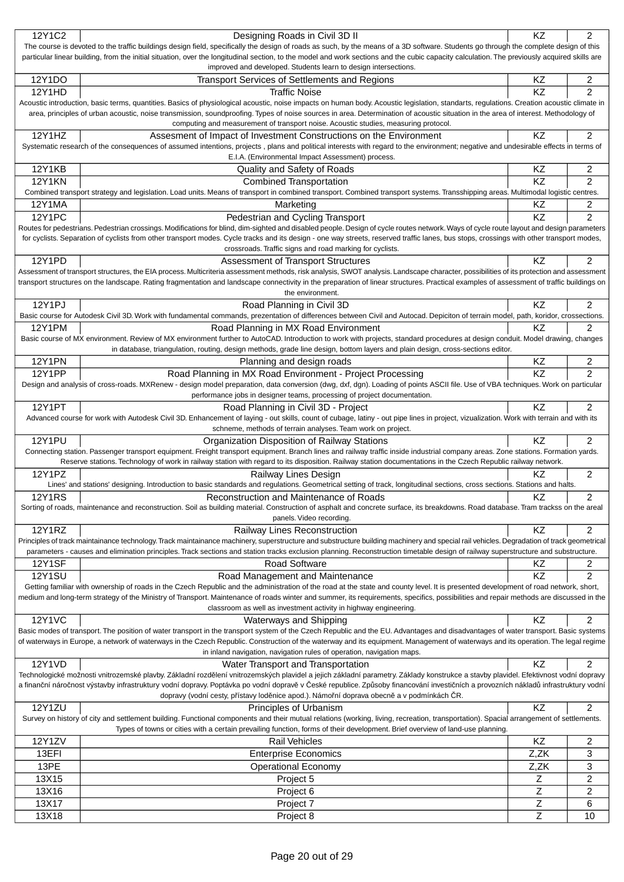| 12Y1C2         | Designing Roads in Civil 3D II                                                                                                                                                                                                                                                                                                                                                       | <b>KZ</b> | 2                       |
|----------------|--------------------------------------------------------------------------------------------------------------------------------------------------------------------------------------------------------------------------------------------------------------------------------------------------------------------------------------------------------------------------------------|-----------|-------------------------|
|                | The course is devoted to the traffic buildings design field, specifically the design of roads as such, by the means of a 3D software. Students go through the complete design of this                                                                                                                                                                                                |           |                         |
|                | particular linear building, from the initial situation, over the longitudinal section, to the model and work sections and the cubic capacity calculation. The previously acquired skills are<br>improved and developed. Students learn to design intersections.                                                                                                                      |           |                         |
| 12Y1DO         | <b>Transport Services of Settlements and Regions</b>                                                                                                                                                                                                                                                                                                                                 | KZ        | 2                       |
| 12Y1HD         | <b>Traffic Noise</b>                                                                                                                                                                                                                                                                                                                                                                 | KZ        | $\overline{2}$          |
|                | Acoustic introduction, basic terms, quantities. Basics of physiological acoustic, noise impacts on human body. Acoustic legislation, standarts, regulations. Creation acoustic climate in                                                                                                                                                                                            |           |                         |
|                | area, principles of urban acoustic, noise transmission, soundproofing. Types of noise sources in area. Determination of acoustic situation in the area of interest. Methodology of                                                                                                                                                                                                   |           |                         |
|                | computing and measurement of transport noise. Acoustic studies, measuring protocol.                                                                                                                                                                                                                                                                                                  |           |                         |
| 12Y1HZ         | Assesment of Impact of Investment Constructions on the Environment                                                                                                                                                                                                                                                                                                                   | KZ        | $\overline{2}$          |
|                | Systematic research of the consequences of assumed intentions, projects, plans and political interests with regard to the environment; negative and undesirable effects in terms of                                                                                                                                                                                                  |           |                         |
|                | E.I.A. (Environmental Impact Assessment) process.                                                                                                                                                                                                                                                                                                                                    |           |                         |
| <b>12Y1KB</b>  | Quality and Safety of Roads                                                                                                                                                                                                                                                                                                                                                          | KZ        | 2                       |
| <b>12Y1KN</b>  | <b>Combined Transportation</b>                                                                                                                                                                                                                                                                                                                                                       | KZ        | $\overline{2}$          |
|                | Combined transport strategy and legislation. Load units. Means of transport in combined transport. Combined transport systems. Transshipping areas. Multimodal logistic centres                                                                                                                                                                                                      |           |                         |
| 12Y1MA         | Marketing                                                                                                                                                                                                                                                                                                                                                                            | KZ        | 2                       |
| <b>12Y1PC</b>  | Pedestrian and Cycling Transport                                                                                                                                                                                                                                                                                                                                                     | KZ        | $\overline{2}$          |
|                | Routes for pedestrians. Pedestrian crossings. Modifications for blind, dim-sighted and disabled people. Design of cycle routes network. Ways of cycle route layout and design parameters<br>for cyclists. Separation of cyclists from other transport modes. Cycle tracks and its design - one way streets, reserved traffic lanes, bus stops, crossings with other transport modes, |           |                         |
|                | crossroads. Traffic signs and road marking for cyclists.                                                                                                                                                                                                                                                                                                                             |           |                         |
| 12Y1PD         | <b>Assessment of Transport Structures</b>                                                                                                                                                                                                                                                                                                                                            | KZ        | 2                       |
|                | Assessment of transport structures, the EIA process. Multicriteria assessment methods, risk analysis, SWOT analysis. Landscape character, possibilities of its protection and assessment                                                                                                                                                                                             |           |                         |
|                | transport structures on the landscape. Rating fragmentation and landscape connectivity in the preparation of linear structures. Practical examples of assessment of traffic buildings on                                                                                                                                                                                             |           |                         |
|                | the environment.                                                                                                                                                                                                                                                                                                                                                                     |           |                         |
| 12Y1PJ         | Road Planning in Civil 3D                                                                                                                                                                                                                                                                                                                                                            | <b>KZ</b> | $\overline{c}$          |
|                | Basic course for Autodesk Civil 3D. Work with fundamental commands, prezentation of differences between Civil and Autocad. Depiciton of terrain model, path, koridor, crossections.                                                                                                                                                                                                  |           |                         |
| 12Y1PM         | Road Planning in MX Road Environment                                                                                                                                                                                                                                                                                                                                                 | ΚZ        | 2                       |
|                | Basic course of MX environment. Review of MX environment further to AutoCAD. Introduction to work with projects, standard procedures at design conduit. Model drawing, changes                                                                                                                                                                                                       |           |                         |
|                | in database, triangulation, routing, design methods, grade line design, bottom layers and plain design, cross-sections editor.                                                                                                                                                                                                                                                       |           |                         |
| <b>12Y1PN</b>  | Planning and design roads                                                                                                                                                                                                                                                                                                                                                            | KZ        | 2                       |
| <b>12Y1PP</b>  | Road Planning in MX Road Environment - Project Processing<br>Design and analysis of cross-roads. MXRenew - design model preparation, data conversion (dwg, dxf, dgn). Loading of points ASCII file. Use of VBA techniques. Work on particular                                                                                                                                        | KZ        | $\overline{2}$          |
|                | performance jobs in designer teams, processing of project documentation.                                                                                                                                                                                                                                                                                                             |           |                         |
| <b>12Y1PT</b>  | Road Planning in Civil 3D - Project                                                                                                                                                                                                                                                                                                                                                  | KZ        | $\overline{c}$          |
|                | Advanced course for work with Autodesk Civil 3D. Enhancement of laying - out skills, count of cubage, latiny - out pipe lines in project, vizualization. Work with terrain and with its                                                                                                                                                                                              |           |                         |
|                |                                                                                                                                                                                                                                                                                                                                                                                      |           |                         |
|                | schneme, methods of terrain analyses. Team work on project.                                                                                                                                                                                                                                                                                                                          |           |                         |
| <b>12Y1PU</b>  | Organization Disposition of Railway Stations                                                                                                                                                                                                                                                                                                                                         | KZ        | $\overline{2}$          |
|                | Connecting station. Passenger transport equipment. Freight transport equipment. Branch lines and railway traffic inside industrial company areas. Zone stations. Formation yards.                                                                                                                                                                                                    |           |                         |
|                | Reserve stations. Technology of work in railway station with regard to its disposition. Railway station documentations in the Czech Republic railway network.                                                                                                                                                                                                                        |           |                         |
| 12Y1PZ         | Railway Lines Design                                                                                                                                                                                                                                                                                                                                                                 | ΚZ        | $\overline{c}$          |
|                | Lines' and stations' designing. Introduction to basic standards and regulations. Geometrical setting of track, longitudinal sections, cross sections. Stations and halts.                                                                                                                                                                                                            |           |                         |
| <b>12Y1RS</b>  | Reconstruction and Maintenance of Roads                                                                                                                                                                                                                                                                                                                                              | KZ        | 2                       |
|                | Sorting of roads, maintenance and reconstruction. Soil as building material. Construction of asphalt and concrete surface, its breakdowns. Road database. Tram trackss on the areal                                                                                                                                                                                                  |           |                         |
|                | panels. Video recording.                                                                                                                                                                                                                                                                                                                                                             |           |                         |
| 12Y1RZ         | Railway Lines Reconstruction<br>Principles of track maintainance technology. Track maintainance machinery, superstructure and substructure building machinery and special rail vehicles. Degradation of track geometrical                                                                                                                                                            | KZ        | $\overline{\mathbf{c}}$ |
|                | parameters - causes and elimination principles. Track sections and station tracks exclusion planning. Reconstruction timetable design of railway superstructure and substructure.                                                                                                                                                                                                    |           |                         |
| <b>12Y1SF</b>  | <b>Road Software</b>                                                                                                                                                                                                                                                                                                                                                                 | KZ        | 2                       |
| <b>12Y1SU</b>  | Road Management and Maintenance                                                                                                                                                                                                                                                                                                                                                      | KZ        | $\overline{c}$          |
|                | Getting familiar with ownership of roads in the Czech Republic and the administration of the road at the state and county level. It is presented development of road network, short,                                                                                                                                                                                                 |           |                         |
|                | medium and long-term strategy of the Ministry of Transport. Maintenance of roads winter and summer, its requirements, specifics, possibilities and repair methods are discussed in the                                                                                                                                                                                               |           |                         |
|                | classroom as well as investment activity in highway engineering.                                                                                                                                                                                                                                                                                                                     |           |                         |
| <b>12Y1VC</b>  | <b>Waterways and Shipping</b>                                                                                                                                                                                                                                                                                                                                                        | KZ        | $\overline{c}$          |
|                | Basic modes of transport. The position of water transport in the transport system of the Czech Republic and the EU. Advantages and disadvantages of water transport. Basic systems                                                                                                                                                                                                   |           |                         |
|                | of waterways in Europe, a network of waterways in the Czech Republic. Construction of the waterway and its equipment. Management of waterways and its operation. The legal regime                                                                                                                                                                                                    |           |                         |
|                | in inland navigation, navigation rules of operation, navigation maps.                                                                                                                                                                                                                                                                                                                |           |                         |
| 12Y1VD         | Water Transport and Transportation<br>Technologické možnosti vnitrozemské plavby. Základní rozd lení vnitrozemských plavidel a jejich základní parametry. Základy konstrukce a stavby plavidel. Efektivnost vodní dopravy                                                                                                                                                            | KZ        | $\overline{c}$          |
|                | a finan ní náro nost výstavby infrastruktury vodní dopravy. Poptávka po vodní doprav v eské republice. Zp soby financování investi ních a provozních náklad infrastruktury vodní                                                                                                                                                                                                     |           |                         |
|                | dopravy (vodní cesty, p ístavy lod nice apod.). Námo ní doprava obecn a v podmínkách R.                                                                                                                                                                                                                                                                                              |           |                         |
| 12Y1ZU         | Principles of Urbanism                                                                                                                                                                                                                                                                                                                                                               | KZ        | $\overline{c}$          |
|                | Survey on history of city and settlement building. Functional components and their mutual relations (working, living, recreation, transportation). Spacial arrangement of settlements.                                                                                                                                                                                               |           |                         |
|                | Types of towns or cities with a certain prevailing function, forms of their development. Brief overview of land-use planning.                                                                                                                                                                                                                                                        |           |                         |
| 12Y1ZV         | <b>Rail Vehicles</b>                                                                                                                                                                                                                                                                                                                                                                 | KZ        | 2                       |
| 13EFI          | <b>Enterprise Economics</b>                                                                                                                                                                                                                                                                                                                                                          | Z,ZK      | 3                       |
| 13PE           | Operational Economy                                                                                                                                                                                                                                                                                                                                                                  | Z,ZK      | 3                       |
| 13X15          | Project 5                                                                                                                                                                                                                                                                                                                                                                            | Ζ         | 2                       |
| 13X16          | Project 6                                                                                                                                                                                                                                                                                                                                                                            | Z         | 2                       |
| 13X17<br>13X18 | Project 7<br>Project 8                                                                                                                                                                                                                                                                                                                                                               | Ζ<br>Z    | 6<br>10                 |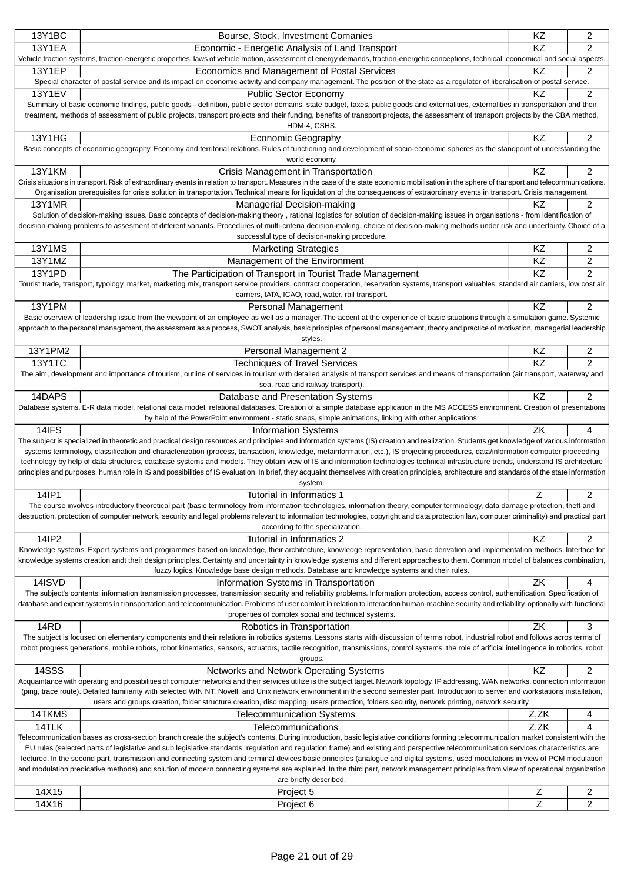| 13Y1BC         | Bourse, Stock, Investment Comanies                                                                                                                                                                                                                                                                                                                                                  | KZ     | 2              |
|----------------|-------------------------------------------------------------------------------------------------------------------------------------------------------------------------------------------------------------------------------------------------------------------------------------------------------------------------------------------------------------------------------------|--------|----------------|
| <b>13Y1EA</b>  | Economic - Energetic Analysis of Land Transport                                                                                                                                                                                                                                                                                                                                     | KZ     | 2              |
|                | Vehicle traction systems, traction-energetic properties, laws of vehicle motion, assessment of energy demands, traction-energetic conceptions, technical, economical and social aspects.                                                                                                                                                                                            |        |                |
| 13Y1EP         | Economics and Management of Postal Services                                                                                                                                                                                                                                                                                                                                         | KZ     | 2              |
|                | Special character of postal service and its impact on economic activity and company management. The position of the state as a regulator of liberalisation of postal service.                                                                                                                                                                                                       |        |                |
| <b>13Y1EV</b>  | <b>Public Sector Economy</b><br>Summary of basic economic findings, public goods - definition, public sector domains, state budget, taxes, public goods and externalities, externalities in transportation and their                                                                                                                                                                | KZ     | $\overline{c}$ |
|                | treatment, methods of assessment of public projects, transport projects and their funding, benefits of transport projects, the assessment of transport projects by the CBA method,                                                                                                                                                                                                  |        |                |
|                | HDM-4, CSHS.                                                                                                                                                                                                                                                                                                                                                                        |        |                |
| 13Y1HG         | <b>Economic Geography</b>                                                                                                                                                                                                                                                                                                                                                           | ΚZ     | $\overline{2}$ |
|                | Basic concepts of economic geography. Economy and territorial relations. Rules of functioning and development of socio-economic spheres as the standpoint of understanding the                                                                                                                                                                                                      |        |                |
|                | world economy.                                                                                                                                                                                                                                                                                                                                                                      |        |                |
| <b>13Y1KM</b>  | Crisis Management in Transportation                                                                                                                                                                                                                                                                                                                                                 | KZ     | 2              |
|                | Crisis situations in transport. Risk of extraordinary events in relation to transport. Measures in the case of the state economic mobilisation in the sphere of transport and telecommunications.<br>Organisation prerequisites for crisis solution in transportation. Technical means for liquidation of the consequences of extraordinary events in transport. Crisis management. |        |                |
| <b>13Y1MR</b>  | Managerial Decision-making                                                                                                                                                                                                                                                                                                                                                          | ΚZ     | 2              |
|                | Solution of decision-making issues. Basic concepts of decision-making theory, rational logistics for solution of decision-making issues in organisations - from identification of                                                                                                                                                                                                   |        |                |
|                | decision-making problems to assesment of different variants. Procedures of multi-criteria decision-making, choice of decision-making methods under risk and uncertainty. Choice of a                                                                                                                                                                                                |        |                |
|                | successful type of decision-making procedure.                                                                                                                                                                                                                                                                                                                                       |        |                |
| <b>13Y1MS</b>  | <b>Marketing Strategies</b>                                                                                                                                                                                                                                                                                                                                                         | KZ     | 2              |
| 13Y1MZ         | Management of the Environment                                                                                                                                                                                                                                                                                                                                                       | KZ     | 2              |
| 13Y1PD         | The Participation of Transport in Tourist Trade Management                                                                                                                                                                                                                                                                                                                          | KZ     | $\overline{c}$ |
|                | Tourist trade, transport, typology, market, marketing mix, transport service providers, contract cooperation, reservation systems, transport valuables, standard air carriers, low cost air                                                                                                                                                                                         |        |                |
|                | carriers, IATA, ICAO, road, water, rail transport.                                                                                                                                                                                                                                                                                                                                  |        |                |
| 13Y1PM         | Personal Management<br>Basic overview of leadership issue from the viewpoint of an employee as well as a manager. The accent at the experience of basic situations through a simulation game. Systemic                                                                                                                                                                              | KZ     | 2              |
|                | approach to the personal management, the assessment as a process, SWOT analysis, basic principles of personal management, theory and practice of motivation, managerial leadership                                                                                                                                                                                                  |        |                |
|                | styles.                                                                                                                                                                                                                                                                                                                                                                             |        |                |
| 13Y1PM2        | Personal Management 2                                                                                                                                                                                                                                                                                                                                                               | ΚZ     | 2              |
| <b>13Y1TC</b>  | <b>Techniques of Travel Services</b>                                                                                                                                                                                                                                                                                                                                                | KZ     | 2              |
|                | The aim, development and importance of tourism, outline of services in tourism with detailed analysis of transport services and means of transportation (air transport, waterway and                                                                                                                                                                                                |        |                |
|                | sea, road and railway transport).                                                                                                                                                                                                                                                                                                                                                   |        |                |
| 14DAPS         | Database and Presentation Systems<br>Database systems. E-R data model, relational data model, relational databases. Creation of a simple database application in the MS ACCESS environment. Creation of presentations                                                                                                                                                               | KZ     | 2              |
|                | by help of the PowerPoint environment - static snaps, simple animations, linking with other applications.                                                                                                                                                                                                                                                                           |        |                |
|                |                                                                                                                                                                                                                                                                                                                                                                                     |        |                |
|                |                                                                                                                                                                                                                                                                                                                                                                                     |        | 4              |
| 14IFS          | <b>Information Systems</b><br>The subject is specialized in theoretic and practical design resources and principles and information systems (IS) creation and realization. Students get knowledge of various information                                                                                                                                                            | ZK     |                |
|                | systems terminology, classification and characterization (process, transaction, knowledge, metainformation, etc.), IS projecting procedures, data/information computer proceeding                                                                                                                                                                                                   |        |                |
|                | technology by help of data structures, database systems and models. They obtain view of IS and information technologies technical infrastructure trends, understand IS architecture                                                                                                                                                                                                 |        |                |
|                | principles and purposes, human role in IS and possibilities of IS evaluation. In brief, they acquaint themselves with creation principles, architecture and standards of the state information                                                                                                                                                                                      |        |                |
|                | system.                                                                                                                                                                                                                                                                                                                                                                             |        |                |
| 14IP1          | Tutorial in Informatics 1                                                                                                                                                                                                                                                                                                                                                           | Ζ      | 2              |
|                | The course involves introductory theoretical part (basic terminology from information technologies, information theory, computer terminology, data damage protection, theft and<br>destruction, protection of computer network, security and legal problems relevant to information technologies, copyright and data protection law, computer criminality) and practical part       |        |                |
|                | according to the specialization.                                                                                                                                                                                                                                                                                                                                                    |        |                |
| 14IP2          | Tutorial in Informatics 2                                                                                                                                                                                                                                                                                                                                                           | KZ     | 2              |
|                | Knowledge systems. Expert systems and programmes based on knowledge, their architecture, knowledge representation, basic derivation and implementation methods. Interface for                                                                                                                                                                                                       |        |                |
|                | knowledge systems creation andt their design principles. Certainty and uncertainty in knowledge systems and different approaches to them. Common model of balances combination,                                                                                                                                                                                                     |        |                |
|                | fuzzy logics. Knowledge base design methods. Database and knowledge systems and their rules.<br>Information Systems in Transportation                                                                                                                                                                                                                                               | ΖK     | 4              |
| 14ISVD         | The subject's contents: information transmission processes, transmission security and reliability problems. Information protection, access control, authentification. Specification of                                                                                                                                                                                              |        |                |
|                | database and expert systems in transportation and telecommunication. Problems of user comfort in relation to interaction human-machine security and reliability, optionally with functional                                                                                                                                                                                         |        |                |
|                | properties of complex social and technical systems.                                                                                                                                                                                                                                                                                                                                 |        |                |
| 14RD           | Robotics in Transportation                                                                                                                                                                                                                                                                                                                                                          | ΖK     | 3              |
|                | The subject is focused on elementary components and their relations in robotics systems. Lessons starts with discussion of terms robot, industrial robot and follows acros terms of                                                                                                                                                                                                 |        |                |
|                | robot progress generations, mobile robots, robot kinematics, sensors, actuators, tactile recognition, transmissions, control systems, the role of arificial intellingence in robotics, robot                                                                                                                                                                                        |        |                |
|                | groups.                                                                                                                                                                                                                                                                                                                                                                             | KZ     |                |
| 14SSS          | Networks and Network Operating Systems<br>Acquaintance with operating and possibilities of computer networks and their services utilize is the subject target. Network topology, IP addressing, WAN networks, connection information                                                                                                                                                |        | 2              |
|                | (ping, trace route). Detailed familiarity with selected WIN NT, Novell, and Unix network environment in the second semester part. Introduction to server and workstations installation,                                                                                                                                                                                             |        |                |
|                | users and groups creation, folder structure creation, disc mapping, users protection, folders security, network printing, network security.                                                                                                                                                                                                                                         |        |                |
| 14TKMS         | <b>Telecommunication Systems</b>                                                                                                                                                                                                                                                                                                                                                    | Z,ZK   | 4              |
| 14TLK          | Telecommunications                                                                                                                                                                                                                                                                                                                                                                  | Z,ZK   | 4              |
|                | Telecommunication bases as cross-section branch create the subject's contents. During introduction, basic legislative conditions forming telecommunication market consistent with the                                                                                                                                                                                               |        |                |
|                | EU rules (selected parts of legislative and sub legislative standards, regulation and regulation frame) and existing and perspective telecommunication services characteristics are<br>lectured. In the second part, transmission and connecting system and terminal devices basic principles (analogue and digital systems, used modulations in view of PCM modulation             |        |                |
|                | and modulation predicative methods) and solution of modern connecting systems are explained. In the third part, network management principles from view of operational organization                                                                                                                                                                                                 |        |                |
|                | are briefly described.                                                                                                                                                                                                                                                                                                                                                              |        |                |
| 14X15<br>14X16 | Project 5<br>Project 6                                                                                                                                                                                                                                                                                                                                                              | Ζ<br>Ζ | 2<br>2         |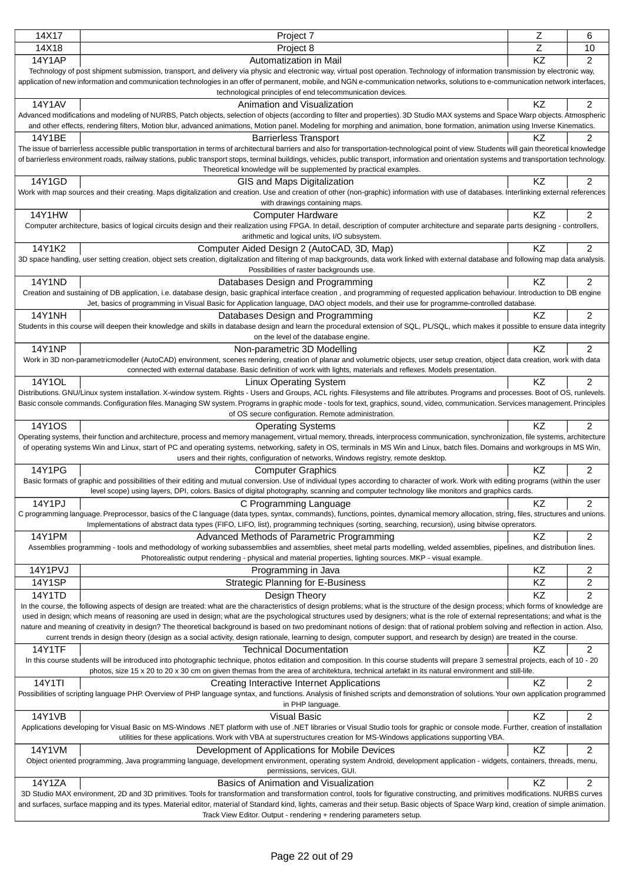|               |                                                                                                                                                                                                | Z         |                |
|---------------|------------------------------------------------------------------------------------------------------------------------------------------------------------------------------------------------|-----------|----------------|
| 14X17         | Project 7                                                                                                                                                                                      |           | 6              |
| 14X18         | Project 8                                                                                                                                                                                      | Z         | 10             |
| <b>14Y1AP</b> | Automatization in Mail                                                                                                                                                                         | KZ        | $\overline{2}$ |
|               | Technology of post shipment submission, transport, and delivery via physic and electronic way, virtual post operation. Technology of information transmission by electronic way,               |           |                |
|               | application of new information and communication technologies in an offer of permanent, mobile, and NGN e-communication networks, solutions to e-communication network interfaces,             |           |                |
|               | technological principles of end telecommunication devices.                                                                                                                                     |           |                |
| 14Y1AV        | Animation and Visualization                                                                                                                                                                    | KZ        | $\overline{c}$ |
|               |                                                                                                                                                                                                |           |                |
|               | Advanced modifications and modeling of NURBS, Patch objects, selection of objects (according to filter and properties). 3D Studio MAX systems and Space Warp objects. Atmospheric              |           |                |
|               | and other effects, rendering filters, Motion blur, advanced animations, Motion panel. Modeling for morphing and animation, bone formation, animation using Inverse Kinematics.                 |           |                |
| 14Y1BE        | <b>Barrierless Transport</b>                                                                                                                                                                   | KZ.       | 2              |
|               | The issue of barrierless accessible public transportation in terms of architectural barriers and also for transportation-technological point of view. Students will gain theoretical knowledge |           |                |
|               | of barrierless environment roads, railway stations, public transport stops, terminal buildings, vehicles, public transport, information and orientation systems and transportation technology. |           |                |
|               | Theoretical knowledge will be supplemented by practical examples.                                                                                                                              |           |                |
| 14Y1GD        | GIS and Maps Digitalization                                                                                                                                                                    | KZ        | 2              |
|               | Work with map sources and their creating. Maps digitalization and creation. Use and creation of other (non-graphic) information with use of databases. Interlinking external references        |           |                |
|               | with drawings containing maps.                                                                                                                                                                 |           |                |
|               |                                                                                                                                                                                                | KZ        | 2              |
| 14Y1HW        | <b>Computer Hardware</b>                                                                                                                                                                       |           |                |
|               | Computer architecture, basics of logical circuits design and their realization using FPGA. In detail, description of computer architecture and separate parts designing - controllers,         |           |                |
|               | arithmetic and logical units, I/O subsystem.                                                                                                                                                   |           |                |
| 14Y1K2        | Computer Aided Design 2 (AutoCAD, 3D, Map)                                                                                                                                                     | KZ        | $\overline{2}$ |
|               | 3D space handling, user setting creation, object sets creation, digitalization and filtering of map backgrounds, data work linked with external database and following map data analysis.      |           |                |
|               | Possibilities of raster backgrounds use.                                                                                                                                                       |           |                |
| <b>14Y1ND</b> | Databases Design and Programming                                                                                                                                                               | KZ        | $\overline{c}$ |
|               | Creation and sustaining of DB application, i.e. database design, basic graphical interface creation, and programming of requested application behaviour. Introduction to DB engine             |           |                |
|               | Jet, basics of programming in Visual Basic for Application language, DAO object models, and their use for programme-controlled database.                                                       |           |                |
| <b>14Y1NH</b> | Databases Design and Programming                                                                                                                                                               | KZ        | 2              |
|               | Students in this course will deepen their knowledge and skills in database design and learn the procedural extension of SQL, PL/SQL, which makes it possible to ensure data integrity          |           |                |
|               | on the level of the database engine.                                                                                                                                                           |           |                |
|               |                                                                                                                                                                                                |           |                |
| <b>14Y1NP</b> | Non-parametric 3D Modelling                                                                                                                                                                    | <b>KZ</b> | 2              |
|               | Work in 3D non-parametricmodeller (AutoCAD) environment, scenes rendering, creation of planar and volumetric objects, user setup creation, object data creation, work with data                |           |                |
|               | connected with external database. Basic definition of work with lights, materials and reflexes. Models presentation.                                                                           |           |                |
| 14Y10L        | <b>Linux Operating System</b>                                                                                                                                                                  | KZ        | $\overline{2}$ |
|               | Distributions. GNU/Linux system installation. X-window system. Rights - Users and Groups, ACL rights. Filesystems and file attributes. Programs and processes. Boot of OS, runlevels.          |           |                |
|               | Basic console commands. Configuration files. Managing SW system. Programs in graphic mode - tools for text, graphics, sound, video, communication. Services management. Principles             |           |                |
|               | of OS secure configuration. Remote administration.                                                                                                                                             |           |                |
| 14Y1OS        | <b>Operating Systems</b>                                                                                                                                                                       | KZ        | $\overline{2}$ |
|               | Operating systems, their function and architecture, process and memory management, virtual memory, threads, interprocess communication, synchronization, file systems, architecture            |           |                |
|               | of operating systems Win and Linux, start of PC and operating systems, networking, safety in OS, terminals in MS Win and Linux, batch files. Domains and workgroups in MS Win,                 |           |                |
|               | users and their rights, configuration of networks, Windows registry, remote desktop.                                                                                                           |           |                |
| <b>14Y1PG</b> | <b>Computer Graphics</b>                                                                                                                                                                       | ΚZ        | $\overline{2}$ |
|               | Basic formats of graphic and possibilities of their editing and mutual conversion. Use of individual types according to character of work. Work with editing programs (within the user         |           |                |
|               | level scope) using layers, DPI, colors. Basics of digital photography, scanning and computer technology like monitors and graphics cards.                                                      |           |                |
| 14Y1PJ        | C Programming Language                                                                                                                                                                         | KZ        | 2              |
|               |                                                                                                                                                                                                |           |                |
|               | C programming language. Preprocessor, basics of the C language (data types, syntax, commands), functions, pointes, dynamical memory allocation, string, files, structures and unions.          |           |                |
|               | Implementations of abstract data types (FIFO, LIFO, list), programming techniques (sorting, searching, recursion), using bitwise oprerators.                                                   |           |                |
| 14Y1PM        | Advanced Methods of Parametric Programming                                                                                                                                                     | KZ        | 2              |
|               | Assemblies programming - tools and methodology of working subassemblies and assemblies, sheet metal parts modelling, welded assemblies, pipelines, and distribution lines.                     |           |                |
|               | Photorealistic output rendering - physical and material properties, lighting sources. MKP - visual example.                                                                                    |           |                |
| 14Y1PVJ       | Programming in Java                                                                                                                                                                            | KZ        | 2              |
| <b>14Y1SP</b> | <b>Strategic Planning for E-Business</b>                                                                                                                                                       | KZ        | 2              |
| 14Y1TD        |                                                                                                                                                                                                | KZ        | 2              |
|               | Design Theory                                                                                                                                                                                  |           |                |
|               | In the course, the following aspects of design are treated: what are the characteristics of design problems; what is the structure of the design process; which forms of knowledge are         |           |                |
|               | used in design; which means of reasoning are used in design; what are the psychological structures used by designers; what is the role of external representations; and what is the            |           |                |
|               | nature and meaning of creativity in design? The theoretical background is based on two predominant notions of design: that of rational problem solving and reflection in action. Also,         |           |                |
|               | current trends in design theory (design as a social activity, design rationale, learning to design, computer support, and research by design) are treated in the course.                       |           |                |
| <b>14Y1TF</b> | <b>Technical Documentation</b>                                                                                                                                                                 | KZ        | 2              |
|               | In this course students will be introduced into photographic technique, photos editation and composition. In this course students will prepare 3 semestral projects, each of 10 - 20           |           |                |
|               | photos, size 15 x 20 to 20 x 30 cm on given themas from the area of architektura, technical artefakt in its natural environment and still-life.                                                |           |                |
| 14Y1TI        | Creating Interactive Internet Applications                                                                                                                                                     | KZ        | 2              |
|               | Possibilities of scripting language PHP. Overview of PHP language syntax, and functions. Analysis of finished scripts and demonstration of solutions. Your own application programmed          |           |                |
|               | in PHP language.                                                                                                                                                                               |           |                |
| 14Y1VB        | <b>Visual Basic</b>                                                                                                                                                                            | KZ        | 2              |
|               | Applications developing for Visual Basic on MS-Windows .NET platform with use of .NET libraries or Visual Studio tools for graphic or console mode. Further, creation of installation          |           |                |
|               | utilities for these applications. Work with VBA at superstructures creation for MS-Windows applications supporting VBA.                                                                        |           |                |
| 14Y1VM        | Development of Applications for Mobile Devices                                                                                                                                                 | KZ        | 2              |
|               | Object oriented programming, Java programming language, development environment, operating system Android, development application - widgets, containers, threads, menu,                       |           |                |
|               | permissions, services, GUI.                                                                                                                                                                    |           |                |
| 14Y1ZA        | Basics of Animation and Visualization                                                                                                                                                          | KZ        | 2              |
|               | 3D Studio MAX environment, 2D and 3D primitives. Tools for transformation and transformation control, tools for figurative constructing, and primitives modifications. NURBS curves            |           |                |
|               |                                                                                                                                                                                                |           |                |
|               | and surfaces, surface mapping and its types. Material editor, material of Standard kind, lights, cameras and their setup. Basic objects of Space Warp kind, creation of simple animation.      |           |                |
|               | Track View Editor. Output - rendering + rendering parameters setup.                                                                                                                            |           |                |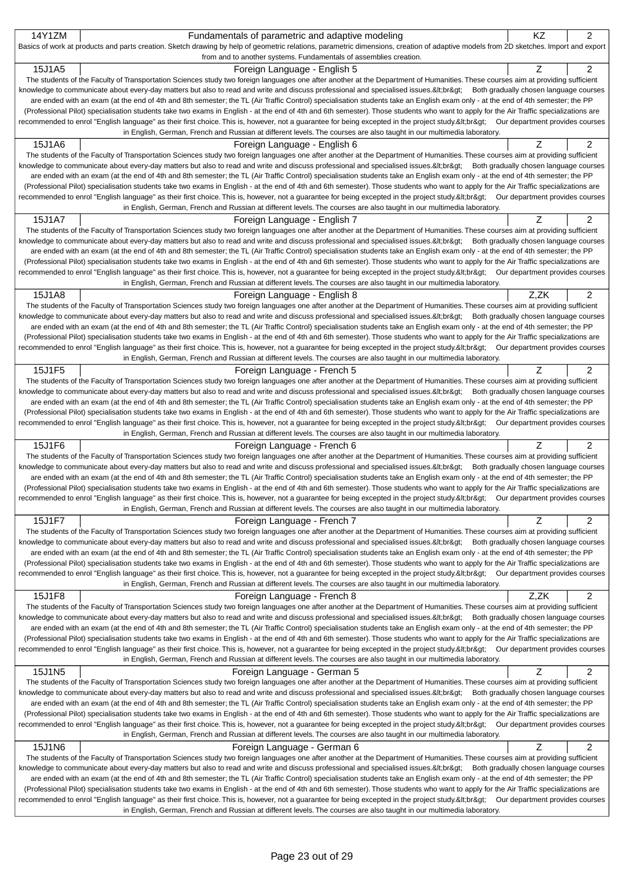|        | Fundamentals of parametric and adaptive modeling                                                                                                                                                                                                                                                                                                                       | KZ   | 2 |
|--------|------------------------------------------------------------------------------------------------------------------------------------------------------------------------------------------------------------------------------------------------------------------------------------------------------------------------------------------------------------------------|------|---|
|        | Basics of work at products and parts creation. Sketch drawing by help of geometric relations, parametric dimensions, creation of adaptive models from 2D sketches. Import and export                                                                                                                                                                                   |      |   |
|        | from and to another systems. Fundamentals of assemblies creation.                                                                                                                                                                                                                                                                                                      |      |   |
| 15J1A5 | Foreign Language - English 5                                                                                                                                                                                                                                                                                                                                           | Ζ    | 2 |
|        | The students of the Faculty of Transportation Sciences study two foreign languages one after another at the Department of Humanities. These courses aim at providing sufficient                                                                                                                                                                                        |      |   |
|        | knowledge to communicate about every-day matters but also to read and write and discuss professional and specialised issues.<:br> Both gradually chosen language courses                                                                                                                                                                                               |      |   |
|        | are ended with an exam (at the end of 4th and 8th semester; the TL (Air Traffic Control) specialisation students take an English exam only - at the end of 4th semester; the PP                                                                                                                                                                                        |      |   |
|        | (Professional Pilot) specialisation students take two exams in English - at the end of 4th and 6th semester). Those students who want to apply for the Air Traffic specializations are                                                                                                                                                                                 |      |   |
|        | recommended to enrol "English language" as their first choice. This is, however, not a guarantee for being excepted in the project study.<br>Our department provides courses                                                                                                                                                                                           |      |   |
|        | in English, German, French and Russian at different levels. The courses are also taught in our multimedia laboratory.                                                                                                                                                                                                                                                  |      |   |
| 15J1A6 | Foreign Language - English 6                                                                                                                                                                                                                                                                                                                                           | Ζ    | 2 |
|        | The students of the Faculty of Transportation Sciences study two foreign languages one after another at the Department of Humanities. These courses aim at providing sufficient                                                                                                                                                                                        |      |   |
|        | knowledge to communicate about every-day matters but also to read and write and discuss professional and specialised issues.<br>Both gradually chosen language courses                                                                                                                                                                                                 |      |   |
|        | are ended with an exam (at the end of 4th and 8th semester; the TL (Air Traffic Control) specialisation students take an English exam only - at the end of 4th semester; the PP                                                                                                                                                                                        |      |   |
|        | (Professional Pilot) specialisation students take two exams in English - at the end of 4th and 6th semester). Those students who want to apply for the Air Traffic specializations are<br>recommended to enrol "English language" as their first choice. This is, however, not a guarantee for being excepted in the project study.<br>Our department provides courses |      |   |
|        | in English, German, French and Russian at different levels. The courses are also taught in our multimedia laboratory.                                                                                                                                                                                                                                                  |      |   |
| 15J1A7 |                                                                                                                                                                                                                                                                                                                                                                        |      | 2 |
|        | Foreign Language - English 7                                                                                                                                                                                                                                                                                                                                           | Ζ    |   |
|        | The students of the Faculty of Transportation Sciences study two foreign languages one after another at the Department of Humanities. These courses aim at providing sufficient<br>knowledge to communicate about every-day matters but also to read and write and discuss professional and specialised issues.<br>Both gradually chosen language courses              |      |   |
|        | are ended with an exam (at the end of 4th and 8th semester; the TL (Air Traffic Control) specialisation students take an English exam only - at the end of 4th semester; the PP                                                                                                                                                                                        |      |   |
|        | (Professional Pilot) specialisation students take two exams in English - at the end of 4th and 6th semester). Those students who want to apply for the Air Traffic specializations are                                                                                                                                                                                 |      |   |
|        | recommended to enrol "English language" as their first choice. This is, however, not a guarantee for being excepted in the project study.<br>Our department provides courses                                                                                                                                                                                           |      |   |
|        | in English, German, French and Russian at different levels. The courses are also taught in our multimedia laboratory.                                                                                                                                                                                                                                                  |      |   |
| 15J1A8 | Foreign Language - English 8                                                                                                                                                                                                                                                                                                                                           | Z,ZK | 2 |
|        | The students of the Faculty of Transportation Sciences study two foreign languages one after another at the Department of Humanities. These courses aim at providing sufficient                                                                                                                                                                                        |      |   |
|        | knowledge to communicate about every-day matters but also to read and write and discuss professional and specialised issues.<br>Both gradually chosen language courses                                                                                                                                                                                                 |      |   |
|        | are ended with an exam (at the end of 4th and 8th semester; the TL (Air Traffic Control) specialisation students take an English exam only - at the end of 4th semester; the PP                                                                                                                                                                                        |      |   |
|        | (Professional Pilot) specialisation students take two exams in English - at the end of 4th and 6th semester). Those students who want to apply for the Air Traffic specializations are                                                                                                                                                                                 |      |   |
|        | recommended to enrol "English language" as their first choice. This is, however, not a guarantee for being excepted in the project study.<br>Our department provides courses                                                                                                                                                                                           |      |   |
|        | in English, German, French and Russian at different levels. The courses are also taught in our multimedia laboratory.                                                                                                                                                                                                                                                  |      |   |
| 15J1F5 | Foreign Language - French 5                                                                                                                                                                                                                                                                                                                                            | Ζ    | 2 |
|        | The students of the Faculty of Transportation Sciences study two foreign languages one after another at the Department of Humanities. These courses aim at providing sufficient                                                                                                                                                                                        |      |   |
|        | knowledge to communicate about every-day matters but also to read and write and discuss professional and specialised issues.<br>Both gradually chosen language courses                                                                                                                                                                                                 |      |   |
|        | are ended with an exam (at the end of 4th and 8th semester; the TL (Air Traffic Control) specialisation students take an English exam only - at the end of 4th semester; the PP                                                                                                                                                                                        |      |   |
|        | (Professional Pilot) specialisation students take two exams in English - at the end of 4th and 6th semester). Those students who want to apply for the Air Traffic specializations are                                                                                                                                                                                 |      |   |
|        | recommended to enrol "English language" as their first choice. This is, however, not a guarantee for being excepted in the project study.<br>Our department provides courses                                                                                                                                                                                           |      |   |
|        | in English, German, French and Russian at different levels. The courses are also taught in our multimedia laboratory.                                                                                                                                                                                                                                                  |      |   |
| 15J1F6 |                                                                                                                                                                                                                                                                                                                                                                        |      |   |
|        | Foreign Language - French 6                                                                                                                                                                                                                                                                                                                                            | Ζ    | 2 |
|        | The students of the Faculty of Transportation Sciences study two foreign languages one after another at the Department of Humanities. These courses aim at providing sufficient                                                                                                                                                                                        |      |   |
|        | knowledge to communicate about every-day matters but also to read and write and discuss professional and specialised issues.<:br> Both gradually chosen language courses                                                                                                                                                                                               |      |   |
|        | are ended with an exam (at the end of 4th and 8th semester; the TL (Air Traffic Control) specialisation students take an English exam only - at the end of 4th semester; the PP                                                                                                                                                                                        |      |   |
|        | (Professional Pilot) specialisation students take two exams in English - at the end of 4th and 6th semester). Those students who want to apply for the Air Traffic specializations are                                                                                                                                                                                 |      |   |
|        | recommended to enrol "English language" as their first choice. This is, however, not a guarantee for being excepted in the project study.<br>Our department provides courses                                                                                                                                                                                           |      |   |
|        | in English, German, French and Russian at different levels. The courses are also taught in our multimedia laboratory.                                                                                                                                                                                                                                                  |      |   |
| 15J1F7 | Foreign Language - French 7                                                                                                                                                                                                                                                                                                                                            | Ζ    | 2 |
|        | The students of the Faculty of Transportation Sciences study two foreign languages one after another at the Department of Humanities. These courses aim at providing sufficient                                                                                                                                                                                        |      |   |
|        | knowledge to communicate about every-day matters but also to read and write and discuss professional and specialised issues.<br>Both gradually chosen language courses                                                                                                                                                                                                 |      |   |
|        | are ended with an exam (at the end of 4th and 8th semester; the TL (Air Traffic Control) specialisation students take an English exam only - at the end of 4th semester; the PP                                                                                                                                                                                        |      |   |
|        | (Professional Pilot) specialisation students take two exams in English - at the end of 4th and 6th semester). Those students who want to apply for the Air Traffic specializations are                                                                                                                                                                                 |      |   |
|        | recommended to enrol "English language" as their first choice. This is, however, not a guarantee for being excepted in the project study.<br>Our department provides courses                                                                                                                                                                                           |      |   |
|        | in English, German, French and Russian at different levels. The courses are also taught in our multimedia laboratory.                                                                                                                                                                                                                                                  |      |   |
| 15J1F8 | Foreign Language - French 8                                                                                                                                                                                                                                                                                                                                            | Z,ZK | 2 |
|        | The students of the Faculty of Transportation Sciences study two foreign languages one after another at the Department of Humanities. These courses aim at providing sufficient                                                                                                                                                                                        |      |   |
|        | knowledge to communicate about every-day matters but also to read and write and discuss professional and specialised issues.<br>Both gradually chosen language courses                                                                                                                                                                                                 |      |   |
|        | are ended with an exam (at the end of 4th and 8th semester; the TL (Air Traffic Control) specialisation students take an English exam only - at the end of 4th semester; the PP                                                                                                                                                                                        |      |   |
|        | (Professional Pilot) specialisation students take two exams in English - at the end of 4th and 6th semester). Those students who want to apply for the Air Traffic specializations are                                                                                                                                                                                 |      |   |
|        | recommended to enrol "English language" as their first choice. This is, however, not a guarantee for being excepted in the project study.<br>Our department provides courses<br>in English, German, French and Russian at different levels. The courses are also taught in our multimedia laboratory.                                                                  |      |   |
|        |                                                                                                                                                                                                                                                                                                                                                                        |      |   |
| 15J1N5 | Foreign Language - German 5                                                                                                                                                                                                                                                                                                                                            | Ζ    | 2 |
|        | The students of the Faculty of Transportation Sciences study two foreign languages one after another at the Department of Humanities. These courses aim at providing sufficient<br>knowledge to communicate about every-day matters but also to read and write and discuss professional and specialised issues.<br>Both gradually chosen language courses              |      |   |
|        | are ended with an exam (at the end of 4th and 8th semester; the TL (Air Traffic Control) specialisation students take an English exam only - at the end of 4th semester; the PP                                                                                                                                                                                        |      |   |
|        | (Professional Pilot) specialisation students take two exams in English - at the end of 4th and 6th semester). Those students who want to apply for the Air Traffic specializations are                                                                                                                                                                                 |      |   |
|        | recommended to enrol "English language" as their first choice. This is, however, not a guarantee for being excepted in the project study.<br>Our department provides courses                                                                                                                                                                                           |      |   |
|        | in English, German, French and Russian at different levels. The courses are also taught in our multimedia laboratory.                                                                                                                                                                                                                                                  |      |   |
| 15J1N6 | Foreign Language - German 6                                                                                                                                                                                                                                                                                                                                            | Ζ    | 2 |
|        | The students of the Faculty of Transportation Sciences study two foreign languages one after another at the Department of Humanities. These courses aim at providing sufficient                                                                                                                                                                                        |      |   |
|        | knowledge to communicate about every-day matters but also to read and write and discuss professional and specialised issues.<br>Both gradually chosen language courses                                                                                                                                                                                                 |      |   |
|        | are ended with an exam (at the end of 4th and 8th semester; the TL (Air Traffic Control) specialisation students take an English exam only - at the end of 4th semester; the PP                                                                                                                                                                                        |      |   |
|        | (Professional Pilot) specialisation students take two exams in English - at the end of 4th and 6th semester). Those students who want to apply for the Air Traffic specializations are                                                                                                                                                                                 |      |   |
|        | recommended to enrol "English language" as their first choice. This is, however, not a guarantee for being excepted in the project study.<br>Our department provides courses<br>in English, German, French and Russian at different levels. The courses are also taught in our multimedia laboratory.                                                                  |      |   |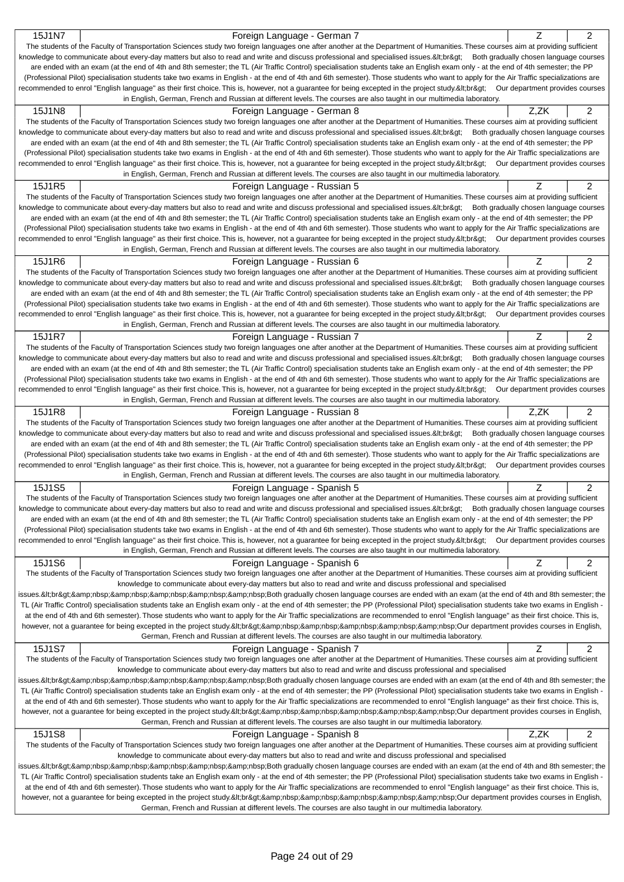| 15J1N7<br>Foreign Language - German 7                                                                                                                                                                                         |      |                         |
|-------------------------------------------------------------------------------------------------------------------------------------------------------------------------------------------------------------------------------|------|-------------------------|
|                                                                                                                                                                                                                               | Ζ    | 2                       |
| The students of the Faculty of Transportation Sciences study two foreign languages one after another at the Department of Humanities. These courses aim at providing sufficient                                               |      |                         |
| knowledge to communicate about every-day matters but also to read and write and discuss professional and specialised issues.<br>Both gradually chosen language courses                                                        |      |                         |
| are ended with an exam (at the end of 4th and 8th semester; the TL (Air Traffic Control) specialisation students take an English exam only - at the end of 4th semester; the PP                                               |      |                         |
| (Professional Pilot) specialisation students take two exams in English - at the end of 4th and 6th semester). Those students who want to apply for the Air Traffic specializations are                                        |      |                         |
| recommended to enrol "English language" as their first choice. This is, however, not a guarantee for being excepted in the project study.<br>Our department provides courses                                                  |      |                         |
| in English, German, French and Russian at different levels. The courses are also taught in our multimedia laboratory.                                                                                                         |      |                         |
| 15J1N8<br>Foreign Language - German 8                                                                                                                                                                                         | Z.ZK | 2                       |
| The students of the Faculty of Transportation Sciences study two foreign languages one after another at the Department of Humanities. These courses aim at providing sufficient                                               |      |                         |
| knowledge to communicate about every-day matters but also to read and write and discuss professional and specialised issues.<br>Both gradually chosen language courses                                                        |      |                         |
| are ended with an exam (at the end of 4th and 8th semester; the TL (Air Traffic Control) specialisation students take an English exam only - at the end of 4th semester; the PP                                               |      |                         |
| (Professional Pilot) specialisation students take two exams in English - at the end of 4th and 6th semester). Those students who want to apply for the Air Traffic specializations are                                        |      |                         |
| recommended to enrol "English language" as their first choice. This is, however, not a guarantee for being excepted in the project study.<br>Our department provides courses                                                  |      |                         |
| in English, German, French and Russian at different levels. The courses are also taught in our multimedia laboratory.                                                                                                         |      |                         |
| 15J1R5<br>Foreign Language - Russian 5                                                                                                                                                                                        | Ζ    | 2                       |
| The students of the Faculty of Transportation Sciences study two foreign languages one after another at the Department of Humanities. These courses aim at providing sufficient                                               |      |                         |
| knowledge to communicate about every-day matters but also to read and write and discuss professional and specialised issues.<br>Both gradually chosen language courses                                                        |      |                         |
| are ended with an exam (at the end of 4th and 8th semester; the TL (Air Traffic Control) specialisation students take an English exam only - at the end of 4th semester; the PP                                               |      |                         |
| (Professional Pilot) specialisation students take two exams in English - at the end of 4th and 6th semester). Those students who want to apply for the Air Traffic specializations are                                        |      |                         |
| recommended to enrol "English language" as their first choice. This is, however, not a guarantee for being excepted in the project study.<br>Our department provides courses                                                  |      |                         |
| in English, German, French and Russian at different levels. The courses are also taught in our multimedia laboratory.                                                                                                         |      |                         |
| 15J1R6<br>Foreign Language - Russian 6                                                                                                                                                                                        | Ζ    | 2                       |
| The students of the Faculty of Transportation Sciences study two foreign languages one after another at the Department of Humanities. These courses aim at providing sufficient                                               |      |                         |
| knowledge to communicate about every-day matters but also to read and write and discuss professional and specialised issues.<br>Both gradually chosen language courses                                                        |      |                         |
| are ended with an exam (at the end of 4th and 8th semester; the TL (Air Traffic Control) specialisation students take an English exam only - at the end of 4th semester; the PP                                               |      |                         |
| (Professional Pilot) specialisation students take two exams in English - at the end of 4th and 6th semester). Those students who want to apply for the Air Traffic specializations are                                        |      |                         |
| recommended to enrol "English language" as their first choice. This is, however, not a guarantee for being excepted in the project study.<br>Our department provides courses                                                  |      |                         |
| in English, German, French and Russian at different levels. The courses are also taught in our multimedia laboratory.                                                                                                         |      |                         |
| 15J1R7<br>Foreign Language - Russian 7                                                                                                                                                                                        | Ζ    | 2                       |
| The students of the Faculty of Transportation Sciences study two foreign languages one after another at the Department of Humanities. These courses aim at providing sufficient                                               |      |                         |
| knowledge to communicate about every-day matters but also to read and write and discuss professional and specialised issues.<br>Both gradually chosen language courses                                                        |      |                         |
| are ended with an exam (at the end of 4th and 8th semester; the TL (Air Traffic Control) specialisation students take an English exam only - at the end of 4th semester; the PP                                               |      |                         |
| (Professional Pilot) specialisation students take two exams in English - at the end of 4th and 6th semester). Those students who want to apply for the Air Traffic specializations are                                        |      |                         |
| recommended to enrol "English language" as their first choice. This is, however, not a guarantee for being excepted in the project study.<br>Our department provides courses                                                  |      |                         |
| in English, German, French and Russian at different levels. The courses are also taught in our multimedia laboratory.                                                                                                         |      |                         |
| 15J1R8<br>Foreign Language - Russian 8                                                                                                                                                                                        | Z,ZK | 2                       |
| The students of the Faculty of Transportation Sciences study two foreign languages one after another at the Department of Humanities. These courses aim at providing sufficient                                               |      |                         |
| knowledge to communicate about every-day matters but also to read and write and discuss professional and specialised issues.<br>Both gradually chosen language courses                                                        |      |                         |
|                                                                                                                                                                                                                               |      |                         |
| are ended with an exam (at the end of 4th and 8th semester; the TL (Air Traffic Control) specialisation students take an English exam only - at the end of 4th semester; the PP                                               |      |                         |
| (Professional Pilot) specialisation students take two exams in English - at the end of 4th and 6th semester). Those students who want to apply for the Air Traffic specializations are                                        |      |                         |
| recommended to enrol "English language" as their first choice. This is, however, not a guarantee for being excepted in the project study.<br>Our department provides courses                                                  |      |                         |
| in English, German, French and Russian at different levels. The courses are also taught in our multimedia laboratory.                                                                                                         |      |                         |
| 15J1S5<br>Foreign Language - Spanish 5                                                                                                                                                                                        | Z    | 2                       |
| The students of the Faculty of Transportation Sciences study two foreign languages one after another at the Department of Humanities. These courses aim at providing sufficient                                               |      |                         |
| knowledge to communicate about every-day matters but also to read and write and discuss professional and specialised issues.<br>Both gradually chosen language courses                                                        |      |                         |
| are ended with an exam (at the end of 4th and 8th semester; the TL (Air Traffic Control) specialisation students take an English exam only - at the end of 4th semester; the PP                                               |      |                         |
| (Professional Pilot) specialisation students take two exams in English - at the end of 4th and 6th semester). Those students who want to apply for the Air Traffic specializations are                                        |      |                         |
| recommended to enrol "English language" as their first choice. This is, however, not a guarantee for being excepted in the project study.<br>Our department provides courses                                                  |      |                         |
| in English, German, French and Russian at different levels. The courses are also taught in our multimedia laboratory.                                                                                                         |      |                         |
| 15J1S6<br>Foreign Language - Spanish 6                                                                                                                                                                                        | Ζ    | 2                       |
| The students of the Faculty of Transportation Sciences study two foreign languages one after another at the Department of Humanities. These courses aim at providing sufficient                                               |      |                         |
| knowledge to communicate about every-day matters but also to read and write and discuss professional and specialised                                                                                                          |      |                         |
| issues.<br>Both gradually chosen language courses are ended with an exam (at the end of 4th and 8th semester; the                                                                                                             |      |                         |
| TL (Air Traffic Control) specialisation students take an English exam only - at the end of 4th semester; the PP (Professional Pilot) specialisation students take two exams in English -                                      |      |                         |
| at the end of 4th and 6th semester). Those students who want to apply for the Air Traffic specializations are recommended to enrol "English language" as their first choice. This is,                                         |      |                         |
| however, not a guarantee for being excepted in the project study.<br>Our department provides courses in English,                                                                                                              |      |                         |
| German, French and Russian at different levels. The courses are also taught in our multimedia laboratory.                                                                                                                     |      |                         |
| 15J1S7<br>Foreign Language - Spanish 7                                                                                                                                                                                        | Z    | $\overline{\mathbf{c}}$ |
| The students of the Faculty of Transportation Sciences study two foreign languages one after another at the Department of Humanities. These courses aim at providing sufficient                                               |      |                         |
| knowledge to communicate about every-day matters but also to read and write and discuss professional and specialised                                                                                                          |      |                         |
| issues.<br>Both gradually chosen language courses are ended with an exam (at the end of 4th and 8th semester; the                                                                                                             |      |                         |
| TL (Air Traffic Control) specialisation students take an English exam only - at the end of 4th semester; the PP (Professional Pilot) specialisation students take two exams in English -                                      |      |                         |
| at the end of 4th and 6th semester). Those students who want to apply for the Air Traffic specializations are recommended to enrol "English language" as their first choice. This is,                                         |      |                         |
| however, not a guarantee for being excepted in the project study.&Itbr>     Our department provides courses in English,                                                                                                       |      |                         |
| German, French and Russian at different levels. The courses are also taught in our multimedia laboratory.                                                                                                                     |      |                         |
| 15J1S8<br>Foreign Language - Spanish 8                                                                                                                                                                                        | Z,ZK | 2                       |
| The students of the Faculty of Transportation Sciences study two foreign languages one after another at the Department of Humanities. These courses aim at providing sufficient                                               |      |                         |
| knowledge to communicate about every-day matters but also to read and write and discuss professional and specialised                                                                                                          |      |                         |
| issues.<br>Both gradually chosen language courses are ended with an exam (at the end of 4th and 8th semester; the                                                                                                             |      |                         |
| TL (Air Traffic Control) specialisation students take an English exam only - at the end of 4th semester; the PP (Professional Pilot) specialisation students take two exams in English -                                      |      |                         |
| at the end of 4th and 6th semester). Those students who want to apply for the Air Traffic specializations are recommended to enrol "English language" as their first choice. This is,                                         |      |                         |
| however, not a guarantee for being excepted in the project study.<br>@ur department provides courses in English,<br>German, French and Russian at different levels. The courses are also taught in our multimedia laboratory. |      |                         |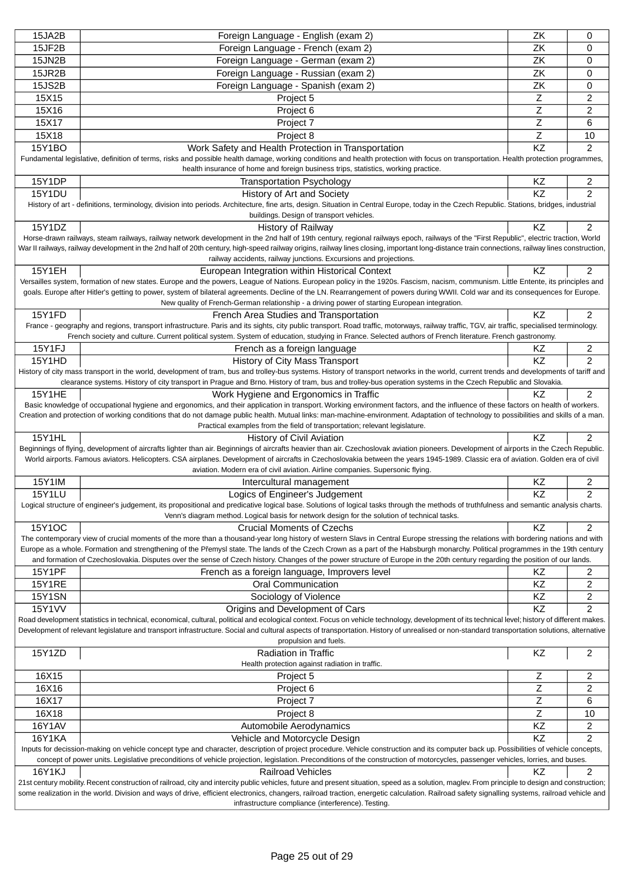| 15JA2B        | Foreign Language - English (exam 2)                                                                                                                                                                                                                                                                                                                                       | ZK             | 0                       |
|---------------|---------------------------------------------------------------------------------------------------------------------------------------------------------------------------------------------------------------------------------------------------------------------------------------------------------------------------------------------------------------------------|----------------|-------------------------|
| 15JF2B        | Foreign Language - French (exam 2)                                                                                                                                                                                                                                                                                                                                        | ZK             | 0                       |
| 15JN2B        | Foreign Language - German (exam 2)                                                                                                                                                                                                                                                                                                                                        | ZK             | 0                       |
| 15JR2B        | Foreign Language - Russian (exam 2)                                                                                                                                                                                                                                                                                                                                       | ZK             | 0                       |
| 15JS2B        | Foreign Language - Spanish (exam 2)                                                                                                                                                                                                                                                                                                                                       | ZK             | 0                       |
| 15X15         | Project 5                                                                                                                                                                                                                                                                                                                                                                 | Z              | 2                       |
| 15X16         | Project 6                                                                                                                                                                                                                                                                                                                                                                 | Ζ              | 2                       |
| 15X17         | Project 7                                                                                                                                                                                                                                                                                                                                                                 | Ζ              | 6                       |
| 15X18         | Project 8                                                                                                                                                                                                                                                                                                                                                                 | $\overline{z}$ | 10                      |
| 15Y1BO        | Work Safety and Health Protection in Transportation                                                                                                                                                                                                                                                                                                                       | KZ             | $\overline{2}$          |
|               | Fundamental legislative, definition of terms, risks and possible health damage, working conditions and health protection with focus on transportation. Health protection programmes,                                                                                                                                                                                      |                |                         |
|               | health insurance of home and foreign business trips, statistics, working practice.                                                                                                                                                                                                                                                                                        |                |                         |
| 15Y1DP        | <b>Transportation Psychology</b>                                                                                                                                                                                                                                                                                                                                          | KZ             | 2                       |
| <b>15Y1DU</b> | History of Art and Society                                                                                                                                                                                                                                                                                                                                                | KZ             | $\overline{2}$          |
|               | History of art - definitions, terminology, division into periods. Architecture, fine arts, design. Situation in Central Europe, today in the Czech Republic. Stations, bridges, industrial<br>buildings. Design of transport vehicles.                                                                                                                                    |                |                         |
| 15Y1DZ        | <b>History of Railway</b>                                                                                                                                                                                                                                                                                                                                                 | KZ             | $\overline{2}$          |
|               | Horse-drawn railways, steam railways, railway network development in the 2nd half of 19th century, regional railways epoch, railways of the "First Republic", electric traction, World                                                                                                                                                                                    |                |                         |
|               | War II railways, railway development in the 2nd half of 20th century, high-speed railway origins, railway lines closing, important long-distance train connections, railway lines construction,                                                                                                                                                                           |                |                         |
|               | railway accidents, railway junctions. Excursions and projections.                                                                                                                                                                                                                                                                                                         |                |                         |
| 15Y1EH        | European Integration within Historical Context                                                                                                                                                                                                                                                                                                                            | KZ             | $\overline{2}$          |
|               | Versailles system, formation of new states. Europe and the powers, League of Nations. European policy in the 1920s. Fascism, nacism, communism. Little Entente, its principles and                                                                                                                                                                                        |                |                         |
|               | goals. Europe after Hitler's getting to power, system of bilateral agreements. Decline of the LN. Rearrangement of powers during WWII. Cold war and its consequences for Europe.                                                                                                                                                                                          |                |                         |
| 15Y1FD        | New quality of French-German relationship - a driving power of starting European integration.                                                                                                                                                                                                                                                                             | ΚZ             |                         |
|               | French Area Studies and Transportation<br>France - geography and regions, transport infrastructure. Paris and its sights, city public transport. Road traffic, motorways, railway traffic, TGV, air traffic, specialised terminology.                                                                                                                                     |                | $\overline{c}$          |
|               | French society and culture. Current political system. System of education, studying in France. Selected authors of French literature. French gastronomy.                                                                                                                                                                                                                  |                |                         |
| 15Y1FJ        | French as a foreign language                                                                                                                                                                                                                                                                                                                                              | KZ             | $\overline{\mathbf{c}}$ |
| 15Y1HD        | History of City Mass Transport                                                                                                                                                                                                                                                                                                                                            | KZ             | $\overline{2}$          |
|               | History of city mass transport in the world, development of tram, bus and trolley-bus systems. History of transport networks in the world, current trends and developments of tariff and                                                                                                                                                                                  |                |                         |
|               | clearance systems. History of city transport in Prague and Brno. History of tram, bus and trolley-bus operation systems in the Czech Republic and Slovakia.                                                                                                                                                                                                               |                |                         |
| <b>15Y1HE</b> | Work Hygiene and Ergonomics in Traffic                                                                                                                                                                                                                                                                                                                                    | KZ             | 2                       |
|               | Basic knowledge of occupational hygiene and ergonomics, and their application in transport. Working environment factors, and the influence of these factors on health of workers.                                                                                                                                                                                         |                |                         |
|               | Creation and protection of working conditions that do not damage public health. Mutual links: man-machine-environment. Adaptation of technology to possibilities and skills of a man.<br>Practical examples from the field of transportation; relevant legislature.                                                                                                       |                |                         |
| <b>15Y1HL</b> | History of Civil Aviation                                                                                                                                                                                                                                                                                                                                                 | KZ             | 2                       |
|               | Beginnings of flying, development of aircrafts lighter than air. Beginnings of aircrafts heavier than air. Czechoslovak aviation pioneers. Development of airports in the Czech Republic.                                                                                                                                                                                 |                |                         |
|               | World airports. Famous aviators. Helicopters. CSA airplanes. Development of aircrafts in Czechoslovakia between the years 1945-1989. Classic era of aviation. Golden era of civil                                                                                                                                                                                         |                |                         |
|               | aviation. Modern era of civil aviation. Airline companies. Supersonic flying.                                                                                                                                                                                                                                                                                             |                |                         |
| 15Y1IM        | Intercultural management                                                                                                                                                                                                                                                                                                                                                  | KZ             | 2                       |
| 15Y1LU        | Logics of Engineer's Judgement                                                                                                                                                                                                                                                                                                                                            | KZ             | $\overline{2}$          |
|               | Logical structure of engineer's judgement, its propositional and predicative logical base. Solutions of logical tasks through the methods of truthfulness and semantic analysis charts.                                                                                                                                                                                   |                |                         |
|               | Venn's diagram method. Logical basis for network design for the solution of technical tasks.                                                                                                                                                                                                                                                                              |                |                         |
| 15Y1OC        | <b>Crucial Moments of Czechs</b>                                                                                                                                                                                                                                                                                                                                          | KZ             | 2                       |
|               | The contemporary view of crucial moments of the more than a thousand-year long history of western Slavs in Central Europe stressing the relations with bordering nations and with<br>Europe as a whole. Formation and strengthening of the P emysl state. The lands of the Czech Crown as a part of the Habsburgh monarchy. Political programmes in the 19th century      |                |                         |
|               | and formation of Czechoslovakia. Disputes over the sense of Czech history. Changes of the power structure of Europe in the 20th century regarding the position of our lands.                                                                                                                                                                                              |                |                         |
| <b>15Y1PF</b> | French as a foreign language, Improvers level                                                                                                                                                                                                                                                                                                                             | ΚZ             | 2                       |
| <b>15Y1RE</b> | <b>Oral Communication</b>                                                                                                                                                                                                                                                                                                                                                 | KZ             | 2                       |
| <b>15Y1SN</b> | Sociology of Violence                                                                                                                                                                                                                                                                                                                                                     | KZ             | 2                       |
| <b>15Y1VV</b> | Origins and Development of Cars                                                                                                                                                                                                                                                                                                                                           | KZ             | 2                       |
|               | Road development statistics in technical, economical, cultural, political and ecological context. Focus on vehicle technology, development of its technical level; history of different makes.                                                                                                                                                                            |                |                         |
|               | Development of relevant legislature and transport infrastructure. Social and cultural aspects of transportation. History of unrealised or non-standard transportation solutions, alternative                                                                                                                                                                              |                |                         |
|               | propulsion and fuels.                                                                                                                                                                                                                                                                                                                                                     |                |                         |
| 15Y1ZD        | <b>Radiation in Traffic</b>                                                                                                                                                                                                                                                                                                                                               | KZ             | 2                       |
|               | Health protection against radiation in traffic.                                                                                                                                                                                                                                                                                                                           |                |                         |
| 16X15         | Project 5                                                                                                                                                                                                                                                                                                                                                                 | Ζ              | 2                       |
| 16X16         | Project 6                                                                                                                                                                                                                                                                                                                                                                 | Ζ              | 2                       |
| 16X17         | Project 7                                                                                                                                                                                                                                                                                                                                                                 | Ζ              | 6                       |
| 16X18         | Project 8                                                                                                                                                                                                                                                                                                                                                                 | Ζ              | 10                      |
| <b>16Y1AV</b> | Automobile Aerodynamics                                                                                                                                                                                                                                                                                                                                                   | KZ             | 2                       |
| <b>16Y1KA</b> | Vehicle and Motorcycle Design                                                                                                                                                                                                                                                                                                                                             | KZ             | $\overline{2}$          |
|               | Inputs for decission-making on vehicle concept type and character, description of project procedure. Vehicle construction and its computer back up. Possibilities of vehicle concepts,<br>concept of power units. Legislative preconditions of vehicle projection, legislation. Preconditions of the construction of motorcycles, passenger vehicles, lorries, and buses. |                |                         |
| 16Y1KJ        | <b>Railroad Vehicles</b>                                                                                                                                                                                                                                                                                                                                                  | ΚZ             | 2                       |
|               | 21st century mobility. Recent construction of railroad, city and intercity public vehicles, future and present situation, speed as a solution, maglev. From principle to design and construction;                                                                                                                                                                         |                |                         |
|               | some realization in the world. Division and ways of drive, efficient electronics, changers, railroad traction, energetic calculation. Railroad safety signalling systems, railroad vehicle and                                                                                                                                                                            |                |                         |
|               | infrastructure compliance (interference). Testing.                                                                                                                                                                                                                                                                                                                        |                |                         |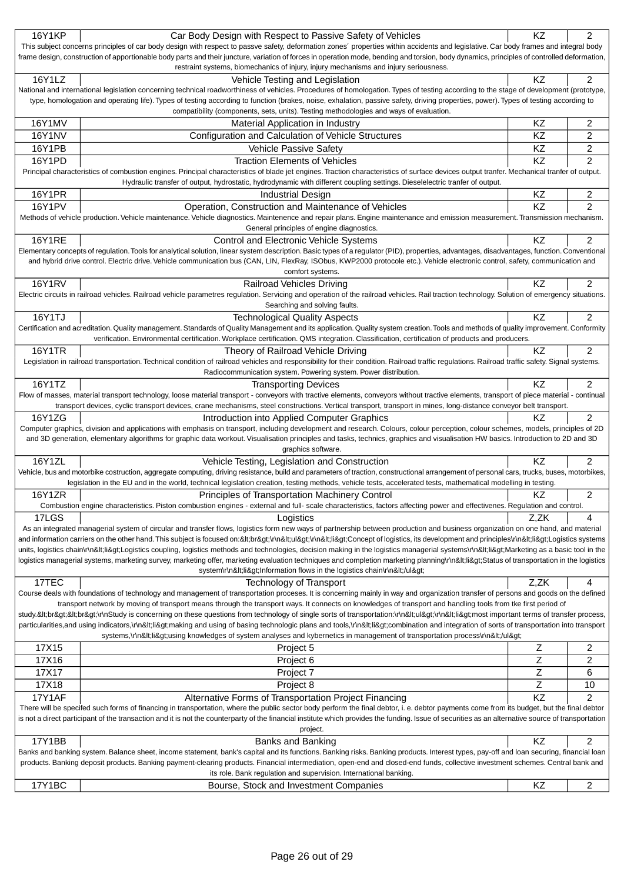| <b>16Y1KP</b> | Car Body Design with Respect to Passive Safety of Vehicles                                                                                                                                                                                                                                                                                           | KZ   | $\overline{2}$ |
|---------------|------------------------------------------------------------------------------------------------------------------------------------------------------------------------------------------------------------------------------------------------------------------------------------------------------------------------------------------------------|------|----------------|
|               | This subject concerns principles of car body design with respect to passve safety, deformation zones' properties within accidents and legislative. Car body frames and integral body                                                                                                                                                                 |      |                |
|               | frame design, construction of apportionable body parts and their juncture, variation of forces in operation mode, bending and torsion, body dynamics, principles of controlled deformation,                                                                                                                                                          |      |                |
|               | restraint systems, biomechanics of injury, injury mechanisms and injury seriousness.                                                                                                                                                                                                                                                                 |      |                |
| 16Y1LZ        | Vehicle Testing and Legislation                                                                                                                                                                                                                                                                                                                      | KZ   | 2              |
|               | National and international legislation concerning technical roadworthiness of vehicles. Procedures of homologation. Types of testing according to the stage of development (prototype,                                                                                                                                                               |      |                |
|               | type, homologation and operating life). Types of testing according to function (brakes, noise, exhalation, passive safety, driving properties, power). Types of testing according to                                                                                                                                                                 |      |                |
|               | compatibility (components, sets, units). Testing methodologies and ways of evaluation.                                                                                                                                                                                                                                                               |      |                |
| 16Y1MV        | Material Application in Industry                                                                                                                                                                                                                                                                                                                     | KZ   | 2              |
| <b>16Y1NV</b> | Configuration and Calculation of Vehicle Structures                                                                                                                                                                                                                                                                                                  | KZ   | $\overline{2}$ |
| 16Y1PB        | Vehicle Passive Safety                                                                                                                                                                                                                                                                                                                               | KZ   | $\overline{c}$ |
| 16Y1PD        | <b>Traction Elements of Vehicles</b>                                                                                                                                                                                                                                                                                                                 | KZ   | 2              |
|               | Principal characteristics of combustion engines. Principal characteristics of blade jet engines. Traction characteristics of surface devices output tranfer. Mechanical tranfer of output.                                                                                                                                                           |      |                |
|               | Hydraulic transfer of output, hydrostatic, hydrodynamic with different coupling settings. Dieselelectric tranfer of output.                                                                                                                                                                                                                          |      |                |
| <b>16Y1PR</b> | <b>Industrial Design</b>                                                                                                                                                                                                                                                                                                                             | KZ   | 2              |
| 16Y1PV        | Operation, Construction and Maintenance of Vehicles                                                                                                                                                                                                                                                                                                  | KZ   | $\overline{2}$ |
|               | Methods of vehicle production. Vehicle maintenance. Vehicle diagnostics. Maintenence and repair plans. Engine maintenance and emission measurement. Transmission mechanism.                                                                                                                                                                          |      |                |
|               | General principles of engine diagnostics.                                                                                                                                                                                                                                                                                                            |      |                |
| 16Y1RE        | Control and Electronic Vehicle Systems                                                                                                                                                                                                                                                                                                               | KZ   | $\overline{2}$ |
|               | Elementary concepts of regulation. Tools for analytical solution, linear system description. Basic types of a regulator (PID), properties, advantages, disadvantages, function. Conventional                                                                                                                                                         |      |                |
|               | and hybrid drive control. Electric drive. Vehicle communication bus (CAN, LIN, FlexRay, ISObus, KWP2000 protocole etc.). Vehicle electronic control, safety, communication and                                                                                                                                                                       |      |                |
|               | comfort systems.                                                                                                                                                                                                                                                                                                                                     |      |                |
| <b>16Y1RV</b> | <b>Railroad Vehicles Driving</b><br>Electric circuits in railroad vehicles. Railroad vehicle parametres regulation. Servicing and operation of the railroad vehicles. Rail traction technology. Solution of emergency situations.                                                                                                                    | KZ   | 2              |
|               | Searching and solving faults.                                                                                                                                                                                                                                                                                                                        |      |                |
| 16Y1TJ        | <b>Technological Quality Aspects</b>                                                                                                                                                                                                                                                                                                                 | KZ   | 2              |
|               | Certification and acreditation. Quality management. Standards of Quality Management and its application. Quality system creation. Tools and methods of quality improvement. Conformity                                                                                                                                                               |      |                |
|               | verification. Environmental certification. Workplace certification. QMS integration. Classification, certification of products and producers.                                                                                                                                                                                                        |      |                |
| <b>16Y1TR</b> | Theory of Railroad Vehicle Driving                                                                                                                                                                                                                                                                                                                   | KZ   | 2              |
|               | Legislation in railroad transportation. Technical condition of railroad vehicles and responsibility for their condition. Railroad traffic regulations. Railroad traffic safety. Signal systems.                                                                                                                                                      |      |                |
|               | Radiocommunication system. Powering system. Power distribution.                                                                                                                                                                                                                                                                                      |      |                |
| 16Y1TZ        | <b>Transporting Devices</b>                                                                                                                                                                                                                                                                                                                          | KZ   | 2              |
|               | Flow of masses, material transport technology, loose material transport - conveyors with tractive elements, conveyors without tractive elements, transport of piece material - continual                                                                                                                                                             |      |                |
|               | transport devices, cyclic transport devices, crane mechanisms, steel constructions. Vertical transport, transport in mines, long-distance conveyor belt transport.                                                                                                                                                                                   |      |                |
|               |                                                                                                                                                                                                                                                                                                                                                      |      |                |
| 16Y1ZG        | Introduction into Applied Computer Graphics                                                                                                                                                                                                                                                                                                          | KZ   | 2              |
|               | Computer graphics, division and applications with emphasis on transport, including development and research. Colours, colour perception, colour schemes, models, principles of 2D                                                                                                                                                                    |      |                |
|               | and 3D generation, elementary algorithms for graphic data workout. Visualisation principles and tasks, technics, graphics and visualisation HW basics. Introduction to 2D and 3D                                                                                                                                                                     |      |                |
|               | graphics software.                                                                                                                                                                                                                                                                                                                                   |      |                |
| 16Y1ZL        | Vehicle Testing, Legislation and Construction                                                                                                                                                                                                                                                                                                        | KZ   | 2              |
|               | Vehicle, bus and motorbike costruction, aggregate computing, driving resistance, build and parameters of traction, constructional arrangement of personal cars, trucks, buses, motorbikes,                                                                                                                                                           |      |                |
|               | legislation in the EU and in the world, technical legislation creation, testing methods, vehicle tests, accelerated tests, mathematical modelling in testing.                                                                                                                                                                                        |      |                |
| 16Y1ZR        | Principles of Transportation Machinery Control                                                                                                                                                                                                                                                                                                       | ΚZ   | 2              |
|               | Combustion engine characteristics. Piston combustion engines - external and full- scale characteristics, factors affecting power and effectivenes. Regulation and control.                                                                                                                                                                           |      |                |
| 17LGS         | Logistics                                                                                                                                                                                                                                                                                                                                            | Z.ZK | 4              |
|               | As an integrated managerial system of circular and transfer flows, logistics form new ways of partnership between production and business organization on one hand, and material                                                                                                                                                                     |      |                |
|               | and information carriers on the other hand. This subject is focused on:<br>\r\n <ul>\r\n<li>Concept of logistics, its development and principles\r\n<li>Logistics systems</li></li></ul>                                                                                                                                                             |      |                |
|               | units, logistics chain\r\n <li>Logistics coupling, logistics methods and technologies, decision making in the logistics managerial systems\r\n<li>Marketing as a basic tool in the</li></li>                                                                                                                                                         |      |                |
|               | logistics managerial systems, marketing survey, marketing offer, marketing evaluation techniques and completion marketing planning\r\n <li>Status of transportation in the logistics<br/>system\r\n<li>Information flows in the logistics chain\r\n</li></li>                                                                                        |      |                |
|               |                                                                                                                                                                                                                                                                                                                                                      |      |                |
| 17TEC         | <b>Technology of Transport</b>                                                                                                                                                                                                                                                                                                                       | Z,ZK | 4              |
|               | Course deals with foundations of technology and management of transportation proceses. It is concerning mainly in way and organization transfer of persons and goods on the defined<br>transport network by moving of transport means through the transport ways. It connects on knowledges of transport and handling tools from tke first period of |      |                |
|               | study.<br><br>\r\nStudy is concerning on these questions from technology of single sorts of transportation:\r\n <ul>\r\n<li>most important terms of transfer process,</li></ul>                                                                                                                                                                      |      |                |
|               | particularities,and using indicators,\r\n <li>making and using of basing technologic plans and tools,\r\n<li>combination and integration of sorts of transportation into transport</li></li>                                                                                                                                                         |      |                |
|               | systems,\r\n <li>using knowledges of system analyses and kybernetics in management of transportation process\r\n</li>                                                                                                                                                                                                                                |      |                |
| 17X15         | Project 5                                                                                                                                                                                                                                                                                                                                            | Ζ    | 2              |
| 17X16         | Project 6                                                                                                                                                                                                                                                                                                                                            | Ζ    | 2              |
| 17X17         | Project 7                                                                                                                                                                                                                                                                                                                                            | Ζ    | 6              |
| 17X18         | Project 8                                                                                                                                                                                                                                                                                                                                            | Z    | 10             |
| <b>17Y1AF</b> |                                                                                                                                                                                                                                                                                                                                                      | KZ   | 2              |
|               | Alternative Forms of Transportation Project Financing<br>There will be specifed such forms of financing in transportation, where the public sector body perform the final debtor, i. e. debtor payments come from its budget, but the final debtor                                                                                                   |      |                |
|               | is not a direct participant of the transaction and it is not the counterparty of the financial institute which provides the funding. Issue of securities as an alternative source of transportation                                                                                                                                                  |      |                |
|               | project.                                                                                                                                                                                                                                                                                                                                             |      |                |
| 17Y1BB        | Banks and Banking                                                                                                                                                                                                                                                                                                                                    | KZ   | $\overline{c}$ |
|               | Banks and banking system. Balance sheet, income statement, bank's capital and its functions. Banking risks. Banking products. Interest types, pay-off and loan securing, financial loan                                                                                                                                                              |      |                |
|               | products. Banking deposit products. Banking payment-clearing products. Financial intermediation, open-end and closed-end funds, collective investment schemes. Central bank and                                                                                                                                                                      |      |                |
| 17Y1BC        | its role. Bank regulation and supervision. International banking.<br>Bourse, Stock and Investment Companies                                                                                                                                                                                                                                          | KZ   | $\overline{2}$ |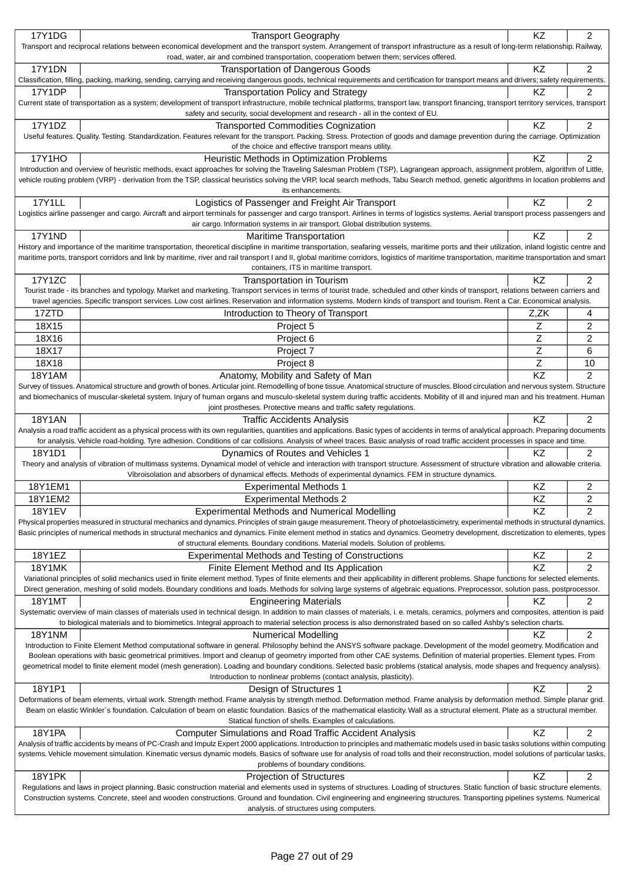|               | <b>Transport Geography</b>                                                                                                                                                                                                 | KZ          | 2              |
|---------------|----------------------------------------------------------------------------------------------------------------------------------------------------------------------------------------------------------------------------|-------------|----------------|
| 17Y1DG        |                                                                                                                                                                                                                            |             |                |
|               | Transport and reciprocal relations between economical development and the transport system. Arrangement of transport infrastructure as a result of long-term relationship. Railway,                                        |             |                |
|               | road, water, air and combined transportation, cooperatiom betwen them; services offered.                                                                                                                                   |             |                |
| <b>17Y1DN</b> | <b>Transportation of Dangerous Goods</b>                                                                                                                                                                                   | KZ          | 2              |
|               | Classification, filling, packing, marking, sending, carrying and receiving dangerous goods, technical requirements and certification for transport means and drivers; safety requirements.                                 |             |                |
| 17Y1DP        | <b>Transportation Policy and Strategy</b>                                                                                                                                                                                  | ΚZ          | 2              |
|               | Current state of transportation as a system; development of transport infrastructure, mobile technical platforms, transport law, transport financing, transport territory services, transport                              |             |                |
|               | safety and security, social development and research - all in the context of EU.                                                                                                                                           |             |                |
|               |                                                                                                                                                                                                                            |             |                |
| 17Y1DZ        | <b>Transported Commodities Cognization</b>                                                                                                                                                                                 | KZ          | 2              |
|               | Useful features. Quality. Testing. Standardization. Features relevant for the transport. Packing. Stress. Protection of goods and damage prevention during the carriage. Optimization                                      |             |                |
|               | of the choice and effective transport means utility.                                                                                                                                                                       |             |                |
| <b>17Y1HO</b> | Heuristic Methods in Optimization Problems                                                                                                                                                                                 | KZ          | 2              |
|               | Introduction and overview of heuristic methods, exact approaches for solving the Traveling Salesman Problem (TSP), Lagrangean approach, assignment problem, algorithm of Little,                                           |             |                |
|               | vehicle routing problem (VRP) - derivation from the TSP, classical heuristics solving the VRP, local search methods, Tabu Search method, genetic algorithms in location problems and                                       |             |                |
|               |                                                                                                                                                                                                                            |             |                |
|               | its enhancements.                                                                                                                                                                                                          |             |                |
| <b>17Y1LL</b> | Logistics of Passenger and Freight Air Transport                                                                                                                                                                           | ΚZ          | 2              |
|               | Logistics airline passenger and cargo. Aircraft and airport terminals for passenger and cargo transport. Airlines in terms of logistics systems. Aerial transport process passengers and                                   |             |                |
|               | air cargo. Information systems in air transport. Global distribution systems.                                                                                                                                              |             |                |
| <b>17Y1ND</b> | <b>Maritime Transportation</b>                                                                                                                                                                                             | ΚZ          | 2              |
|               | History and importance of the maritime transportation, theoretical discipline in maritime transportation, seafaring vessels, maritime ports and their utilization, inland logistic centre and                              |             |                |
|               |                                                                                                                                                                                                                            |             |                |
|               | maritime ports, transport corridors and link by maritime, river and rail transport I and II, global maritime corridors, logistics of maritime transportation, maritime transportation and smart                            |             |                |
|               | containers, ITS in maritime transport.                                                                                                                                                                                     |             |                |
| 17Y1ZC        | Transportation in Tourism                                                                                                                                                                                                  | KZ          | 2              |
|               | Tourist trade - its branches and typology. Market and marketing. Transport services in terms of tourist trade, scheduled and other kinds of transport, relations between carriers and                                      |             |                |
|               | travel agencies. Specific transport services. Low cost airlines. Reservation and information systems. Modern kinds of transport and tourism. Rent a Car. Economical analysis.                                              |             |                |
| 17ZTD         |                                                                                                                                                                                                                            |             |                |
|               | Introduction to Theory of Transport                                                                                                                                                                                        | Z,ZK        | 4              |
| 18X15         | Project 5                                                                                                                                                                                                                  | Ζ           | 2              |
| 18X16         | Project 6                                                                                                                                                                                                                  | Z           | 2              |
| 18X17         | Project 7                                                                                                                                                                                                                  | Ζ           | 6              |
|               |                                                                                                                                                                                                                            |             |                |
| 18X18         | Project 8                                                                                                                                                                                                                  | $\mathsf Z$ | 10             |
| 18Y1AM        | Anatomy, Mobility and Safety of Man                                                                                                                                                                                        | KZ          | $\overline{2}$ |
|               | Survey of tissues. Anatomical structure and growth of bones. Articular joint. Remodelling of bone tissue. Anatomical structure of muscles. Blood circulation and nervous system. Structure                                 |             |                |
|               | and biomechanics of muscular-skeletal system. Injury of human organs and musculo-skeletal system during traffic accidents. Mobility of ill and injured man and his treatment. Human                                        |             |                |
|               | joint prostheses. Protective means and traffic safety regulations.                                                                                                                                                         |             |                |
| <b>18Y1AN</b> | <b>Traffic Accidents Analysis</b>                                                                                                                                                                                          | KZ          | 2              |
|               |                                                                                                                                                                                                                            |             |                |
|               | Analysis a road traffic accident as a physical process with its own regularities, quantities and applications. Basic types of accidents in terms of analytical approach. Preparing documents                               |             |                |
|               | for analysis. Vehicle road-holding. Tyre adhesion. Conditions of car collisions. Analysis of wheel traces. Basic analysis of road traffic accident processes in space and time.                                            |             |                |
| 18Y1D1        | Dynamics of Routes and Vehicles 1                                                                                                                                                                                          | KZ          | 2              |
|               | Theory and analysis of vibration of multimass systems. Dynamical model of vehicle and interaction with transport structure. Assessment of structure vibration and allowable criteria.                                      |             |                |
|               | Vibroisolation and absorbers of dynamical effects. Methods of experimental dynamics. FEM in structure dynamics.                                                                                                            |             |                |
| 18Y1EM1       | <b>Experimental Methods 1</b>                                                                                                                                                                                              | KZ          | 2              |
|               |                                                                                                                                                                                                                            |             |                |
| 18Y1EM2       | <b>Experimental Methods 2</b>                                                                                                                                                                                              |             |                |
| <b>18Y1EV</b> |                                                                                                                                                                                                                            | KZ          | 2              |
|               | Experimental Methods and Numerical Modelling                                                                                                                                                                               | KZ          | 2              |
|               | Physical properties measured in structural mechanics and dynamics. Principles of strain gauge measurement. Theory of photoelasticimetry, experimental methods in structural dynamics.                                      |             |                |
|               |                                                                                                                                                                                                                            |             |                |
|               | Basic principles of numerical methods in structural mechanics and dynamics. Finite element method in statics and dynamics. Geometry development, discretization to elements, types                                         |             |                |
|               | of structural elements. Boundary conditions. Material models. Solution of problems.                                                                                                                                        |             |                |
| 18Y1EZ        | Experimental Methods and Testing of Constructions                                                                                                                                                                          | KZ          | 2              |
| <b>18Y1MK</b> | Finite Element Method and Its Application                                                                                                                                                                                  | KZ          | 2              |
|               | Variational principles of solid mechanics used in finite element method. Types of finite elements and their applicability in different problems. Shape functions for selected elements.                                    |             |                |
|               | Direct generation, meshing of solid models. Boundary conditions and loads. Methods for solving large systems of algebraic equations. Preprocessor, solution pass, postprocessor.                                           |             |                |
|               |                                                                                                                                                                                                                            |             |                |
| <b>18Y1MT</b> | <b>Engineering Materials</b>                                                                                                                                                                                               | ΚZ          | 2              |
|               | Systematic overview of main classes of materials used in technical design. In addition to main classes of materials, i. e. metals, ceramics, polymers and composites, attention is paid                                    |             |                |
|               | to biological materials and to biomimetics. Integral approach to material selection process is also demonstrated based on so called Ashby's selection charts.                                                              |             |                |
| <b>18Y1NM</b> | <b>Numerical Modelling</b>                                                                                                                                                                                                 | ΚZ          | 2              |
|               | Introduction to Finite Element Method computational software in general. Philosophy behind the ANSYS software package. Development of the model geometry. Modification and                                                 |             |                |
|               | Boolean operations with basic geometrical primitives. Import and cleanup of geometry imported from other CAE systems. Definition of material properties. Element types. From                                               |             |                |
|               | geometrical model to finite element model (mesh generation). Loading and boundary conditions. Selected basic problems (statical analysis, mode shapes and frequency analysis).                                             |             |                |
|               |                                                                                                                                                                                                                            |             |                |
|               | Introduction to nonlinear problems (contact analysis, plasticity).                                                                                                                                                         |             |                |
| 18Y1P1        | Design of Structures 1                                                                                                                                                                                                     | KZ          | 2              |
|               | Deformations of beam elements, virtual work. Strength method. Frame analysis by strength method. Deformation method. Frame analysis by deformation method. Simple planar grid.                                             |             |                |
|               | Beam on elastic Winkler's foundation. Calculation of beam on elastic foundation. Basics of the mathematical elasticity. Wall as a structural element. Plate as a structural member.                                        |             |                |
|               | Statical function of shells. Examples of calculations.                                                                                                                                                                     |             |                |
| 18Y1PA        | <b>Computer Simulations and Road Traffic Accident Analysis</b>                                                                                                                                                             | KZ          | 2              |
|               | Analysis of traffic accidents by means of PC-Crash and Impulz Expert 2000 applications. Introduction to principles and mathematic models used in basic tasks solutions within computing                                    |             |                |
|               |                                                                                                                                                                                                                            |             |                |
|               | systems. Vehicle movement simulation. Kinematic versus dynamic models. Basics of software use for analysis of road tolls and their reconstruction, model solutions of particular tasks,                                    |             |                |
|               | problems of boundary conditions.                                                                                                                                                                                           |             |                |
| 18Y1PK        | <b>Projection of Structures</b>                                                                                                                                                                                            | KZ          | 2              |
|               | Regulations and laws in project planning. Basic construction material and elements used in systems of structures. Loading of structures. Static function of basic structure elements.                                      |             |                |
|               | Construction systems. Concrete, steel and wooden constructions. Ground and foundation. Civil engineering and engineering structures. Transporting pipelines systems. Numerical<br>analysis. of structures using computers. |             |                |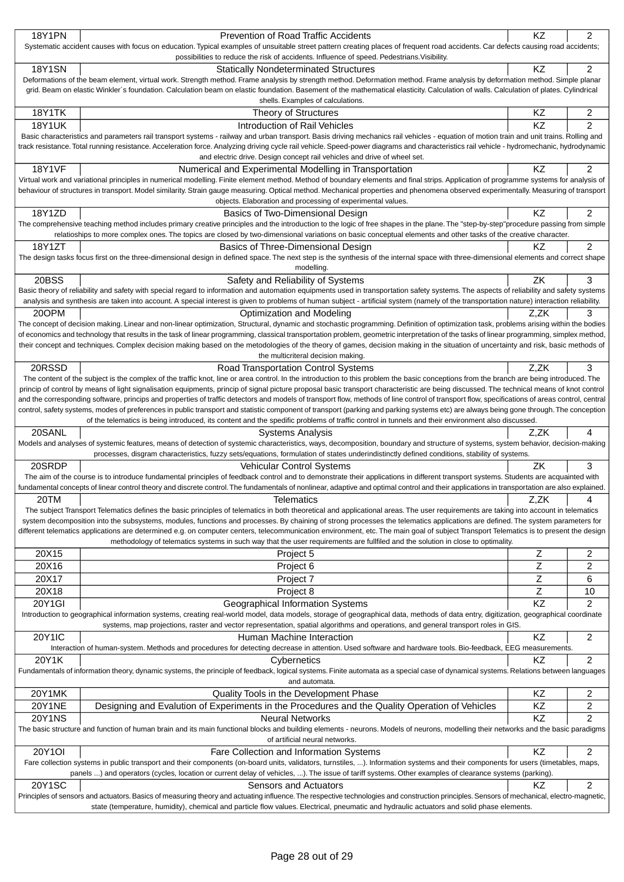| <b>18Y1PN</b> |                                                                                                                                                                                                |                 |                |
|---------------|------------------------------------------------------------------------------------------------------------------------------------------------------------------------------------------------|-----------------|----------------|
|               | Prevention of Road Traffic Accidents                                                                                                                                                           | KZ              | 2              |
|               | Systematic accident causes with focus on education. Typical examples of unsuitable street pattern creating places of frequent road accidents. Car defects causing road accidents;              |                 |                |
|               | possibilities to reduce the risk of accidents. Influence of speed. Pedestrians. Visibility.                                                                                                    |                 |                |
| <b>18Y1SN</b> | <b>Statically Nondeterminated Structures</b>                                                                                                                                                   | KZ              | $\overline{2}$ |
|               | Deformations of the beam element, virtual work. Strength method. Frame analysis by strength method. Deformation method. Frame analysis by deformation method. Simple planar                    |                 |                |
|               | grid. Beam on elastic Winkler's foundation. Calculation beam on elastic foundation. Basement of the mathematical elasticity. Calculation of walls. Calculation of plates. Cylindrical          |                 |                |
|               | shells. Examples of calculations.                                                                                                                                                              |                 |                |
| <b>18Y1TK</b> | Theory of Structures                                                                                                                                                                           | KZ              | 2              |
| <b>18Y1UK</b> | Introduction of Rail Vehicles                                                                                                                                                                  | $\overline{KZ}$ | $\overline{2}$ |
|               | Basic characteristics and parameters rail transport systems - railway and urban transport. Basis driving mechanics rail vehicles - equation of motion train and unit trains. Rolling and       |                 |                |
|               | track resistance. Total running resistance. Acceleration force. Analyzing driving cycle rail vehicle. Speed-power diagrams and characteristics rail vehicle - hydromechanic, hydrodynamic      |                 |                |
|               | and electric drive. Design concept rail vehicles and drive of wheel set.                                                                                                                       |                 |                |
| <b>18Y1VF</b> | Numerical and Experimental Modelling in Transportation                                                                                                                                         | KZ              | $\overline{2}$ |
|               | Virtual work and variational principles in numerical modelling. Finite element method. Method of boundary elements and final strips. Application of programme systems for analysis of          |                 |                |
|               | behaviour of structures in transport. Model similarity. Strain gauge measuring. Optical method. Mechanical properties and phenomena observed experimentally. Measuring of transport            |                 |                |
|               | objects. Elaboration and processing of experimental values.                                                                                                                                    |                 |                |
| 18Y1ZD        | Basics of Two-Dimensional Design                                                                                                                                                               | KZ              | 2              |
|               | The comprehensive teaching method includes primary creative principles and the introduction to the logic of free shapes in the plane. The "step-by-step"procedure passing from simple          |                 |                |
|               | relatioships to more complex ones. The topics are closed by two-dimensional variations on basic conceptual elements and other tasks of the creative character.                                 |                 |                |
| 18Y1ZT        | Basics of Three-Dimensional Design                                                                                                                                                             | ΚZ              | 2              |
|               | The design tasks focus first on the three-dimensional design in defined space. The next step is the synthesis of the internal space with three-dimensional elements and correct shape          |                 |                |
|               | modelling.                                                                                                                                                                                     |                 |                |
| 20BSS         | Safety and Reliability of Systems                                                                                                                                                              | ZK              | 3              |
|               | Basic theory of reliability and safety with special regard to information and automation equipments used in transportation safety systems. The aspects of reliability and safety systems       |                 |                |
|               | analysis and synthesis are taken into account. A special interest is given to problems of human subject - artificial system (namely of the transportation nature) interaction reliability.     |                 |                |
| 20OPM         | Optimization and Modeling                                                                                                                                                                      | Z,ZK            | 3              |
|               | The concept of decision making. Linear and non-linear optimization, Structural, dynamic and stochastic programming. Definition of optimization task, problems arising within the bodies        |                 |                |
|               | of economics and technology that results in the task of linear programming, classical transportation problem, geometric interpretation of the tasks of linear programming, simplex method,     |                 |                |
|               | their concept and techniques. Complex decision making based on the metodologies of the theory of games, decision making in the situation of uncertainty and risk, basic methods of             |                 |                |
|               | the multicriteral decision making.                                                                                                                                                             |                 |                |
| 20RSSD        | Road Transportation Control Systems                                                                                                                                                            | Z,ZK            | 3              |
|               | The content of the subject is the complex of the traffic knot, line or area control. In the introduction to this problem the basic conceptions from the branch are being introduced. The       |                 |                |
|               | princip of control by means of light signalisation equipments, princip of signal picture proposal basic transport characteristic are being discussed. The technical means of knot control      |                 |                |
|               | and the corresponding software, princips and properties of traffic detectors and models of transport flow, methods of line control of transport flow, specifications of areas control, central |                 |                |
|               | control, safety systems, modes of preferences in public transport and statistic component of transport (parking and parking systems etc) are always being gone through. The conception         |                 |                |
|               | of the telematics is being introduced, its content and the spedific problems of traffic control in tunnels and their environment also discussed.                                               |                 |                |
| 20SANL        | Systems Analysis                                                                                                                                                                               | Z.ZK            | 4              |
|               | Models and analyses of systemic features, means of detection of systemic characteristics, ways, decomposition, boundary and structure of systems, system behavior, decision-making             |                 |                |
|               | processes, disgram characteristics, fuzzy sets/equations, formulation of states underindistinctly defined conditions, stability of systems.                                                    |                 |                |
| 20SRDP        | Vehicular Control Systems                                                                                                                                                                      |                 |                |
|               | The aim of the course is to introduce fundamental principles of feedback control and to demonstrate their applications in different transport systems. Students are acquainted with            | ZK              | 3              |
|               |                                                                                                                                                                                                |                 |                |
|               | fundamental concepts of linear control theory and discrete control. The fundamentals of nonlinear, adaptive and optimal control and their applications in transportation are also explained.   |                 |                |
| 20TM          | <b>Telematics</b>                                                                                                                                                                              | Z,ZK            | 4              |
|               | The subject Transport Telematics defines the basic principles of telematics in both theoretical and applicational areas. The user requirements are taking into account in telematics           |                 |                |
|               | system decomposition into the subsystems, modules, functions and processes. By chaining of strong processes the telematics applications are defined. The system parameters for                 |                 |                |
|               | different telematics applications are determined e.g. on computer centers, telecommunication environment, etc. The main goal of subject Transport Telematics is to present the design          |                 |                |
|               | methodology of telematics systems in such way that the user requirements are fullfiled and the solution in close to optimality.                                                                |                 |                |
| 20X15         | Project 5                                                                                                                                                                                      | Ζ               | 2              |
| 20X16         | Project 6                                                                                                                                                                                      | Ζ               | 2              |
| 20X17         | Project 7                                                                                                                                                                                      | Ζ               | 6              |
| 20X18         | Project 8                                                                                                                                                                                      | $\mathsf Z$     | 10             |
|               |                                                                                                                                                                                                |                 |                |
| 20Y1GI        | Geographical Information Systems                                                                                                                                                               | KZ              | 2              |
|               | Introduction to geographical information systems, creating real-world model, data models, storage of geographical data, methods of data entry, digitization, geographical coordinate           |                 |                |
|               | systems, map projections, raster and vector representation, spatial algorithms and operations, and general transport roles in GIS.                                                             |                 |                |
| 20Y1IC        | Human Machine Interaction                                                                                                                                                                      | KZ              | 2              |
|               | Interaction of human-system. Methods and procedures for detecting decrease in attention. Used software and hardware tools. Bio-feedback, EEG measurements.                                     |                 |                |
| 20Y1K         | Cybernetics                                                                                                                                                                                    | KZ              | $\overline{c}$ |
|               | Fundamentals of information theory, dynamic systems, the principle of feedback, logical systems. Finite automata as a special case of dynamical systems. Relations between languages           |                 |                |
|               | and automata.                                                                                                                                                                                  |                 |                |
| 20Y1MK        | Quality Tools in the Development Phase                                                                                                                                                         | KZ              | 2              |
| <b>20Y1NE</b> | Designing and Evalution of Experiments in the Procedures and the Quality Operation of Vehicles                                                                                                 | KZ              | 2              |
| <b>20Y1NS</b> | <b>Neural Networks</b>                                                                                                                                                                         | KZ              | 2              |
|               | The basic structure and function of human brain and its main functional blocks and building elements - neurons. Models of neurons, modelling their networks and the basic paradigms            |                 |                |
|               | of artificial neural networks.                                                                                                                                                                 |                 |                |
| <b>20Y1OI</b> | Fare Collection and Information Systems                                                                                                                                                        | KZ              | 2              |
|               | Fare collection systems in public transport and their components (on-board units, validators, turnstiles, ). Information systems and their components for users (timetables, maps,             |                 |                |
|               | panels ) and operators (cycles, location or current delay of vehicles, ). The issue of tariff systems. Other examples of clearance systems (parking).                                          |                 |                |
| 20Y1SC        | Sensors and Actuators                                                                                                                                                                          | KZ              | 2              |
|               | Principles of sensors and actuators. Basics of measuring theory and actuating influence. The respective technologies and construction principles. Sensors of mechanical, electro-magnetic,     |                 |                |
|               | state (temperature, humidity), chemical and particle flow values. Electrical, pneumatic and hydraulic actuators and solid phase elements.                                                      |                 |                |